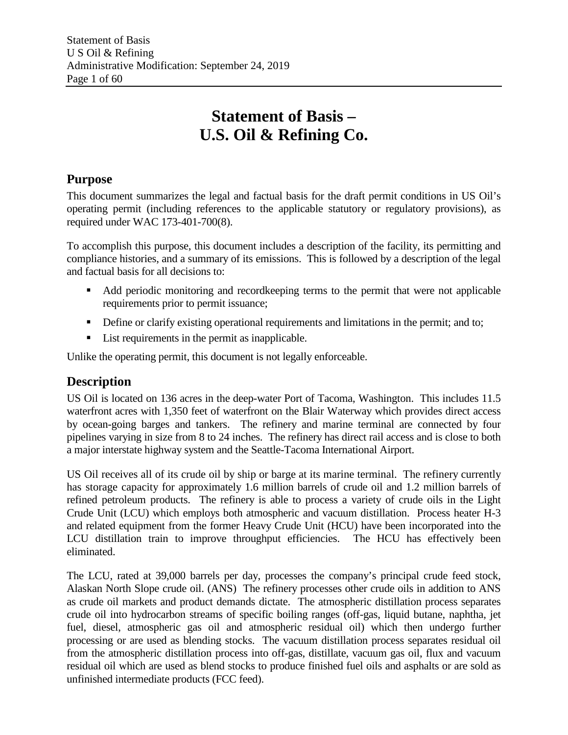# **Statement of Basis – U.S. Oil & Refining Co.**

## **Purpose**

This document summarizes the legal and factual basis for the draft permit conditions in US Oil's operating permit (including references to the applicable statutory or regulatory provisions), as required under WAC 173-401-700(8).

To accomplish this purpose, this document includes a description of the facility, its permitting and compliance histories, and a summary of its emissions. This is followed by a description of the legal and factual basis for all decisions to:

- Add periodic monitoring and recordkeeping terms to the permit that were not applicable requirements prior to permit issuance;
- Define or clarify existing operational requirements and limitations in the permit; and to;
- List requirements in the permit as inapplicable.

Unlike the operating permit, this document is not legally enforceable.

## **Description**

US Oil is located on 136 acres in the deep-water Port of Tacoma, Washington. This includes 11.5 waterfront acres with 1,350 feet of waterfront on the Blair Waterway which provides direct access by ocean-going barges and tankers. The refinery and marine terminal are connected by four pipelines varying in size from 8 to 24 inches. The refinery has direct rail access and is close to both a major interstate highway system and the Seattle-Tacoma International Airport.

US Oil receives all of its crude oil by ship or barge at its marine terminal. The refinery currently has storage capacity for approximately 1.6 million barrels of crude oil and 1.2 million barrels of refined petroleum products. The refinery is able to process a variety of crude oils in the Light Crude Unit (LCU) which employs both atmospheric and vacuum distillation. Process heater H-3 and related equipment from the former Heavy Crude Unit (HCU) have been incorporated into the LCU distillation train to improve throughput efficiencies. The HCU has effectively been eliminated.

The LCU, rated at 39,000 barrels per day, processes the company's principal crude feed stock, Alaskan North Slope crude oil. (ANS) The refinery processes other crude oils in addition to ANS as crude oil markets and product demands dictate. The atmospheric distillation process separates crude oil into hydrocarbon streams of specific boiling ranges (off-gas, liquid butane, naphtha, jet fuel, diesel, atmospheric gas oil and atmospheric residual oil) which then undergo further processing or are used as blending stocks. The vacuum distillation process separates residual oil from the atmospheric distillation process into off-gas, distillate, vacuum gas oil, flux and vacuum residual oil which are used as blend stocks to produce finished fuel oils and asphalts or are sold as unfinished intermediate products (FCC feed).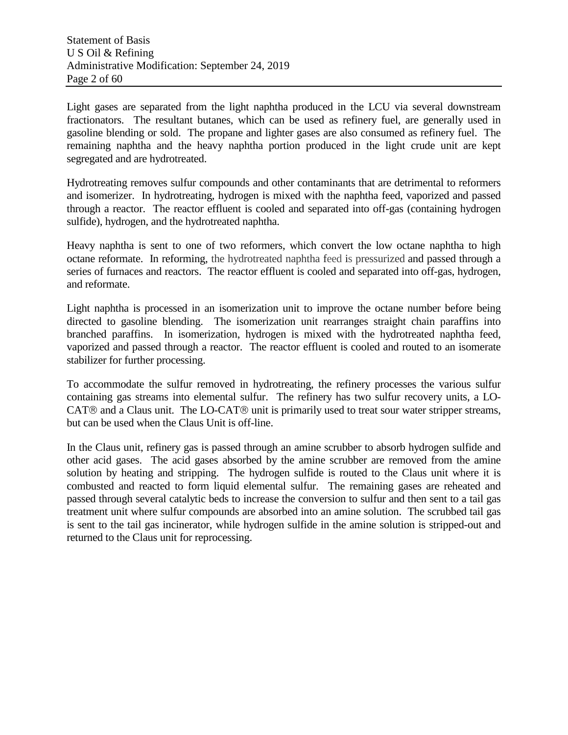Light gases are separated from the light naphtha produced in the LCU via several downstream fractionators. The resultant butanes, which can be used as refinery fuel, are generally used in gasoline blending or sold. The propane and lighter gases are also consumed as refinery fuel. The remaining naphtha and the heavy naphtha portion produced in the light crude unit are kept segregated and are hydrotreated.

Hydrotreating removes sulfur compounds and other contaminants that are detrimental to reformers and isomerizer. In hydrotreating, hydrogen is mixed with the naphtha feed, vaporized and passed through a reactor. The reactor effluent is cooled and separated into off-gas (containing hydrogen sulfide), hydrogen, and the hydrotreated naphtha.

Heavy naphtha is sent to one of two reformers, which convert the low octane naphtha to high octane reformate. In reforming, the hydrotreated naphtha feed is pressurized and passed through a series of furnaces and reactors. The reactor effluent is cooled and separated into off-gas, hydrogen, and reformate.

Light naphtha is processed in an isomerization unit to improve the octane number before being directed to gasoline blending. The isomerization unit rearranges straight chain paraffins into branched paraffins. In isomerization, hydrogen is mixed with the hydrotreated naphtha feed, vaporized and passed through a reactor. The reactor effluent is cooled and routed to an isomerate stabilizer for further processing.

To accommodate the sulfur removed in hydrotreating, the refinery processes the various sulfur containing gas streams into elemental sulfur. The refinery has two sulfur recovery units, a LO- $CAT  $\otimes$  and a Claus unit. The LO-CAT  $\otimes$  unit is primarily used to treat sour water stripped streams,$ but can be used when the Claus Unit is off-line.

In the Claus unit, refinery gas is passed through an amine scrubber to absorb hydrogen sulfide and other acid gases. The acid gases absorbed by the amine scrubber are removed from the amine solution by heating and stripping. The hydrogen sulfide is routed to the Claus unit where it is combusted and reacted to form liquid elemental sulfur. The remaining gases are reheated and passed through several catalytic beds to increase the conversion to sulfur and then sent to a tail gas treatment unit where sulfur compounds are absorbed into an amine solution. The scrubbed tail gas is sent to the tail gas incinerator, while hydrogen sulfide in the amine solution is stripped-out and returned to the Claus unit for reprocessing.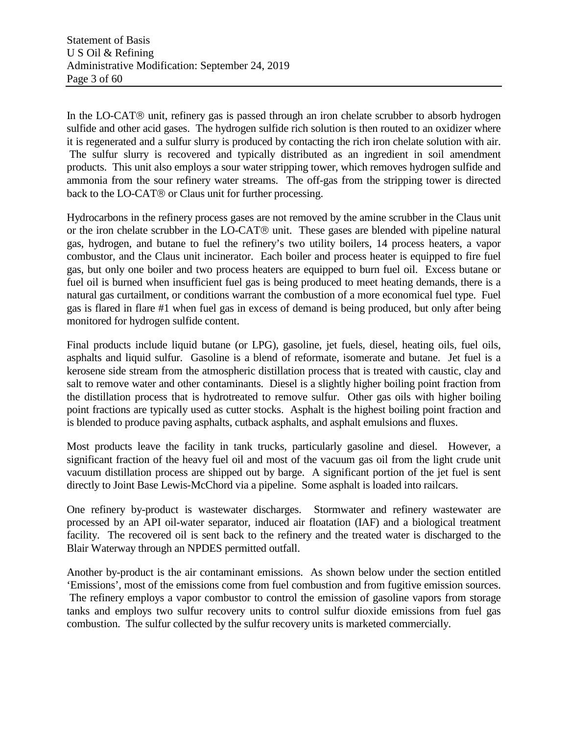In the LO-CAT® unit, refinery gas is passed through an iron chelate scrubber to absorb hydrogen sulfide and other acid gases. The hydrogen sulfide rich solution is then routed to an oxidizer where it is regenerated and a sulfur slurry is produced by contacting the rich iron chelate solution with air. The sulfur slurry is recovered and typically distributed as an ingredient in soil amendment products. This unit also employs a sour water stripping tower, which removes hydrogen sulfide and ammonia from the sour refinery water streams. The off-gas from the stripping tower is directed back to the LO-CAT® or Claus unit for further processing.

Hydrocarbons in the refinery process gases are not removed by the amine scrubber in the Claus unit or the iron chelate scrubber in the LO-CAT $\circledR$  unit. These gases are blended with pipeline natural gas, hydrogen, and butane to fuel the refinery's two utility boilers, 14 process heaters, a vapor combustor, and the Claus unit incinerator. Each boiler and process heater is equipped to fire fuel gas, but only one boiler and two process heaters are equipped to burn fuel oil. Excess butane or fuel oil is burned when insufficient fuel gas is being produced to meet heating demands, there is a natural gas curtailment, or conditions warrant the combustion of a more economical fuel type. Fuel gas is flared in flare #1 when fuel gas in excess of demand is being produced, but only after being monitored for hydrogen sulfide content.

Final products include liquid butane (or LPG), gasoline, jet fuels, diesel, heating oils, fuel oils, asphalts and liquid sulfur. Gasoline is a blend of reformate, isomerate and butane. Jet fuel is a kerosene side stream from the atmospheric distillation process that is treated with caustic, clay and salt to remove water and other contaminants. Diesel is a slightly higher boiling point fraction from the distillation process that is hydrotreated to remove sulfur. Other gas oils with higher boiling point fractions are typically used as cutter stocks. Asphalt is the highest boiling point fraction and is blended to produce paving asphalts, cutback asphalts, and asphalt emulsions and fluxes.

Most products leave the facility in tank trucks, particularly gasoline and diesel. However, a significant fraction of the heavy fuel oil and most of the vacuum gas oil from the light crude unit vacuum distillation process are shipped out by barge. A significant portion of the jet fuel is sent directly to Joint Base Lewis-McChord via a pipeline. Some asphalt is loaded into railcars.

One refinery by-product is wastewater discharges. Stormwater and refinery wastewater are processed by an API oil-water separator, induced air floatation (IAF) and a biological treatment facility. The recovered oil is sent back to the refinery and the treated water is discharged to the Blair Waterway through an NPDES permitted outfall.

Another by-product is the air contaminant emissions. As shown below under the section entitled 'Emissions', most of the emissions come from fuel combustion and from fugitive emission sources. The refinery employs a vapor combustor to control the emission of gasoline vapors from storage tanks and employs two sulfur recovery units to control sulfur dioxide emissions from fuel gas combustion. The sulfur collected by the sulfur recovery units is marketed commercially.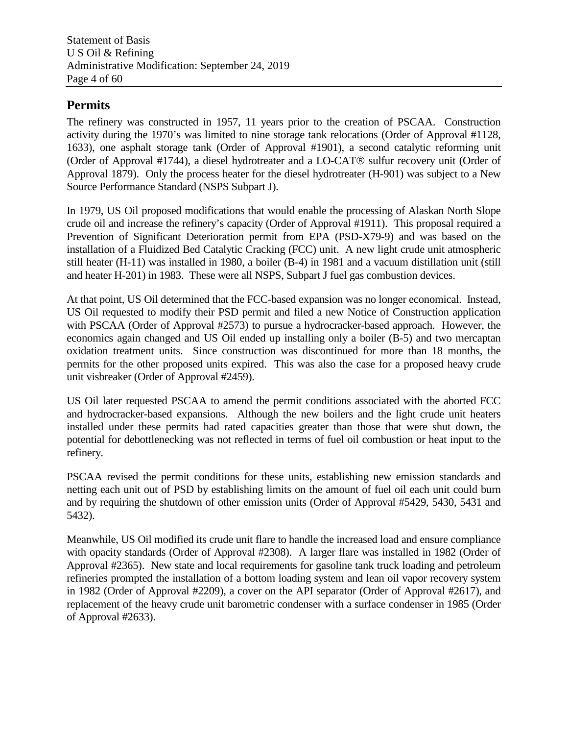## **Permits**

The refinery was constructed in 1957, 11 years prior to the creation of PSCAA. Construction activity during the 1970's was limited to nine storage tank relocations (Order of Approval #1128, 1633), one asphalt storage tank (Order of Approval #1901), a second catalytic reforming unit (Order of Approval #1744), a diesel hydrotreater and a  $LO-CAT<sup>®</sup>$  sulfur recovery unit (Order of Approval 1879). Only the process heater for the diesel hydrotreater (H-901) was subject to a New Source Performance Standard (NSPS Subpart J).

In 1979, US Oil proposed modifications that would enable the processing of Alaskan North Slope crude oil and increase the refinery's capacity (Order of Approval #1911). This proposal required a Prevention of Significant Deterioration permit from EPA (PSD-X79-9) and was based on the installation of a Fluidized Bed Catalytic Cracking (FCC) unit. A new light crude unit atmospheric still heater (H-11) was installed in 1980, a boiler (B-4) in 1981 and a vacuum distillation unit (still and heater H-201) in 1983. These were all NSPS, Subpart J fuel gas combustion devices.

At that point, US Oil determined that the FCC-based expansion was no longer economical. Instead, US Oil requested to modify their PSD permit and filed a new Notice of Construction application with PSCAA (Order of Approval #2573) to pursue a hydrocracker-based approach. However, the economics again changed and US Oil ended up installing only a boiler (B-5) and two mercaptan oxidation treatment units. Since construction was discontinued for more than 18 months, the permits for the other proposed units expired. This was also the case for a proposed heavy crude unit visbreaker (Order of Approval #2459).

US Oil later requested PSCAA to amend the permit conditions associated with the aborted FCC and hydrocracker-based expansions. Although the new boilers and the light crude unit heaters installed under these permits had rated capacities greater than those that were shut down, the potential for debottlenecking was not reflected in terms of fuel oil combustion or heat input to the refinery.

PSCAA revised the permit conditions for these units, establishing new emission standards and netting each unit out of PSD by establishing limits on the amount of fuel oil each unit could burn and by requiring the shutdown of other emission units (Order of Approval #5429, 5430, 5431 and 5432).

Meanwhile, US Oil modified its crude unit flare to handle the increased load and ensure compliance with opacity standards (Order of Approval #2308). A larger flare was installed in 1982 (Order of Approval #2365). New state and local requirements for gasoline tank truck loading and petroleum refineries prompted the installation of a bottom loading system and lean oil vapor recovery system in 1982 (Order of Approval #2209), a cover on the API separator (Order of Approval #2617), and replacement of the heavy crude unit barometric condenser with a surface condenser in 1985 (Order of Approval #2633).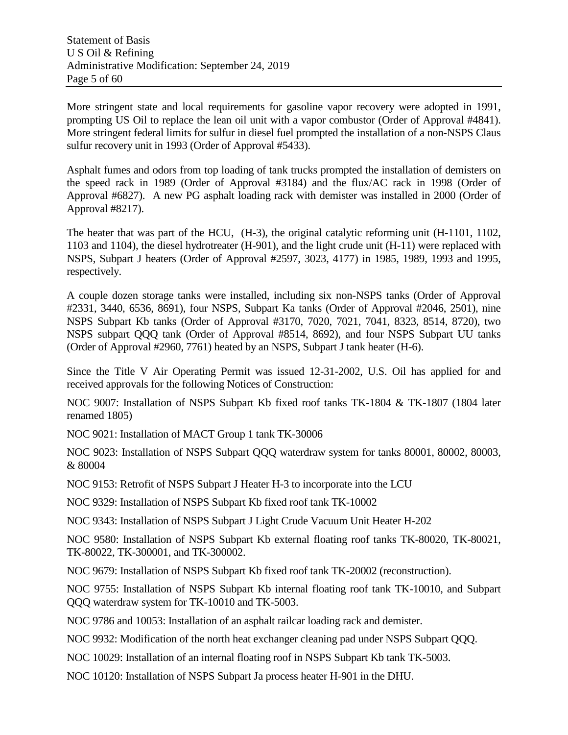More stringent state and local requirements for gasoline vapor recovery were adopted in 1991, prompting US Oil to replace the lean oil unit with a vapor combustor (Order of Approval #4841). More stringent federal limits for sulfur in diesel fuel prompted the installation of a non-NSPS Claus sulfur recovery unit in 1993 (Order of Approval #5433).

Asphalt fumes and odors from top loading of tank trucks prompted the installation of demisters on the speed rack in 1989 (Order of Approval #3184) and the flux/AC rack in 1998 (Order of Approval #6827). A new PG asphalt loading rack with demister was installed in 2000 (Order of Approval #8217).

The heater that was part of the HCU, (H-3), the original catalytic reforming unit (H-1101, 1102, 1103 and 1104), the diesel hydrotreater (H-901), and the light crude unit (H-11) were replaced with NSPS, Subpart J heaters (Order of Approval #2597, 3023, 4177) in 1985, 1989, 1993 and 1995, respectively.

A couple dozen storage tanks were installed, including six non-NSPS tanks (Order of Approval #2331, 3440, 6536, 8691), four NSPS, Subpart Ka tanks (Order of Approval #2046, 2501), nine NSPS Subpart Kb tanks (Order of Approval #3170, 7020, 7021, 7041, 8323, 8514, 8720), two NSPS subpart QQQ tank (Order of Approval #8514, 8692), and four NSPS Subpart UU tanks (Order of Approval #2960, 7761) heated by an NSPS, Subpart J tank heater (H-6).

Since the Title V Air Operating Permit was issued 12-31-2002, U.S. Oil has applied for and received approvals for the following Notices of Construction:

NOC 9007: Installation of NSPS Subpart Kb fixed roof tanks TK-1804 & TK-1807 (1804 later renamed 1805)

NOC 9021: Installation of MACT Group 1 tank TK-30006

NOC 9023: Installation of NSPS Subpart QQQ waterdraw system for tanks 80001, 80002, 80003, & 80004

NOC 9153: Retrofit of NSPS Subpart J Heater H-3 to incorporate into the LCU

NOC 9329: Installation of NSPS Subpart Kb fixed roof tank TK-10002

NOC 9343: Installation of NSPS Subpart J Light Crude Vacuum Unit Heater H-202

NOC 9580: Installation of NSPS Subpart Kb external floating roof tanks TK-80020, TK-80021, TK-80022, TK-300001, and TK-300002.

NOC 9679: Installation of NSPS Subpart Kb fixed roof tank TK-20002 (reconstruction).

NOC 9755: Installation of NSPS Subpart Kb internal floating roof tank TK-10010, and Subpart QQQ waterdraw system for TK-10010 and TK-5003.

NOC 9786 and 10053: Installation of an asphalt railcar loading rack and demister.

NOC 9932: Modification of the north heat exchanger cleaning pad under NSPS Subpart QQQ.

NOC 10029: Installation of an internal floating roof in NSPS Subpart Kb tank TK-5003.

NOC 10120: Installation of NSPS Subpart Ja process heater H-901 in the DHU.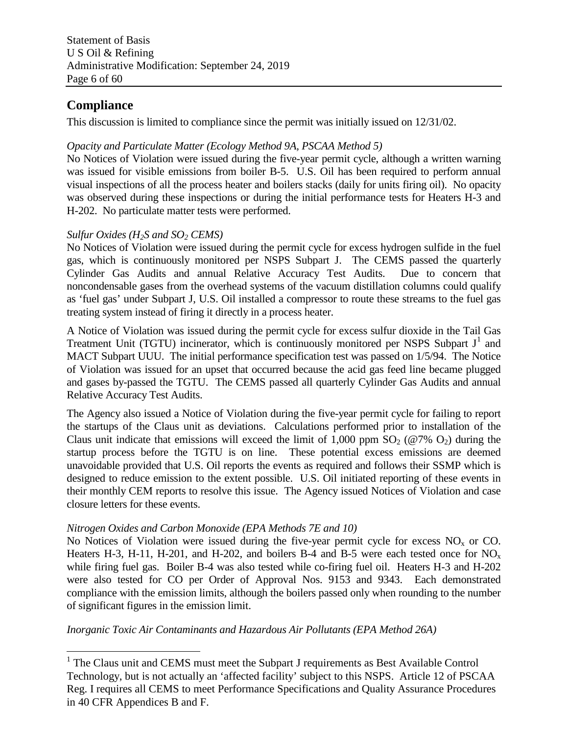## **Compliance**

This discussion is limited to compliance since the permit was initially issued on 12/31/02.

### *Opacity and Particulate Matter (Ecology Method 9A, PSCAA Method 5)*

No Notices of Violation were issued during the five-year permit cycle, although a written warning was issued for visible emissions from boiler B-5. U.S. Oil has been required to perform annual visual inspections of all the process heater and boilers stacks (daily for units firing oil). No opacity was observed during these inspections or during the initial performance tests for Heaters H-3 and H-202. No particulate matter tests were performed.

#### *Sulfur Oxides (H2S and SO2 CEMS)*

No Notices of Violation were issued during the permit cycle for excess hydrogen sulfide in the fuel gas, which is continuously monitored per NSPS Subpart J. The CEMS passed the quarterly Cylinder Gas Audits and annual Relative Accuracy Test Audits. Due to concern that noncondensable gases from the overhead systems of the vacuum distillation columns could qualify as 'fuel gas' under Subpart J, U.S. Oil installed a compressor to route these streams to the fuel gas treating system instead of firing it directly in a process heater.

A Notice of Violation was issued during the permit cycle for excess sulfur dioxide in the Tail Gas Treatment Unit (TGTU) incinerator, which is continuously monitored per NSPS Subpart  $J^1$  $J^1$  and MACT Subpart UUU. The initial performance specification test was passed on 1/5/94. The Notice of Violation was issued for an upset that occurred because the acid gas feed line became plugged and gases by-passed the TGTU. The CEMS passed all quarterly Cylinder Gas Audits and annual Relative Accuracy Test Audits.

The Agency also issued a Notice of Violation during the five-year permit cycle for failing to report the startups of the Claus unit as deviations. Calculations performed prior to installation of the Claus unit indicate that emissions will exceed the limit of 1,000 ppm  $SO_2$  (@7%  $O_2$ ) during the startup process before the TGTU is on line. These potential excess emissions are deemed unavoidable provided that U.S. Oil reports the events as required and follows their SSMP which is designed to reduce emission to the extent possible. U.S. Oil initiated reporting of these events in their monthly CEM reports to resolve this issue. The Agency issued Notices of Violation and case closure letters for these events.

#### *Nitrogen Oxides and Carbon Monoxide (EPA Methods 7E and 10)*

No Notices of Violation were issued during the five-year permit cycle for excess  $NO<sub>x</sub>$  or CO. Heaters H-3, H-11, H-201, and H-202, and boilers B-4 and B-5 were each tested once for  $NO_x$ while firing fuel gas. Boiler B-4 was also tested while co-firing fuel oil. Heaters H-3 and H-202 were also tested for CO per Order of Approval Nos. 9153 and 9343. Each demonstrated compliance with the emission limits, although the boilers passed only when rounding to the number of significant figures in the emission limit.

*Inorganic Toxic Air Contaminants and Hazardous Air Pollutants (EPA Method 26A)*

<span id="page-5-0"></span><sup>&</sup>lt;sup>1</sup> The Claus unit and CEMS must meet the Subpart J requirements as Best Available Control Technology, but is not actually an 'affected facility' subject to this NSPS. Article 12 of PSCAA Reg. I requires all CEMS to meet Performance Specifications and Quality Assurance Procedures in 40 CFR Appendices B and F.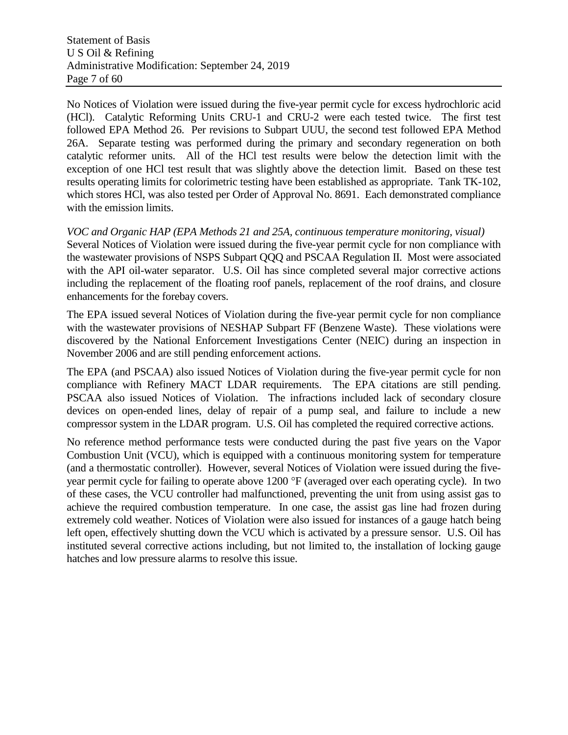No Notices of Violation were issued during the five-year permit cycle for excess hydrochloric acid (HCl). Catalytic Reforming Units CRU-1 and CRU-2 were each tested twice. The first test followed EPA Method 26. Per revisions to Subpart UUU, the second test followed EPA Method 26A. Separate testing was performed during the primary and secondary regeneration on both catalytic reformer units. All of the HCl test results were below the detection limit with the exception of one HCl test result that was slightly above the detection limit. Based on these test results operating limits for colorimetric testing have been established as appropriate. Tank TK-102, which stores HCl, was also tested per Order of Approval No. 8691. Each demonstrated compliance with the emission limits.

#### *VOC and Organic HAP (EPA Methods 21 and 25A, continuous temperature monitoring, visual)*

Several Notices of Violation were issued during the five-year permit cycle for non compliance with the wastewater provisions of NSPS Subpart QQQ and PSCAA Regulation II. Most were associated with the API oil-water separator. U.S. Oil has since completed several major corrective actions including the replacement of the floating roof panels, replacement of the roof drains, and closure enhancements for the forebay covers.

The EPA issued several Notices of Violation during the five-year permit cycle for non compliance with the wastewater provisions of NESHAP Subpart FF (Benzene Waste). These violations were discovered by the National Enforcement Investigations Center (NEIC) during an inspection in November 2006 and are still pending enforcement actions.

The EPA (and PSCAA) also issued Notices of Violation during the five-year permit cycle for non compliance with Refinery MACT LDAR requirements. The EPA citations are still pending. PSCAA also issued Notices of Violation. The infractions included lack of secondary closure devices on open-ended lines, delay of repair of a pump seal, and failure to include a new compressor system in the LDAR program. U.S. Oil has completed the required corrective actions.

No reference method performance tests were conducted during the past five years on the Vapor Combustion Unit (VCU), which is equipped with a continuous monitoring system for temperature (and a thermostatic controller). However, several Notices of Violation were issued during the fiveyear permit cycle for failing to operate above 1200 °F (averaged over each operating cycle). In two of these cases, the VCU controller had malfunctioned, preventing the unit from using assist gas to achieve the required combustion temperature. In one case, the assist gas line had frozen during extremely cold weather. Notices of Violation were also issued for instances of a gauge hatch being left open, effectively shutting down the VCU which is activated by a pressure sensor. U.S. Oil has instituted several corrective actions including, but not limited to, the installation of locking gauge hatches and low pressure alarms to resolve this issue.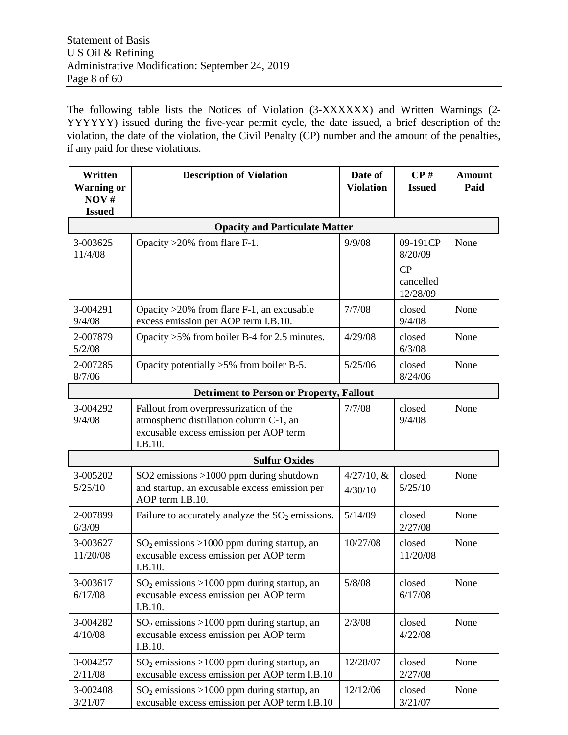The following table lists the Notices of Violation (3-XXXXXX) and Written Warnings (2- YYYYYY) issued during the five-year permit cycle, the date issued, a brief description of the violation, the date of the violation, the Civil Penalty (CP) number and the amount of the penalties, if any paid for these violations.

| Written<br><b>Warning or</b><br>NOV#<br><b>Issued</b> | <b>Description of Violation</b>                                                                                                        | Date of<br><b>Violation</b> | $\bf CP\,\textit{\#}$<br><b>Issued</b>             | <b>Amount</b><br>Paid |
|-------------------------------------------------------|----------------------------------------------------------------------------------------------------------------------------------------|-----------------------------|----------------------------------------------------|-----------------------|
|                                                       | <b>Opacity and Particulate Matter</b>                                                                                                  |                             |                                                    |                       |
| 3-003625<br>11/4/08                                   | Opacity $>20\%$ from flare F-1.                                                                                                        | 9/9/08                      | 09-191CP<br>8/20/09<br>CP<br>cancelled<br>12/28/09 | None                  |
| 3-004291<br>9/4/08                                    | Opacity $>20\%$ from flare F-1, an excusable<br>excess emission per AOP term I.B.10.                                                   | 7/7/08                      | closed<br>9/4/08                                   | None                  |
| 2-007879<br>5/2/08                                    | Opacity $>5\%$ from boiler B-4 for 2.5 minutes.                                                                                        | 4/29/08                     | closed<br>6/3/08                                   | None                  |
| 2-007285<br>8/7/06                                    | Opacity potentially $>5\%$ from boiler B-5.                                                                                            | 5/25/06                     | closed<br>8/24/06                                  | None                  |
|                                                       | <b>Detriment to Person or Property, Fallout</b>                                                                                        |                             |                                                    |                       |
| 3-004292<br>9/4/08                                    | Fallout from overpressurization of the<br>atmospheric distillation column C-1, an<br>excusable excess emission per AOP term<br>I.B.10. | 7/7/08                      | closed<br>9/4/08                                   | None                  |
|                                                       | <b>Sulfur Oxides</b>                                                                                                                   |                             |                                                    |                       |
| 3-005202<br>5/25/10                                   | SO2 emissions >1000 ppm during shutdown<br>and startup, an excusable excess emission per<br>AOP term I.B.10.                           | $4/27/10$ , &<br>4/30/10    | closed<br>5/25/10                                  | None                  |
| 2-007899<br>6/3/09                                    | Failure to accurately analyze the $SO_2$ emissions.                                                                                    | 5/14/09                     | closed<br>2/27/08                                  | None                  |
| 3-003627<br>11/20/08                                  | $SO_2$ emissions >1000 ppm during startup, an<br>excusable excess emission per AOP term<br>I.B.10.                                     | 10/27/08                    | closed<br>11/20/08                                 | None                  |
| 3-003617<br>6/17/08                                   | $SO2$ emissions >1000 ppm during startup, an<br>excusable excess emission per AOP term<br>I.B.10.                                      | 5/8/08                      | closed<br>6/17/08                                  | None                  |
| 3-004282<br>4/10/08                                   | $SO2$ emissions >1000 ppm during startup, an<br>excusable excess emission per AOP term<br>I.B.10.                                      | 2/3/08                      | closed<br>4/22/08                                  | None                  |
| 3-004257<br>2/11/08                                   | $SO_2$ emissions >1000 ppm during startup, an<br>excusable excess emission per AOP term I.B.10                                         | 12/28/07                    | closed<br>2/27/08                                  | None                  |
| 3-002408<br>3/21/07                                   | $SO_2$ emissions >1000 ppm during startup, an<br>excusable excess emission per AOP term I.B.10                                         | 12/12/06                    | closed<br>3/21/07                                  | None                  |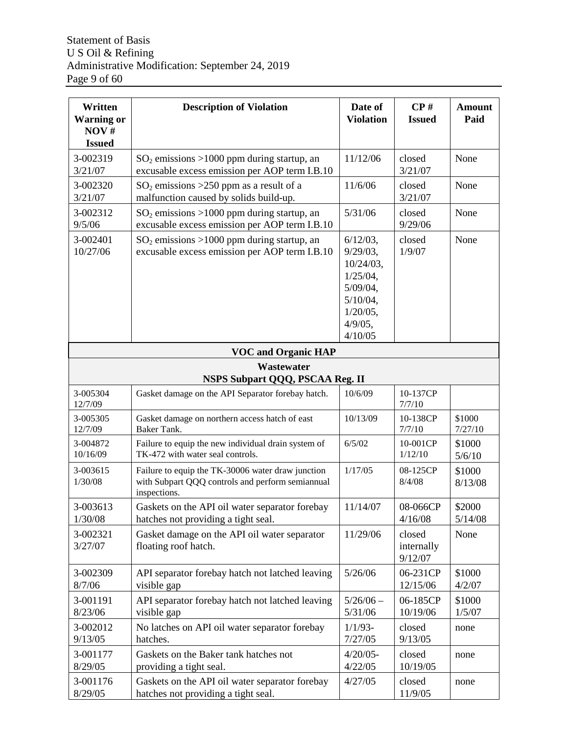| Written<br><b>Warning or</b><br>NOV#<br><b>Issued</b> | <b>Description of Violation</b>                                                                                       | Date of<br><b>Violation</b>                                                                                                     | $\bf CP\,\textit{\#}$<br><b>Issued</b> | <b>Amount</b><br>Paid |
|-------------------------------------------------------|-----------------------------------------------------------------------------------------------------------------------|---------------------------------------------------------------------------------------------------------------------------------|----------------------------------------|-----------------------|
| 3-002319<br>3/21/07                                   | $SO_2$ emissions >1000 ppm during startup, an<br>excusable excess emission per AOP term I.B.10                        | 11/12/06                                                                                                                        | closed<br>3/21/07                      | None                  |
| 3-002320<br>3/21/07                                   | $SO_2$ emissions >250 ppm as a result of a<br>malfunction caused by solids build-up.                                  | 11/6/06                                                                                                                         | closed<br>3/21/07                      | None                  |
| 3-002312<br>9/5/06                                    | $SO_2$ emissions >1000 ppm during startup, an<br>excusable excess emission per AOP term I.B.10                        | 5/31/06                                                                                                                         | closed<br>9/29/06                      | None                  |
| 3-002401<br>10/27/06                                  | $SO2$ emissions >1000 ppm during startup, an<br>excusable excess emission per AOP term I.B.10                         | $6/12/03$ ,<br>$9/29/03$ ,<br>$10/24/03$ ,<br>$1/25/04$ ,<br>$5/09/04$ ,<br>$5/10/04$ ,<br>$1/20/05$ ,<br>$4/9/05$ ,<br>4/10/05 | closed<br>1/9/07                       | None                  |
|                                                       | <b>VOC and Organic HAP</b>                                                                                            |                                                                                                                                 |                                        |                       |
|                                                       | Wastewater<br>NSPS Subpart QQQ, PSCAA Reg. II                                                                         |                                                                                                                                 |                                        |                       |
| 3-005304<br>12/7/09                                   | Gasket damage on the API Separator forebay hatch.                                                                     | 10/6/09                                                                                                                         | 10-137CP<br>7/7/10                     |                       |
| 3-005305<br>12/7/09                                   | Gasket damage on northern access hatch of east<br>Baker Tank.                                                         | 10/13/09                                                                                                                        | 10-138CP<br>7/7/10                     | \$1000<br>7/27/10     |
| 3-004872<br>10/16/09                                  | Failure to equip the new individual drain system of<br>TK-472 with water seal controls.                               | 6/5/02                                                                                                                          | 10-001CP<br>1/12/10                    | \$1000<br>5/6/10      |
| 3-003615<br>1/30/08                                   | Failure to equip the TK-30006 water draw junction<br>with Subpart QQQ controls and perform semiannual<br>inspections. | 1/17/05                                                                                                                         | 08-125CP<br>8/4/08                     | \$1000<br>8/13/08     |
| 3-003613<br>1/30/08                                   | Gaskets on the API oil water separator forebay<br>hatches not providing a tight seal.                                 | 11/14/07                                                                                                                        | 08-066CP<br>4/16/08                    | \$2000<br>5/14/08     |
| 3-002321<br>3/27/07                                   | Gasket damage on the API oil water separator<br>floating roof hatch.                                                  | 11/29/06                                                                                                                        | closed<br>internally<br>9/12/07        | None                  |
| 3-002309<br>8/7/06                                    | API separator forebay hatch not latched leaving<br>visible gap                                                        | 5/26/06                                                                                                                         | 06-231CP<br>12/15/06                   | \$1000<br>4/2/07      |
| 3-001191<br>8/23/06                                   | API separator forebay hatch not latched leaving<br>visible gap                                                        | $5/26/06 -$<br>5/31/06                                                                                                          | 06-185CP<br>10/19/06                   | \$1000<br>1/5/07      |
| 3-002012<br>9/13/05                                   | No latches on API oil water separator forebay<br>hatches.                                                             | $1/1/93-$<br>7/27/05                                                                                                            | closed<br>9/13/05                      | none                  |
| 3-001177<br>8/29/05                                   | Gaskets on the Baker tank hatches not<br>providing a tight seal.                                                      | $4/20/05 -$<br>4/22/05                                                                                                          | closed<br>10/19/05                     | none                  |
| 3-001176<br>8/29/05                                   | Gaskets on the API oil water separator forebay<br>hatches not providing a tight seal.                                 | 4/27/05                                                                                                                         | closed<br>11/9/05                      | none                  |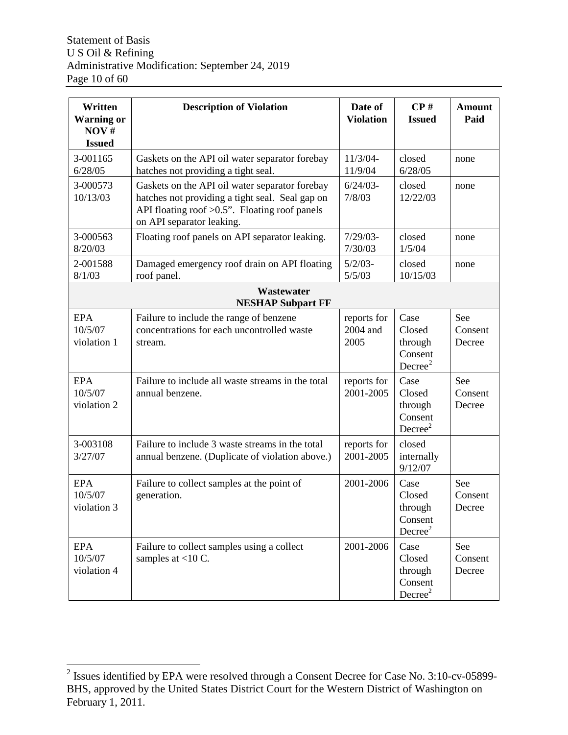| Written<br><b>Warning or</b><br>NOV#<br><b>Issued</b> | <b>Description of Violation</b>                                                                                                                                                    | Date of<br><b>Violation</b>     | $\bf CP\,\textit{\#}$<br><b>Issued</b>                      | <b>Amount</b><br>Paid    |
|-------------------------------------------------------|------------------------------------------------------------------------------------------------------------------------------------------------------------------------------------|---------------------------------|-------------------------------------------------------------|--------------------------|
| 3-001165<br>6/28/05                                   | Gaskets on the API oil water separator forebay<br>hatches not providing a tight seal.                                                                                              | $11/3/04-$<br>11/9/04           | closed<br>6/28/05                                           | none                     |
| 3-000573<br>10/13/03                                  | Gaskets on the API oil water separator forebay<br>hatches not providing a tight seal. Seal gap on<br>API floating roof $>0.5$ ". Floating roof panels<br>on API separator leaking. | $6/24/03 -$<br>7/8/03           | closed<br>12/22/03                                          | none                     |
| 3-000563<br>8/20/03                                   | Floating roof panels on API separator leaking.                                                                                                                                     | $7/29/03$ -<br>7/30/03          | closed<br>1/5/04                                            | none                     |
| 2-001588<br>8/1/03                                    | Damaged emergency roof drain on API floating<br>roof panel.                                                                                                                        | $5/2/03-$<br>5/5/03             | closed<br>10/15/03                                          | none                     |
|                                                       | Wastewater<br><b>NESHAP Subpart FF</b>                                                                                                                                             |                                 |                                                             |                          |
| <b>EPA</b><br>10/5/07<br>violation 1                  | Failure to include the range of benzene<br>concentrations for each uncontrolled waste<br>stream.                                                                                   | reports for<br>2004 and<br>2005 | Case<br>Closed<br>through<br>Consent<br>Decree <sup>2</sup> | See<br>Consent<br>Decree |
| <b>EPA</b><br>10/5/07<br>violation 2                  | Failure to include all waste streams in the total<br>annual benzene.                                                                                                               | reports for<br>2001-2005        | Case<br>Closed<br>through<br>Consent<br>Decree <sup>2</sup> | See<br>Consent<br>Decree |
| 3-003108<br>3/27/07                                   | Failure to include 3 waste streams in the total<br>annual benzene. (Duplicate of violation above.)                                                                                 | reports for<br>2001-2005        | closed<br>internally<br>9/12/07                             |                          |
| <b>EPA</b><br>10/5/07<br>violation 3                  | Failure to collect samples at the point of<br>generation.                                                                                                                          | 2001-2006                       | Case<br>Closed<br>through<br>Consent<br>Decree <sup>2</sup> | See<br>Consent<br>Decree |
| EPA<br>10/5/07<br>violation 4                         | Failure to collect samples using a collect<br>samples at $<$ 10 C.                                                                                                                 | 2001-2006                       | Case<br>Closed<br>through<br>Consent<br>Decree <sup>2</sup> | See<br>Consent<br>Decree |

<span id="page-9-0"></span><sup>&</sup>lt;sup>2</sup> Issues identified by EPA were resolved through a Consent Decree for Case No. 3:10-cv-05899-BHS, approved by the United States District Court for the Western District of Washington on February 1, 2011.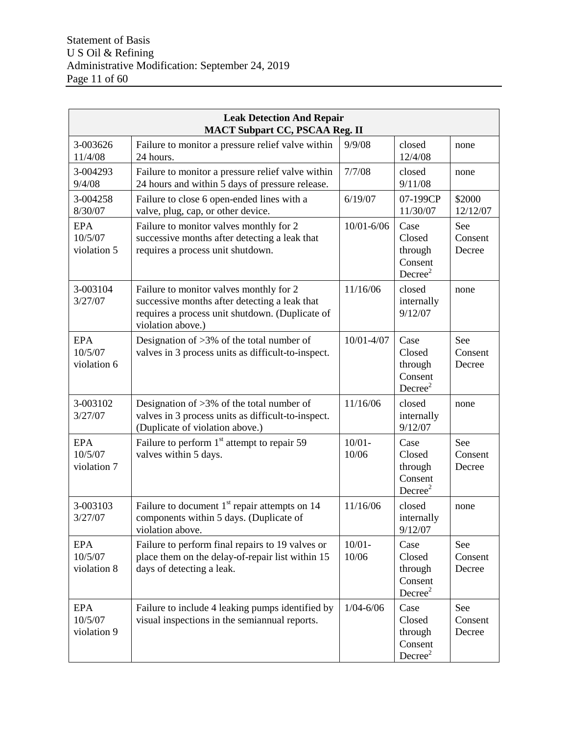| <b>Leak Detection And Repair</b><br><b>MACT Subpart CC, PSCAA Reg. II</b> |                                                                                                                                                                                                            |                    |                                                             |                          |  |  |
|---------------------------------------------------------------------------|------------------------------------------------------------------------------------------------------------------------------------------------------------------------------------------------------------|--------------------|-------------------------------------------------------------|--------------------------|--|--|
| 3-003626<br>11/4/08                                                       | Failure to monitor a pressure relief valve within<br>24 hours.                                                                                                                                             | 9/9/08             | closed<br>12/4/08                                           | none                     |  |  |
| 3-004293<br>9/4/08                                                        | Failure to monitor a pressure relief valve within<br>24 hours and within 5 days of pressure release.                                                                                                       | 7/7/08             | closed<br>9/11/08                                           | none                     |  |  |
| 3-004258<br>8/30/07                                                       | Failure to close 6 open-ended lines with a<br>valve, plug, cap, or other device.                                                                                                                           | 6/19/07            | 07-199CP<br>11/30/07                                        | \$2000<br>12/12/07       |  |  |
| <b>EPA</b><br>10/5/07<br>violation 5                                      | 10/01-6/06<br>Case<br>Failure to monitor valves monthly for 2<br>successive months after detecting a leak that<br>Closed<br>requires a process unit shutdown.<br>through<br>Consent<br>Decree <sup>2</sup> |                    |                                                             |                          |  |  |
| 3-003104<br>3/27/07                                                       | Failure to monitor valves monthly for 2<br>successive months after detecting a leak that<br>requires a process unit shutdown. (Duplicate of<br>violation above.)                                           | 11/16/06           | closed<br>internally<br>9/12/07                             | none                     |  |  |
| <b>EPA</b><br>10/5/07<br>violation 6                                      | Designation of $>3\%$ of the total number of<br>valves in 3 process units as difficult-to-inspect.                                                                                                         | 10/01-4/07         | Case<br>Closed<br>through<br>Consent<br>Decree <sup>2</sup> | See<br>Consent<br>Decree |  |  |
| 3-003102<br>3/27/07                                                       | Designation of $>3\%$ of the total number of<br>valves in 3 process units as difficult-to-inspect.<br>(Duplicate of violation above.)                                                                      | 11/16/06           | closed<br>internally<br>9/12/07                             | none                     |  |  |
| <b>EPA</b><br>10/5/07<br>violation 7                                      | Failure to perform 1 <sup>st</sup> attempt to repair 59<br>valves within 5 days.                                                                                                                           | $10/01 -$<br>10/06 | Case<br>Closed<br>through<br>Consent<br>Decree <sup>2</sup> | See<br>Consent<br>Decree |  |  |
| 3-003103<br>3/27/07                                                       | Failure to document $1st$ repair attempts on 14<br>components within 5 days. (Duplicate of<br>violation above.                                                                                             | 11/16/06           | closed<br>internally<br>9/12/07                             | none                     |  |  |
| EPA<br>10/5/07<br>violation 8                                             | Failure to perform final repairs to 19 valves or<br>place them on the delay-of-repair list within 15<br>days of detecting a leak.                                                                          | $10/01 -$<br>10/06 | Case<br>Closed<br>through<br>Consent<br>Decree <sup>2</sup> | See<br>Consent<br>Decree |  |  |
| EPA<br>10/5/07<br>violation 9                                             | Failure to include 4 leaking pumps identified by<br>visual inspections in the semiannual reports.                                                                                                          | $1/04 - 6/06$      | Case<br>Closed<br>through<br>Consent<br>Decree <sup>2</sup> | See<br>Consent<br>Decree |  |  |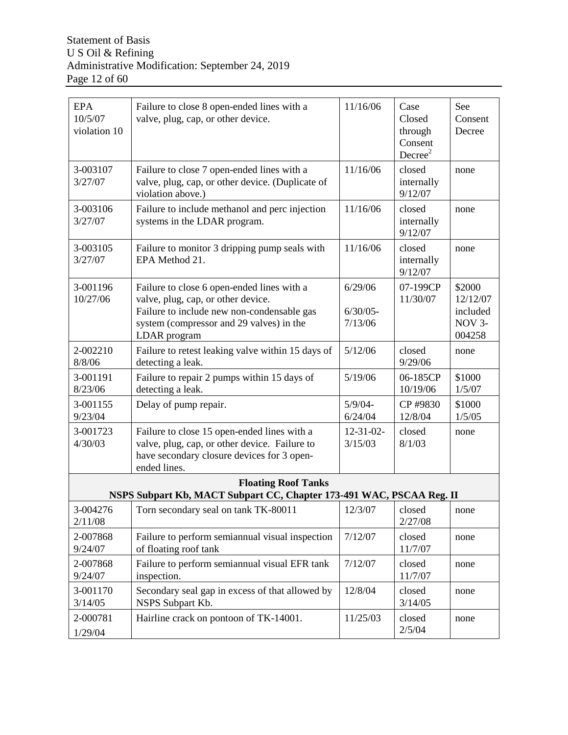| <b>EPA</b><br>10/5/07<br>violation 10 | Failure to close 8 open-ended lines with a<br>valve, plug, cap, or other device.                                                                                                           | 11/16/06                          | Case<br>Closed<br>through<br>Consent<br>Decree <sup>2</sup> | See<br>Consent<br>Decree                           |
|---------------------------------------|--------------------------------------------------------------------------------------------------------------------------------------------------------------------------------------------|-----------------------------------|-------------------------------------------------------------|----------------------------------------------------|
| 3-003107<br>3/27/07                   | Failure to close 7 open-ended lines with a<br>valve, plug, cap, or other device. (Duplicate of<br>violation above.)                                                                        | 11/16/06                          | closed<br>internally<br>9/12/07                             | none                                               |
| 3-003106<br>3/27/07                   | Failure to include methanol and perc injection<br>systems in the LDAR program.                                                                                                             | 11/16/06                          | closed<br>internally<br>9/12/07                             | none                                               |
| 3-003105<br>3/27/07                   | Failure to monitor 3 dripping pump seals with<br>EPA Method 21.                                                                                                                            | 11/16/06                          | closed<br>internally<br>9/12/07                             | none                                               |
| 3-001196<br>10/27/06                  | Failure to close 6 open-ended lines with a<br>valve, plug, cap, or other device.<br>Failure to include new non-condensable gas<br>system (compressor and 29 valves) in the<br>LDAR program | 6/29/06<br>$6/30/05$ -<br>7/13/06 | 07-199CP<br>11/30/07                                        | \$2000<br>12/12/07<br>included<br>NOV 3-<br>004258 |
| 2-002210<br>8/8/06                    | Failure to retest leaking valve within 15 days of<br>detecting a leak.                                                                                                                     | 5/12/06                           | closed<br>9/29/06                                           | none                                               |
| 3-001191<br>8/23/06                   | Failure to repair 2 pumps within 15 days of<br>detecting a leak.                                                                                                                           | 5/19/06                           | 06-185CP<br>10/19/06                                        | \$1000<br>1/5/07                                   |
| 3-001155<br>9/23/04                   | Delay of pump repair.                                                                                                                                                                      | $5/9/04 -$<br>6/24/04             | CP #9830<br>12/8/04                                         | \$1000<br>1/5/05                                   |
| 3-001723<br>4/30/03                   | Failure to close 15 open-ended lines with a<br>valve, plug, cap, or other device. Failure to<br>have secondary closure devices for 3 open-<br>ended lines.                                 | $12 - 31 - 02$<br>3/15/03         | closed<br>8/1/03                                            | none                                               |
|                                       | <b>Floating Roof Tanks</b><br>NSPS Subpart Kb, MACT Subpart CC, Chapter 173-491 WAC, PSCAA Reg. II                                                                                         |                                   |                                                             |                                                    |
| 3-004276<br>2/11/08                   | Torn secondary seal on tank TK-80011                                                                                                                                                       | 12/3/07                           | closed<br>2/27/08                                           | none                                               |
| 2-007868<br>9/24/07                   | Failure to perform semiannual visual inspection<br>of floating roof tank                                                                                                                   | 7/12/07                           | closed<br>11/7/07                                           | none                                               |
| 2-007868<br>9/24/07                   | Failure to perform semiannual visual EFR tank<br>inspection.                                                                                                                               | 7/12/07                           | closed<br>11/7/07                                           | none                                               |
| 3-001170<br>3/14/05                   | Secondary seal gap in excess of that allowed by<br>NSPS Subpart Kb.                                                                                                                        | 12/8/04                           | closed<br>3/14/05                                           | none                                               |
| 2-000781<br>1/29/04                   | Hairline crack on pontoon of TK-14001.                                                                                                                                                     | 11/25/03                          | closed<br>2/5/04                                            | none                                               |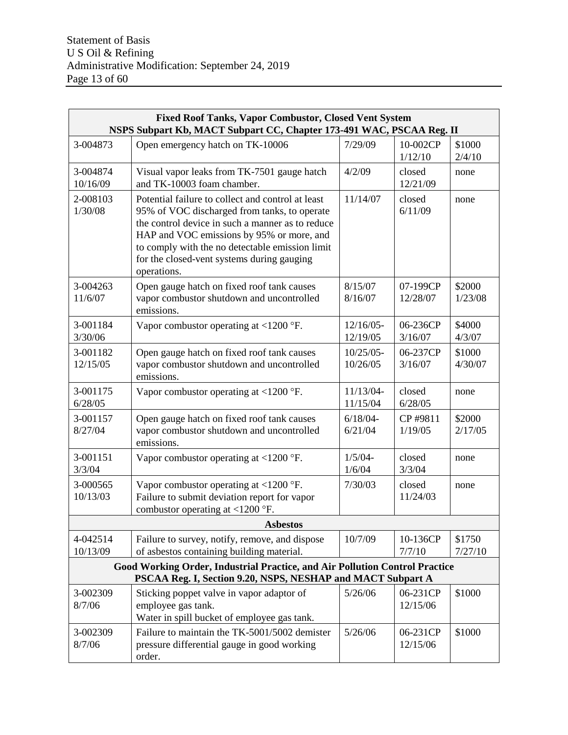| <b>Fixed Roof Tanks, Vapor Combustor, Closed Vent System</b><br>NSPS Subpart Kb, MACT Subpart CC, Chapter 173-491 WAC, PSCAA Reg. II |                                                                                                                                                                                                                                                                                                                    |                          |                      |                   |  |  |  |
|--------------------------------------------------------------------------------------------------------------------------------------|--------------------------------------------------------------------------------------------------------------------------------------------------------------------------------------------------------------------------------------------------------------------------------------------------------------------|--------------------------|----------------------|-------------------|--|--|--|
| 3-004873                                                                                                                             | Open emergency hatch on TK-10006                                                                                                                                                                                                                                                                                   | 7/29/09                  | 10-002CP<br>1/12/10  | \$1000<br>2/4/10  |  |  |  |
| 3-004874<br>10/16/09                                                                                                                 | Visual vapor leaks from TK-7501 gauge hatch<br>and TK-10003 foam chamber.                                                                                                                                                                                                                                          | 4/2/09                   | closed<br>12/21/09   | none              |  |  |  |
| 2-008103<br>1/30/08                                                                                                                  | Potential failure to collect and control at least<br>95% of VOC discharged from tanks, to operate<br>the control device in such a manner as to reduce<br>HAP and VOC emissions by 95% or more, and<br>to comply with the no detectable emission limit<br>for the closed-vent systems during gauging<br>operations. | 11/14/07                 | closed<br>6/11/09    | none              |  |  |  |
| 3-004263<br>11/6/07                                                                                                                  | Open gauge hatch on fixed roof tank causes<br>vapor combustor shutdown and uncontrolled<br>emissions.                                                                                                                                                                                                              | 8/15/07<br>8/16/07       | 07-199CP<br>12/28/07 | \$2000<br>1/23/08 |  |  |  |
| 3-001184<br>3/30/06                                                                                                                  | Vapor combustor operating at $\langle 1200 \text{ }^{\circ} \text{F} \rangle$ .                                                                                                                                                                                                                                    | $12/16/05$ -<br>12/19/05 | 06-236CP<br>3/16/07  | \$4000<br>4/3/07  |  |  |  |
| 3-001182<br>12/15/05                                                                                                                 | Open gauge hatch on fixed roof tank causes<br>vapor combustor shutdown and uncontrolled<br>emissions.                                                                                                                                                                                                              | $10/25/05$ -<br>10/26/05 | 06-237CP<br>3/16/07  | \$1000<br>4/30/07 |  |  |  |
| 3-001175<br>6/28/05                                                                                                                  | Vapor combustor operating at $\langle 1200 \text{ }^{\circ} \text{F} \rangle$ .                                                                                                                                                                                                                                    | 11/13/04-<br>11/15/04    | closed<br>6/28/05    | none              |  |  |  |
| 3-001157<br>8/27/04                                                                                                                  | Open gauge hatch on fixed roof tank causes<br>vapor combustor shutdown and uncontrolled<br>emissions.                                                                                                                                                                                                              | $6/18/04 -$<br>6/21/04   | CP #9811<br>1/19/05  | \$2000<br>2/17/05 |  |  |  |
| 3-001151<br>3/3/04                                                                                                                   | Vapor combustor operating at $\langle 1200 \text{ }^{\circ} \text{F} \rangle$ .                                                                                                                                                                                                                                    | $1/5/04 -$<br>1/6/04     | closed<br>3/3/04     | none              |  |  |  |
| 3-000565<br>10/13/03                                                                                                                 | Vapor combustor operating at $<$ 1200 °F.<br>Failure to submit deviation report for vapor<br>combustor operating at $\langle 1200 \text{ }^{\circ} \text{F} \rangle$ .                                                                                                                                             | 7/30/03                  | closed<br>11/24/03   | none              |  |  |  |
|                                                                                                                                      | <b>Asbestos</b>                                                                                                                                                                                                                                                                                                    |                          |                      |                   |  |  |  |
| 4-042514<br>10/13/09                                                                                                                 | Failure to survey, notify, remove, and dispose<br>of asbestos containing building material.                                                                                                                                                                                                                        | 10/7/09                  | 10-136CP<br>7/7/10   | \$1750<br>7/27/10 |  |  |  |
|                                                                                                                                      | <b>Good Working Order, Industrial Practice, and Air Pollution Control Practice</b><br>PSCAA Reg. I, Section 9.20, NSPS, NESHAP and MACT Subpart A                                                                                                                                                                  |                          |                      |                   |  |  |  |
| 3-002309<br>8/7/06                                                                                                                   | Sticking poppet valve in vapor adaptor of<br>employee gas tank.<br>Water in spill bucket of employee gas tank.                                                                                                                                                                                                     | 5/26/06                  | 06-231CP<br>12/15/06 | \$1000            |  |  |  |
| 3-002309<br>8/7/06                                                                                                                   | Failure to maintain the TK-5001/5002 demister<br>pressure differential gauge in good working<br>order.                                                                                                                                                                                                             | 5/26/06                  | 06-231CP<br>12/15/06 | \$1000            |  |  |  |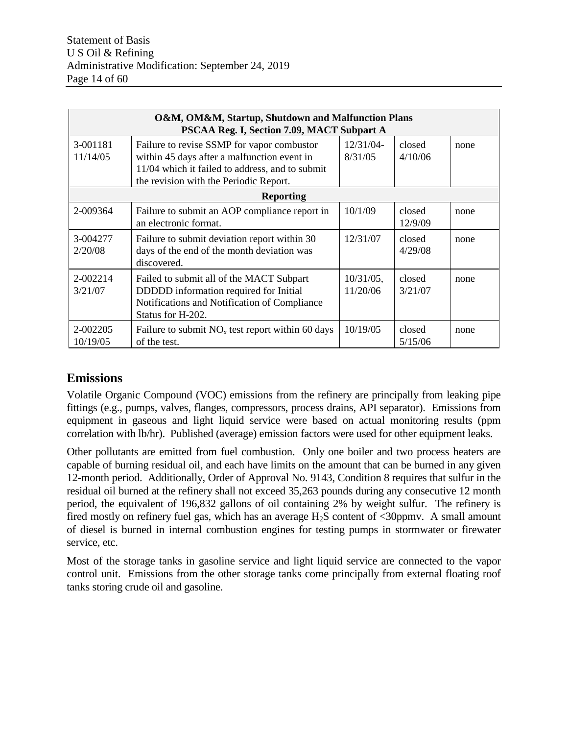|                      | O&M, OM&M, Startup, Shutdown and Malfunction Plans<br>PSCAA Reg. I, Section 7.09, MACT Subpart A                                                                                       |                          |                   |      |
|----------------------|----------------------------------------------------------------------------------------------------------------------------------------------------------------------------------------|--------------------------|-------------------|------|
| 3-001181<br>11/14/05 | Failure to revise SSMP for vapor combustor<br>within 45 days after a malfunction event in<br>11/04 which it failed to address, and to submit<br>the revision with the Periodic Report. | closed<br>4/10/06        | none              |      |
|                      | <b>Reporting</b>                                                                                                                                                                       |                          |                   |      |
| 2-009364             | Failure to submit an AOP compliance report in<br>an electronic format.                                                                                                                 | 10/1/09                  | closed<br>12/9/09 | none |
| 3-004277<br>2/20/08  | Failure to submit deviation report within 30<br>days of the end of the month deviation was<br>discovered.                                                                              | 12/31/07                 | closed<br>4/29/08 | none |
| 2-002214<br>3/21/07  | Failed to submit all of the MACT Subpart<br>DDDDD information required for Initial<br>Notifications and Notification of Compliance<br>Status for H-202.                                | $10/31/05$ ,<br>11/20/06 | closed<br>3/21/07 | none |
| 2-002205<br>10/19/05 | Failure to submit $NOx$ test report within 60 days<br>of the test.                                                                                                                     | 10/19/05                 | closed<br>5/15/06 | none |

## **Emissions**

Volatile Organic Compound (VOC) emissions from the refinery are principally from leaking pipe fittings (e.g., pumps, valves, flanges, compressors, process drains, API separator). Emissions from equipment in gaseous and light liquid service were based on actual monitoring results (ppm correlation with lb/hr). Published (average) emission factors were used for other equipment leaks.

Other pollutants are emitted from fuel combustion. Only one boiler and two process heaters are capable of burning residual oil, and each have limits on the amount that can be burned in any given 12-month period. Additionally, Order of Approval No. 9143, Condition 8 requires that sulfur in the residual oil burned at the refinery shall not exceed 35,263 pounds during any consecutive 12 month period, the equivalent of 196,832 gallons of oil containing 2% by weight sulfur. The refinery is fired mostly on refinery fuel gas, which has an average  $H_2S$  content of  $\langle 30ppmv \rangle$ . A small amount of diesel is burned in internal combustion engines for testing pumps in stormwater or firewater service, etc.

Most of the storage tanks in gasoline service and light liquid service are connected to the vapor control unit. Emissions from the other storage tanks come principally from external floating roof tanks storing crude oil and gasoline.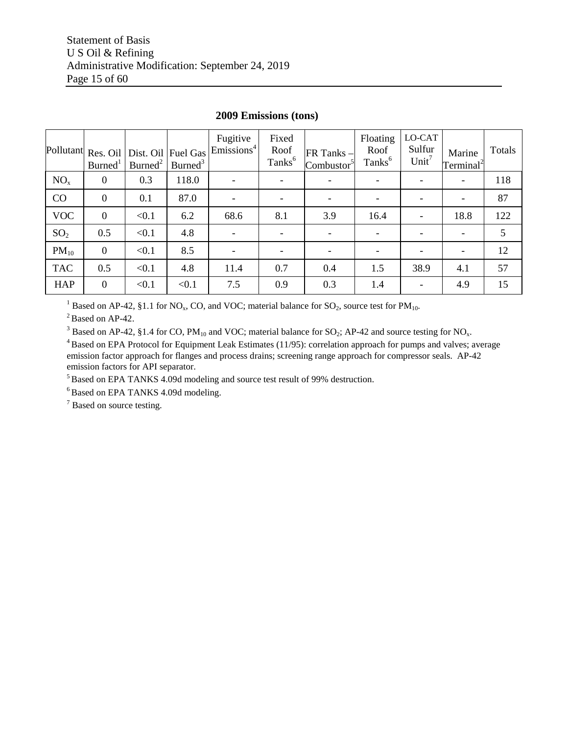| Pollutant       | Res. Oil<br>Burned <sup>1</sup> | Dist. Oil<br>Burned <sup>2</sup> | Fuel Gas<br>Burned <sup>3</sup> | Fugitive<br>Emissions <sup>4</sup> | Fixed<br>Roof<br>Tanks <sup>6</sup> | FR Tanks -<br>Combustor <sup>5</sup> | Floating<br>Roof<br>Tanks <sup>6</sup> | LO-CAT<br>Sulfur<br>Unit <sup>7</sup> | Marine<br>Terminal <sup>2</sup> | Totals |
|-----------------|---------------------------------|----------------------------------|---------------------------------|------------------------------------|-------------------------------------|--------------------------------------|----------------------------------------|---------------------------------------|---------------------------------|--------|
| NO <sub>x</sub> | $\overline{0}$                  | 0.3                              | 118.0                           |                                    |                                     |                                      |                                        |                                       | $\overline{\phantom{a}}$        | 118    |
| CO              | $\mathbf{0}$                    | 0.1                              | 87.0                            |                                    |                                     | $\overline{\phantom{a}}$             |                                        |                                       |                                 | 87     |
| <b>VOC</b>      | $\mathbf{0}$                    | < 0.1                            | 6.2                             | 68.6                               | 8.1                                 | 3.9                                  | 16.4                                   |                                       | 18.8                            | 122    |
| SO <sub>2</sub> | 0.5                             | < 0.1                            | 4.8                             |                                    |                                     |                                      |                                        |                                       | $\overline{\phantom{a}}$        | 5      |
| $PM_{10}$       | $\mathbf{0}$                    | < 0.1                            | 8.5                             |                                    |                                     |                                      |                                        |                                       |                                 | 12     |
| <b>TAC</b>      | 0.5                             | < 0.1                            | 4.8                             | 11.4                               | 0.7                                 | 0.4                                  | 1.5                                    | 38.9                                  | 4.1                             | 57     |
| <b>HAP</b>      | $\mathbf{0}$                    | < 0.1                            | < 0.1                           | 7.5                                | 0.9                                 | 0.3                                  | 1.4                                    |                                       | 4.9                             | 15     |

## **2009 Emissions (tons)**

<sup>1</sup> Based on AP-42, §1.1 for NO<sub>x</sub>, CO, and VOC; material balance for SO<sub>2</sub>, source test for PM<sub>10</sub>.

 $2^2$  Based on AP-42.

<sup>3</sup> Based on AP-42, §1.4 for CO, PM<sub>10</sub> and VOC; material balance for SO<sub>2</sub>; AP-42 and source testing for NO<sub>x</sub>.

<sup>4</sup> Based on EPA Protocol for Equipment Leak Estimates (11/95): correlation approach for pumps and valves; average emission factor approach for flanges and process drains; screening range approach for compressor seals. AP-42 emission factors for API separator.

<sup>5</sup> Based on EPA TANKS 4.09d modeling and source test result of 99% destruction.

<sup>6</sup> Based on EPA TANKS 4.09d modeling.

<sup>7</sup> Based on source testing.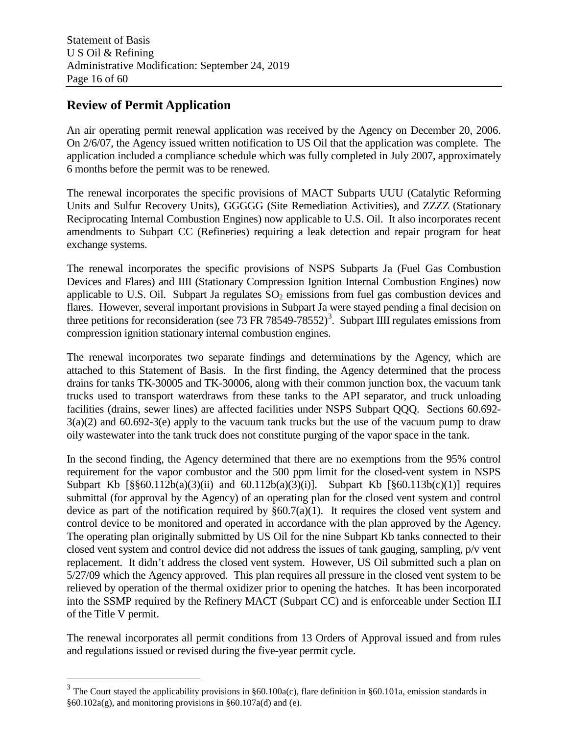## **Review of Permit Application**

An air operating permit renewal application was received by the Agency on December 20, 2006. On 2/6/07, the Agency issued written notification to US Oil that the application was complete. The application included a compliance schedule which was fully completed in July 2007, approximately 6 months before the permit was to be renewed.

The renewal incorporates the specific provisions of MACT Subparts UUU (Catalytic Reforming Units and Sulfur Recovery Units), GGGGG (Site Remediation Activities), and ZZZZ (Stationary Reciprocating Internal Combustion Engines) now applicable to U.S. Oil. It also incorporates recent amendments to Subpart CC (Refineries) requiring a leak detection and repair program for heat exchange systems.

The renewal incorporates the specific provisions of NSPS Subparts Ja (Fuel Gas Combustion Devices and Flares) and IIII (Stationary Compression Ignition Internal Combustion Engines) now applicable to U.S. Oil. Subpart Ja regulates  $SO<sub>2</sub>$  emissions from fuel gas combustion devices and flares. However, several important provisions in Subpart Ja were stayed pending a final decision on three petitions for reconsideration (see 7[3](#page-15-0) FR 78549-78552)<sup>3</sup>. Subpart IIII regulates emissions from compression ignition stationary internal combustion engines.

The renewal incorporates two separate findings and determinations by the Agency, which are attached to this Statement of Basis. In the first finding, the Agency determined that the process drains for tanks TK-30005 and TK-30006, along with their common junction box, the vacuum tank trucks used to transport waterdraws from these tanks to the API separator, and truck unloading facilities (drains, sewer lines) are affected facilities under NSPS Subpart QQQ. Sections 60.692- 3(a)(2) and 60.692-3(e) apply to the vacuum tank trucks but the use of the vacuum pump to draw oily wastewater into the tank truck does not constitute purging of the vapor space in the tank.

In the second finding, the Agency determined that there are no exemptions from the 95% control requirement for the vapor combustor and the 500 ppm limit for the closed-vent system in NSPS Subpart Kb  $[\S\$ [60.112b(a)(3)(ii) and 60.112b(a)(3)(i)]. Subpart Kb  $[\S 60.113b(c)(1)]$  requires submittal (for approval by the Agency) of an operating plan for the closed vent system and control device as part of the notification required by  $\S60.7(a)(1)$ . It requires the closed vent system and control device to be monitored and operated in accordance with the plan approved by the Agency. The operating plan originally submitted by US Oil for the nine Subpart Kb tanks connected to their closed vent system and control device did not address the issues of tank gauging, sampling, p/v vent replacement. It didn't address the closed vent system. However, US Oil submitted such a plan on 5/27/09 which the Agency approved. This plan requires all pressure in the closed vent system to be relieved by operation of the thermal oxidizer prior to opening the hatches. It has been incorporated into the SSMP required by the Refinery MACT (Subpart CC) and is enforceable under Section II.I of the Title V permit.

The renewal incorporates all permit conditions from 13 Orders of Approval issued and from rules and regulations issued or revised during the five-year permit cycle.

<span id="page-15-0"></span><sup>&</sup>lt;sup>3</sup> The Court stayed the applicability provisions in  $§60.100a(c)$ , flare definition in §60.101a, emission standards in  $§60.102a(g)$ , and monitoring provisions in  $§60.107a(d)$  and (e).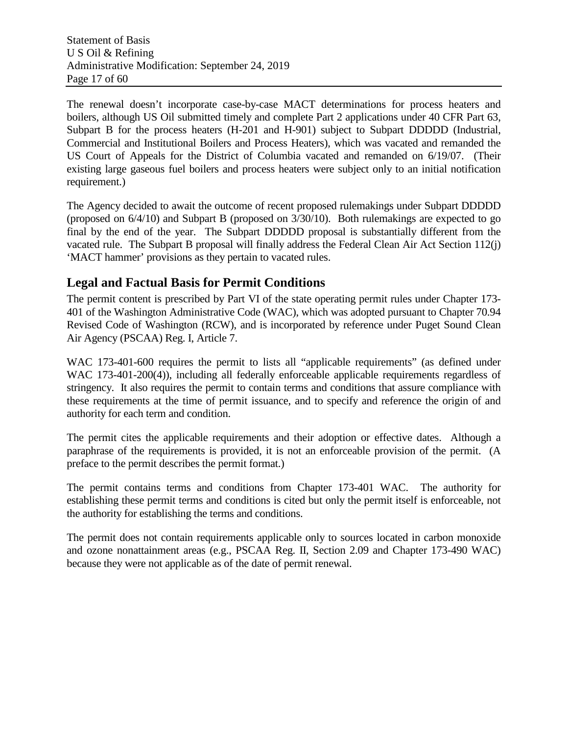The renewal doesn't incorporate case-by-case MACT determinations for process heaters and boilers, although US Oil submitted timely and complete Part 2 applications under 40 CFR Part 63, Subpart B for the process heaters (H-201 and H-901) subject to Subpart DDDDD (Industrial, Commercial and Institutional Boilers and Process Heaters), which was vacated and remanded the US Court of Appeals for the District of Columbia vacated and remanded on 6/19/07. (Their existing large gaseous fuel boilers and process heaters were subject only to an initial notification requirement.)

The Agency decided to await the outcome of recent proposed rulemakings under Subpart DDDDD (proposed on 6/4/10) and Subpart B (proposed on 3/30/10). Both rulemakings are expected to go final by the end of the year. The Subpart DDDDD proposal is substantially different from the vacated rule. The Subpart B proposal will finally address the Federal Clean Air Act Section 112(j) 'MACT hammer' provisions as they pertain to vacated rules.

## **Legal and Factual Basis for Permit Conditions**

The permit content is prescribed by Part VI of the state operating permit rules under Chapter 173- 401 of the Washington Administrative Code (WAC), which was adopted pursuant to Chapter 70.94 Revised Code of Washington (RCW), and is incorporated by reference under Puget Sound Clean Air Agency (PSCAA) Reg. I, Article 7.

WAC 173-401-600 requires the permit to lists all "applicable requirements" (as defined under WAC 173-401-200(4)), including all federally enforceable applicable requirements regardless of stringency. It also requires the permit to contain terms and conditions that assure compliance with these requirements at the time of permit issuance, and to specify and reference the origin of and authority for each term and condition.

The permit cites the applicable requirements and their adoption or effective dates. Although a paraphrase of the requirements is provided, it is not an enforceable provision of the permit. (A preface to the permit describes the permit format.)

The permit contains terms and conditions from Chapter 173-401 WAC. The authority for establishing these permit terms and conditions is cited but only the permit itself is enforceable, not the authority for establishing the terms and conditions.

The permit does not contain requirements applicable only to sources located in carbon monoxide and ozone nonattainment areas (e.g., PSCAA Reg. II, Section 2.09 and Chapter 173-490 WAC) because they were not applicable as of the date of permit renewal.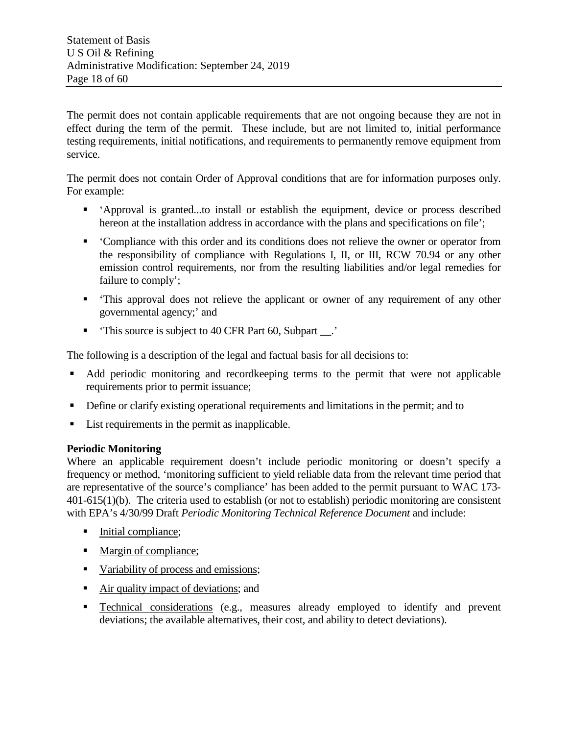The permit does not contain applicable requirements that are not ongoing because they are not in effect during the term of the permit. These include, but are not limited to, initial performance testing requirements, initial notifications, and requirements to permanently remove equipment from service.

The permit does not contain Order of Approval conditions that are for information purposes only. For example:

- 'Approval is granted...to install or establish the equipment, device or process described hereon at the installation address in accordance with the plans and specifications on file';
- 'Compliance with this order and its conditions does not relieve the owner or operator from the responsibility of compliance with Regulations I, II, or III, RCW 70.94 or any other emission control requirements, nor from the resulting liabilities and/or legal remedies for failure to comply';
- 'This approval does not relieve the applicant or owner of any requirement of any other governmental agency;' and
- 'This source is subject to 40 CFR Part 60, Subpart \_\_.'

The following is a description of the legal and factual basis for all decisions to:

- Add periodic monitoring and record keeping terms to the permit that were not applicable requirements prior to permit issuance;
- Define or clarify existing operational requirements and limitations in the permit; and to
- List requirements in the permit as inapplicable.

## **Periodic Monitoring**

Where an applicable requirement doesn't include periodic monitoring or doesn't specify a frequency or method, 'monitoring sufficient to yield reliable data from the relevant time period that are representative of the source's compliance' has been added to the permit pursuant to WAC 173- 401-615(1)(b). The criteria used to establish (or not to establish) periodic monitoring are consistent with EPA's 4/30/99 Draft *Periodic Monitoring Technical Reference Document* and include:

- Initial compliance;
- Margin of compliance;
- Variability of process and emissions;
- Air quality impact of deviations; and
- **Technical considerations (e.g., measures already employed to identify and prevent** deviations; the available alternatives, their cost, and ability to detect deviations).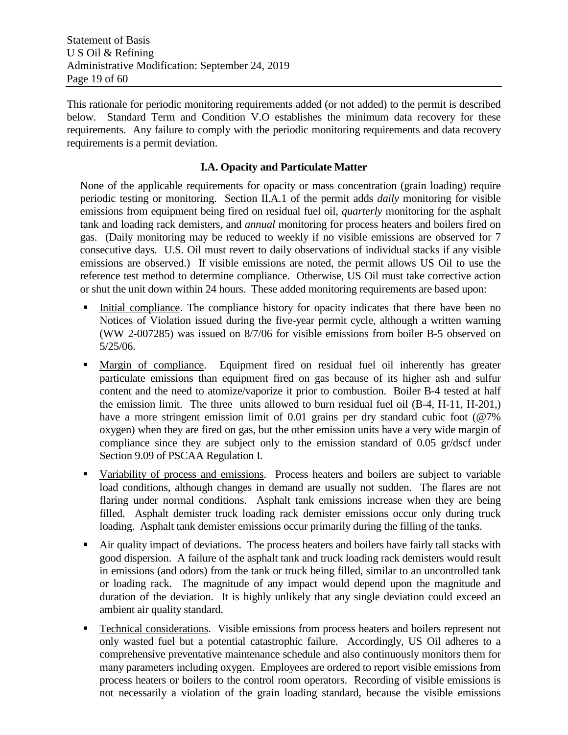This rationale for periodic monitoring requirements added (or not added) to the permit is described below. Standard Term and Condition V.O establishes the minimum data recovery for these requirements. Any failure to comply with the periodic monitoring requirements and data recovery requirements is a permit deviation.

#### **I.A. Opacity and Particulate Matter**

None of the applicable requirements for opacity or mass concentration (grain loading) require periodic testing or monitoring. Section II.A.1 of the permit adds *daily* monitoring for visible emissions from equipment being fired on residual fuel oil, *quarterly* monitoring for the asphalt tank and loading rack demisters, and *annual* monitoring for process heaters and boilers fired on gas. (Daily monitoring may be reduced to weekly if no visible emissions are observed for 7 consecutive days. U.S. Oil must revert to daily observations of individual stacks if any visible emissions are observed.) If visible emissions are noted, the permit allows US Oil to use the reference test method to determine compliance. Otherwise, US Oil must take corrective action or shut the unit down within 24 hours. These added monitoring requirements are based upon:

- Initial compliance. The compliance history for opacity indicates that there have been no Notices of Violation issued during the five-year permit cycle, although a written warning (WW 2-007285) was issued on 8/7/06 for visible emissions from boiler B-5 observed on 5/25/06.
- Margin of compliance. Equipment fired on residual fuel oil inherently has greater particulate emissions than equipment fired on gas because of its higher ash and sulfur content and the need to atomize/vaporize it prior to combustion. Boiler B-4 tested at half the emission limit. The three units allowed to burn residual fuel oil (B-4, H-11, H-201,) have a more stringent emission limit of 0.01 grains per dry standard cubic foot (@7%) oxygen) when they are fired on gas, but the other emission units have a very wide margin of compliance since they are subject only to the emission standard of 0.05 gr/dscf under Section 9.09 of PSCAA Regulation I.
- Variability of process and emissions. Process heaters and boilers are subject to variable load conditions, although changes in demand are usually not sudden. The flares are not flaring under normal conditions. Asphalt tank emissions increase when they are being filled. Asphalt demister truck loading rack demister emissions occur only during truck loading. Asphalt tank demister emissions occur primarily during the filling of the tanks.
- Air quality impact of deviations. The process heaters and boilers have fairly tall stacks with good dispersion. A failure of the asphalt tank and truck loading rack demisters would result in emissions (and odors) from the tank or truck being filled, similar to an uncontrolled tank or loading rack. The magnitude of any impact would depend upon the magnitude and duration of the deviation. It is highly unlikely that any single deviation could exceed an ambient air quality standard.
- Technical considerations. Visible emissions from process heaters and boilers represent not only wasted fuel but a potential catastrophic failure. Accordingly, US Oil adheres to a comprehensive preventative maintenance schedule and also continuously monitors them for many parameters including oxygen. Employees are ordered to report visible emissions from process heaters or boilers to the control room operators. Recording of visible emissions is not necessarily a violation of the grain loading standard, because the visible emissions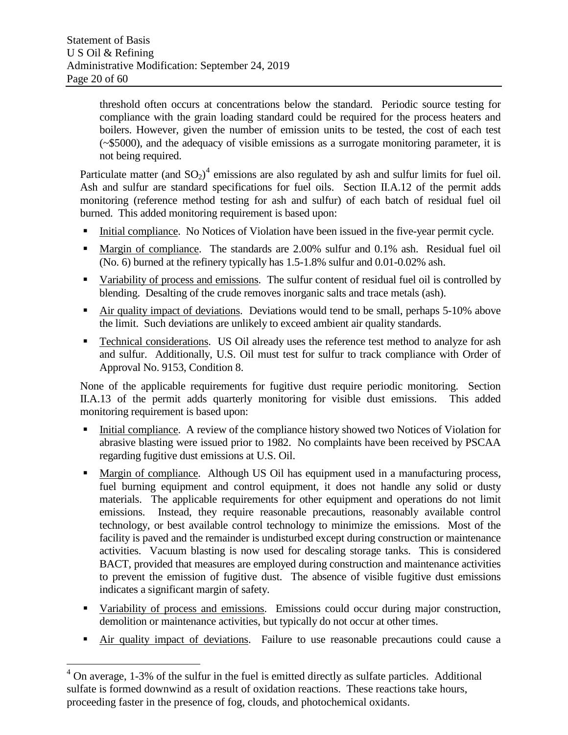threshold often occurs at concentrations below the standard. Periodic source testing for compliance with the grain loading standard could be required for the process heaters and boilers. However, given the number of emission units to be tested, the cost of each test (~\$5000), and the adequacy of visible emissions as a surrogate monitoring parameter, it is not being required.

Particulate matter (and  $SO_2$ )<sup>[4](#page-19-0)</sup> emissions are also regulated by ash and sulfur limits for fuel oil. Ash and sulfur are standard specifications for fuel oils. Section II.A.12 of the permit adds monitoring (reference method testing for ash and sulfur) of each batch of residual fuel oil burned. This added monitoring requirement is based upon:

- Initial compliance. No Notices of Violation have been issued in the five-year permit cycle.
- Margin of compliance. The standards are 2.00% sulfur and 0.1% ash. Residual fuel oil (No. 6) burned at the refinery typically has 1.5-1.8% sulfur and 0.01-0.02% ash.
- Variability of process and emissions. The sulfur content of residual fuel oil is controlled by blending. Desalting of the crude removes inorganic salts and trace metals (ash).
- Air quality impact of deviations. Deviations would tend to be small, perhaps 5-10% above the limit. Such deviations are unlikely to exceed ambient air quality standards.
- Technical considerations. US Oil already uses the reference test method to analyze for ash and sulfur. Additionally, U.S. Oil must test for sulfur to track compliance with Order of Approval No. 9153, Condition 8.

None of the applicable requirements for fugitive dust require periodic monitoring. Section II.A.13 of the permit adds quarterly monitoring for visible dust emissions. This added monitoring requirement is based upon:

- Initial compliance. A review of the compliance history showed two Notices of Violation for abrasive blasting were issued prior to 1982. No complaints have been received by PSCAA regarding fugitive dust emissions at U.S. Oil.
- Margin of compliance. Although US Oil has equipment used in a manufacturing process, fuel burning equipment and control equipment, it does not handle any solid or dusty materials. The applicable requirements for other equipment and operations do not limit emissions. Instead, they require reasonable precautions, reasonably available control technology, or best available control technology to minimize the emissions. Most of the facility is paved and the remainder is undisturbed except during construction or maintenance activities. Vacuum blasting is now used for descaling storage tanks. This is considered BACT, provided that measures are employed during construction and maintenance activities to prevent the emission of fugitive dust. The absence of visible fugitive dust emissions indicates a significant margin of safety.
- Variability of process and emissions. Emissions could occur during major construction, demolition or maintenance activities, but typically do not occur at other times.
- Air quality impact of deviations. Failure to use reasonable precautions could cause a

<span id="page-19-0"></span> $4$  On average, 1-3% of the sulfur in the fuel is emitted directly as sulfate particles. Additional sulfate is formed downwind as a result of oxidation reactions. These reactions take hours, proceeding faster in the presence of fog, clouds, and photochemical oxidants.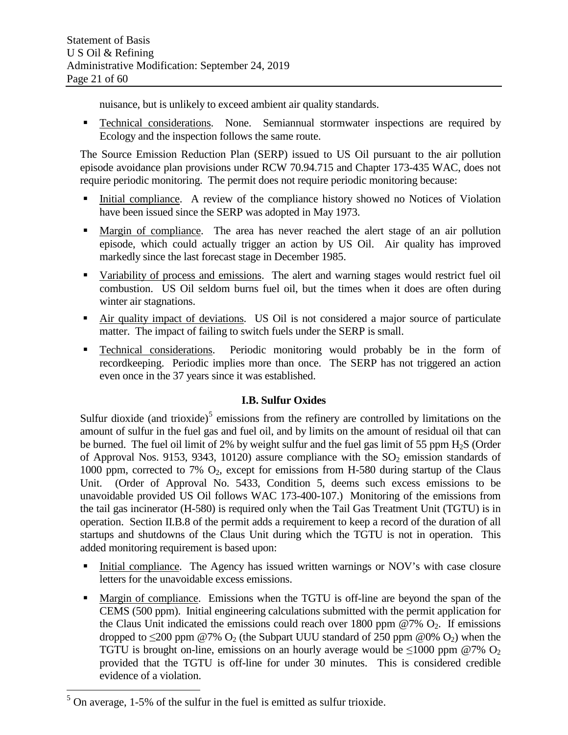nuisance, but is unlikely to exceed ambient air quality standards.

**Technical considerations.** None. Semiannual stormwater inspections are required by Ecology and the inspection follows the same route.

The Source Emission Reduction Plan (SERP) issued to US Oil pursuant to the air pollution episode avoidance plan provisions under RCW 70.94.715 and Chapter 173-435 WAC, does not require periodic monitoring. The permit does not require periodic monitoring because:

- Initial compliance. A review of the compliance history showed no Notices of Violation have been issued since the SERP was adopted in May 1973.
- Margin of compliance. The area has never reached the alert stage of an air pollution episode, which could actually trigger an action by US Oil. Air quality has improved markedly since the last forecast stage in December 1985.
- Variability of process and emissions. The alert and warning stages would restrict fuel oil combustion. US Oil seldom burns fuel oil, but the times when it does are often during winter air stagnations.
- Air quality impact of deviations. US Oil is not considered a major source of particulate matter. The impact of failing to switch fuels under the SERP is small.
- Technical considerations. Periodic monitoring would probably be in the form of recordkeeping. Periodic implies more than once. The SERP has not triggered an action even once in the 37 years since it was established.

## **I.B. Sulfur Oxides**

Sulfur dioxide (and trioxide)<sup>[5](#page-20-0)</sup> emissions from the refinery are controlled by limitations on the amount of sulfur in the fuel gas and fuel oil, and by limits on the amount of residual oil that can be burned. The fuel oil limit of 2% by weight sulfur and the fuel gas limit of 55 ppm  $H_2S$  (Order of Approval Nos. 9153, 9343, 10120) assure compliance with the  $SO_2$  emission standards of 1000 ppm, corrected to 7%  $O_2$ , except for emissions from H-580 during startup of the Claus Unit. (Order of Approval No. 5433, Condition 5, deems such excess emissions to be unavoidable provided US Oil follows WAC 173-400-107.) Monitoring of the emissions from the tail gas incinerator (H-580) is required only when the Tail Gas Treatment Unit (TGTU) is in operation. Section II.B.8 of the permit adds a requirement to keep a record of the duration of all startups and shutdowns of the Claus Unit during which the TGTU is not in operation. This added monitoring requirement is based upon:

- Initial compliance. The Agency has issued written warnings or NOV's with case closure letters for the unavoidable excess emissions.
- Margin of compliance. Emissions when the TGTU is off-line are beyond the span of the CEMS (500 ppm). Initial engineering calculations submitted with the permit application for the Claus Unit indicated the emissions could reach over  $1800$  ppm  $@7\%$  O<sub>2</sub>. If emissions dropped to  $\leq$ 200 ppm @7% O<sub>2</sub> (the Subpart UUU standard of 250 ppm @0% O<sub>2</sub>) when the TGTU is brought on-line, emissions on an hourly average would be  $\leq 1000$  ppm @7% O<sub>2</sub> provided that the TGTU is off-line for under 30 minutes. This is considered credible evidence of a violation.

<span id="page-20-0"></span> <sup>5</sup> On average, 1-5% of the sulfur in the fuel is emitted as sulfur trioxide.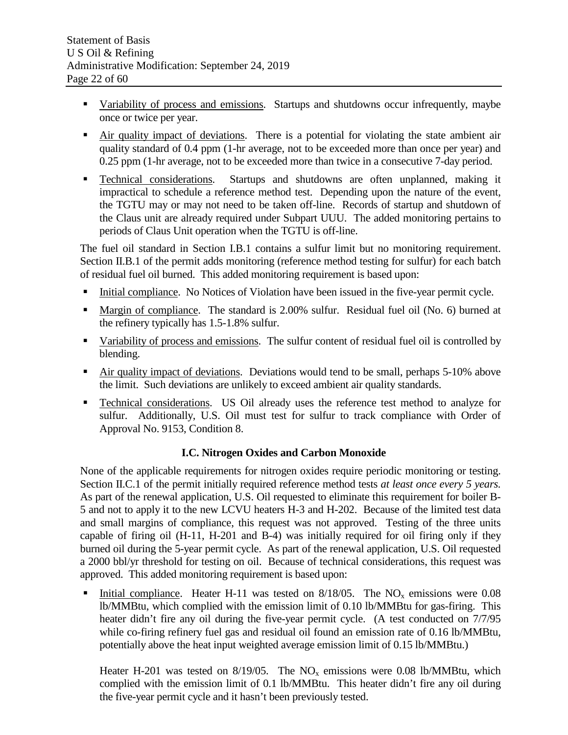- Variability of process and emissions. Startups and shutdowns occur infrequently, maybe once or twice per year.
- Air quality impact of deviations. There is a potential for violating the state ambient air quality standard of 0.4 ppm (1-hr average, not to be exceeded more than once per year) and 0.25 ppm (1-hr average, not to be exceeded more than twice in a consecutive 7-day period.
- Technical considerations. Startups and shutdowns are often unplanned, making it impractical to schedule a reference method test. Depending upon the nature of the event, the TGTU may or may not need to be taken off-line. Records of startup and shutdown of the Claus unit are already required under Subpart UUU. The added monitoring pertains to periods of Claus Unit operation when the TGTU is off-line.

The fuel oil standard in Section I.B.1 contains a sulfur limit but no monitoring requirement. Section II.B.1 of the permit adds monitoring (reference method testing for sulfur) for each batch of residual fuel oil burned. This added monitoring requirement is based upon:

- Initial compliance. No Notices of Violation have been issued in the five-year permit cycle.
- Margin of compliance. The standard is 2.00% sulfur. Residual fuel oil (No. 6) burned at the refinery typically has 1.5-1.8% sulfur.
- Variability of process and emissions. The sulfur content of residual fuel oil is controlled by blending.
- Air quality impact of deviations. Deviations would tend to be small, perhaps 5-10% above the limit. Such deviations are unlikely to exceed ambient air quality standards.
- **Technical considerations.** US Oil already uses the reference test method to analyze for sulfur. Additionally, U.S. Oil must test for sulfur to track compliance with Order of Approval No. 9153, Condition 8.

## **I.C. Nitrogen Oxides and Carbon Monoxide**

None of the applicable requirements for nitrogen oxides require periodic monitoring or testing. Section II.C.1 of the permit initially required reference method tests *at least once every 5 years.* As part of the renewal application, U.S. Oil requested to eliminate this requirement for boiler B-5 and not to apply it to the new LCVU heaters H-3 and H-202. Because of the limited test data and small margins of compliance, this request was not approved. Testing of the three units capable of firing oil (H-11, H-201 and B-4) was initially required for oil firing only if they burned oil during the 5-year permit cycle. As part of the renewal application, U.S. Oil requested a 2000 bbl/yr threshold for testing on oil. Because of technical considerations, this request was approved. This added monitoring requirement is based upon:

Initial compliance. Heater H-11 was tested on  $8/18/05$ . The NO<sub>x</sub> emissions were 0.08 lb/MMBtu, which complied with the emission limit of 0.10 lb/MMBtu for gas-firing. This heater didn't fire any oil during the five-year permit cycle. (A test conducted on  $7/7/95$ while co-firing refinery fuel gas and residual oil found an emission rate of 0.16 lb/MMBtu, potentially above the heat input weighted average emission limit of 0.15 lb/MMBtu.)

Heater H-201 was tested on  $8/19/05$ . The NO<sub>x</sub> emissions were 0.08 lb/MMBtu, which complied with the emission limit of 0.1 lb/MMBtu. This heater didn't fire any oil during the five-year permit cycle and it hasn't been previously tested.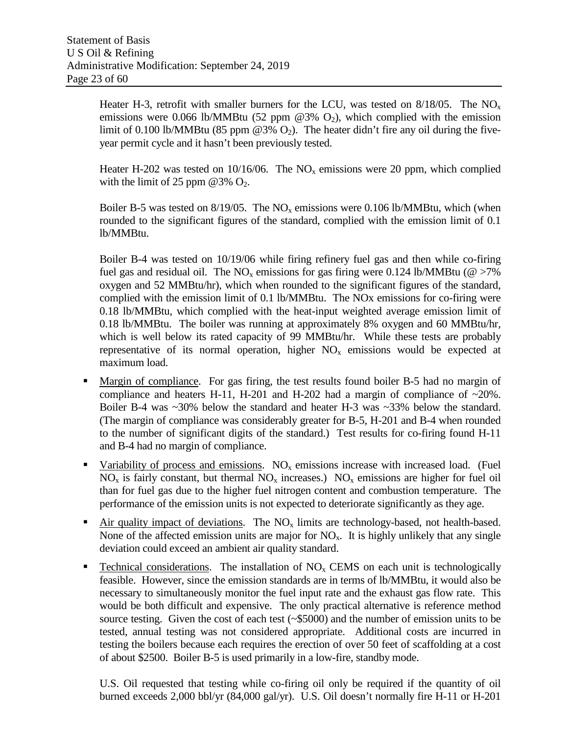Heater H-3, retrofit with smaller burners for the LCU, was tested on  $8/18/05$ . The NO<sub>x</sub> emissions were 0.066 lb/MMBtu (52 ppm  $@3\%$  O<sub>2</sub>), which complied with the emission limit of 0.100 lb/MMBtu (85 ppm  $@3\%$  O<sub>2</sub>). The heater didn't fire any oil during the fiveyear permit cycle and it hasn't been previously tested.

Heater H-202 was tested on  $10/16/06$ . The NO<sub>x</sub> emissions were 20 ppm, which complied with the limit of 25 ppm @3%  $O_2$ .

Boiler B-5 was tested on  $8/19/05$ . The NO<sub>x</sub> emissions were 0.106 lb/MMBtu, which (when rounded to the significant figures of the standard, complied with the emission limit of 0.1 lb/MMBtu.

Boiler B-4 was tested on 10/19/06 while firing refinery fuel gas and then while co-firing fuel gas and residual oil. The NO<sub>x</sub> emissions for gas firing were 0.124 lb/MMBtu ( $\omega > 7\%$ ) oxygen and 52 MMBtu/hr), which when rounded to the significant figures of the standard, complied with the emission limit of 0.1 lb/MMBtu. The NOx emissions for co-firing were 0.18 lb/MMBtu, which complied with the heat-input weighted average emission limit of 0.18 lb/MMBtu. The boiler was running at approximately 8% oxygen and 60 MMBtu/hr, which is well below its rated capacity of 99 MMBtu/hr. While these tests are probably representative of its normal operation, higher  $NO<sub>x</sub>$  emissions would be expected at maximum load.

- Margin of compliance. For gas firing, the test results found boiler B-5 had no margin of compliance and heaters H-11, H-201 and H-202 had a margin of compliance of  $\sim 20\%$ . Boiler B-4 was ~30% below the standard and heater H-3 was ~33% below the standard. (The margin of compliance was considerably greater for B-5, H-201 and B-4 when rounded to the number of significant digits of the standard.) Test results for co-firing found H-11 and B-4 had no margin of compliance.
- Variability of process and emissions.  $NO<sub>x</sub>$  emissions increase with increased load. (Fuel  $NO<sub>x</sub>$  is fairly constant, but thermal  $NO<sub>x</sub>$  increases.)  $NO<sub>x</sub>$  emissions are higher for fuel oil than for fuel gas due to the higher fuel nitrogen content and combustion temperature. The performance of the emission units is not expected to deteriorate significantly as they age.
- Air quality impact of deviations. The  $NO<sub>x</sub>$  limits are technology-based, not health-based. None of the affected emission units are major for  $NO<sub>x</sub>$ . It is highly unlikely that any single deviation could exceed an ambient air quality standard.
- Technical considerations. The installation of  $NO<sub>x</sub>$  CEMS on each unit is technologically feasible. However, since the emission standards are in terms of lb/MMBtu, it would also be necessary to simultaneously monitor the fuel input rate and the exhaust gas flow rate. This would be both difficult and expensive. The only practical alternative is reference method source testing. Given the cost of each test (~\$5000) and the number of emission units to be tested, annual testing was not considered appropriate. Additional costs are incurred in testing the boilers because each requires the erection of over 50 feet of scaffolding at a cost of about \$2500. Boiler B-5 is used primarily in a low-fire, standby mode.

U.S. Oil requested that testing while co-firing oil only be required if the quantity of oil burned exceeds 2,000 bbl/yr (84,000 gal/yr). U.S. Oil doesn't normally fire H-11 or H-201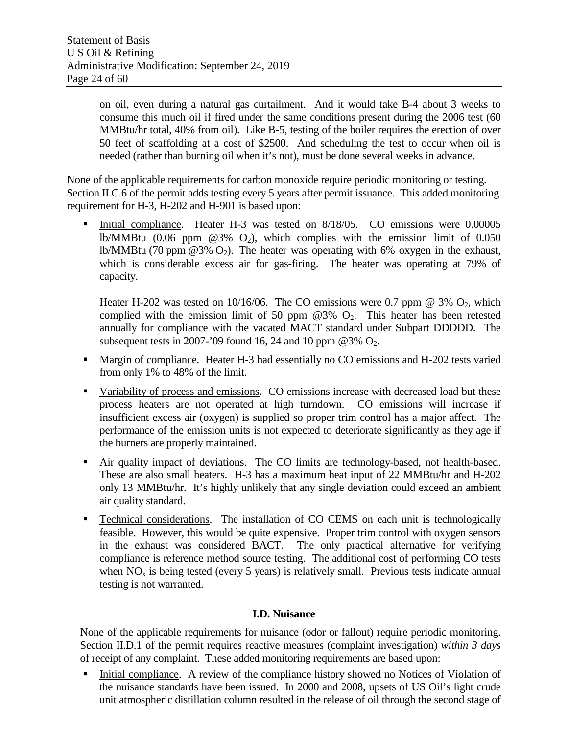on oil, even during a natural gas curtailment. And it would take B-4 about 3 weeks to consume this much oil if fired under the same conditions present during the 2006 test (60 MMBtu/hr total, 40% from oil). Like B-5, testing of the boiler requires the erection of over 50 feet of scaffolding at a cost of \$2500. And scheduling the test to occur when oil is needed (rather than burning oil when it's not), must be done several weeks in advance.

None of the applicable requirements for carbon monoxide require periodic monitoring or testing. Section II.C.6 of the permit adds testing every 5 years after permit issuance. This added monitoring requirement for H-3, H-202 and H-901 is based upon:

Initial compliance. Heater H-3 was tested on 8/18/05. CO emissions were 0.00005 lb/MMBtu (0.06 ppm  $\omega$ 3% O<sub>2</sub>), which complies with the emission limit of 0.050 lb/MMBtu (70 ppm  $(23\% \text{ O}_2)$ ). The heater was operating with 6% oxygen in the exhaust, which is considerable excess air for gas-firing. The heater was operating at 79% of capacity.

Heater H-202 was tested on 10/16/06. The CO emissions were 0.7 ppm  $\omega$  3%  $O_2$ , which complied with the emission limit of 50 ppm  $@3\%$   $Q_2$ . This heater has been retested annually for compliance with the vacated MACT standard under Subpart DDDDD. The subsequent tests in 2007-'09 found 16, 24 and 10 ppm  $@3\%$   $O_2$ .

- Margin of compliance. Heater H-3 had essentially no CO emissions and H-202 tests varied from only 1% to 48% of the limit.
- Variability of process and emissions. CO emissions increase with decreased load but these process heaters are not operated at high turndown. CO emissions will increase if insufficient excess air (oxygen) is supplied so proper trim control has a major affect. The performance of the emission units is not expected to deteriorate significantly as they age if the burners are properly maintained.
- Air quality impact of deviations. The CO limits are technology-based, not health-based. These are also small heaters. H-3 has a maximum heat input of 22 MMBtu/hr and H-202 only 13 MMBtu/hr. It's highly unlikely that any single deviation could exceed an ambient air quality standard.
- Technical considerations. The installation of CO CEMS on each unit is technologically feasible. However, this would be quite expensive. Proper trim control with oxygen sensors in the exhaust was considered BACT. The only practical alternative for verifying compliance is reference method source testing. The additional cost of performing CO tests when  $NO<sub>x</sub>$  is being tested (every 5 years) is relatively small. Previous tests indicate annual testing is not warranted.

## **I.D. Nuisance**

None of the applicable requirements for nuisance (odor or fallout) require periodic monitoring. Section II.D.1 of the permit requires reactive measures (complaint investigation) *within 3 days* of receipt of any complaint. These added monitoring requirements are based upon:

 Initial compliance. A review of the compliance history showed no Notices of Violation of the nuisance standards have been issued. In 2000 and 2008, upsets of US Oil's light crude unit atmospheric distillation column resulted in the release of oil through the second stage of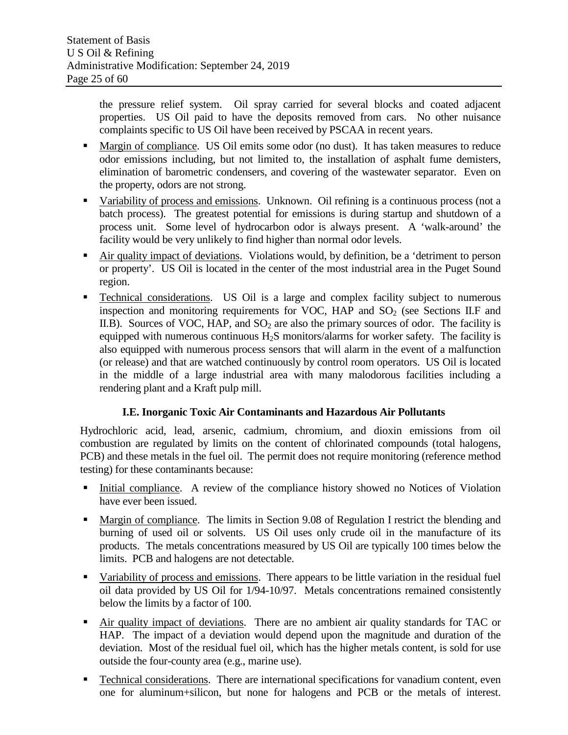the pressure relief system. Oil spray carried for several blocks and coated adjacent properties. US Oil paid to have the deposits removed from cars. No other nuisance complaints specific to US Oil have been received by PSCAA in recent years.

- Margin of compliance. US Oil emits some odor (no dust). It has taken measures to reduce odor emissions including, but not limited to, the installation of asphalt fume demisters, elimination of barometric condensers, and covering of the wastewater separator. Even on the property, odors are not strong.
- Variability of process and emissions. Unknown. Oil refining is a continuous process (not a batch process). The greatest potential for emissions is during startup and shutdown of a process unit. Some level of hydrocarbon odor is always present. A 'walk-around' the facility would be very unlikely to find higher than normal odor levels.
- Air quality impact of deviations. Violations would, by definition, be a 'detriment to person or property'. US Oil is located in the center of the most industrial area in the Puget Sound region.
- Technical considerations. US Oil is a large and complex facility subject to numerous inspection and monitoring requirements for VOC, HAP and  $SO<sub>2</sub>$  (see Sections II.F and II.B). Sources of VOC, HAP, and  $SO<sub>2</sub>$  are also the primary sources of odor. The facility is equipped with numerous continuous  $H_2S$  monitors/alarms for worker safety. The facility is also equipped with numerous process sensors that will alarm in the event of a malfunction (or release) and that are watched continuously by control room operators. US Oil is located in the middle of a large industrial area with many malodorous facilities including a rendering plant and a Kraft pulp mill.

## **I.E. Inorganic Toxic Air Contaminants and Hazardous Air Pollutants**

Hydrochloric acid, lead, arsenic, cadmium, chromium, and dioxin emissions from oil combustion are regulated by limits on the content of chlorinated compounds (total halogens, PCB) and these metals in the fuel oil. The permit does not require monitoring (reference method testing) for these contaminants because:

- Initial compliance. A review of the compliance history showed no Notices of Violation have ever been issued.
- Margin of compliance. The limits in Section 9.08 of Regulation I restrict the blending and burning of used oil or solvents. US Oil uses only crude oil in the manufacture of its products. The metals concentrations measured by US Oil are typically 100 times below the limits. PCB and halogens are not detectable.
- Variability of process and emissions. There appears to be little variation in the residual fuel oil data provided by US Oil for 1/94-10/97. Metals concentrations remained consistently below the limits by a factor of 100.
- Air quality impact of deviations. There are no ambient air quality standards for TAC or HAP. The impact of a deviation would depend upon the magnitude and duration of the deviation. Most of the residual fuel oil, which has the higher metals content, is sold for use outside the four-county area (e.g., marine use).
- Technical considerations. There are international specifications for vanadium content, even one for aluminum+silicon, but none for halogens and PCB or the metals of interest.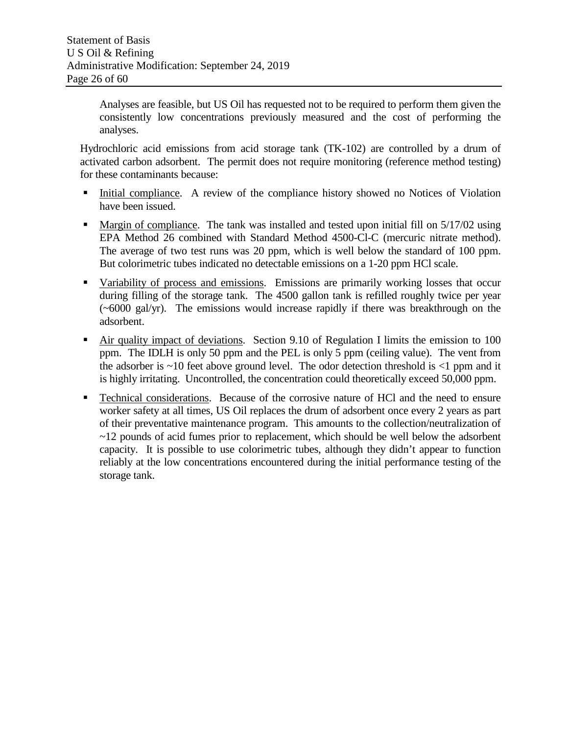Analyses are feasible, but US Oil has requested not to be required to perform them given the consistently low concentrations previously measured and the cost of performing the analyses.

Hydrochloric acid emissions from acid storage tank (TK-102) are controlled by a drum of activated carbon adsorbent. The permit does not require monitoring (reference method testing) for these contaminants because:

- Initial compliance. A review of the compliance history showed no Notices of Violation have been issued.
- Margin of compliance. The tank was installed and tested upon initial fill on 5/17/02 using EPA Method 26 combined with Standard Method 4500-Cl-C (mercuric nitrate method). The average of two test runs was 20 ppm, which is well below the standard of 100 ppm. But colorimetric tubes indicated no detectable emissions on a 1-20 ppm HCl scale.
- Variability of process and emissions. Emissions are primarily working losses that occur during filling of the storage tank. The 4500 gallon tank is refilled roughly twice per year (~6000 gal/yr). The emissions would increase rapidly if there was breakthrough on the adsorbent.
- Air quality impact of deviations. Section 9.10 of Regulation I limits the emission to 100 ppm. The IDLH is only 50 ppm and the PEL is only 5 ppm (ceiling value). The vent from the adsorber is  $\sim$ 10 feet above ground level. The odor detection threshold is  $\lt$ 1 ppm and it is highly irritating. Uncontrolled, the concentration could theoretically exceed 50,000 ppm.
- **Technical considerations.** Because of the corrosive nature of HCl and the need to ensure worker safety at all times, US Oil replaces the drum of adsorbent once every 2 years as part of their preventative maintenance program. This amounts to the collection/neutralization of ~12 pounds of acid fumes prior to replacement, which should be well below the adsorbent capacity. It is possible to use colorimetric tubes, although they didn't appear to function reliably at the low concentrations encountered during the initial performance testing of the storage tank.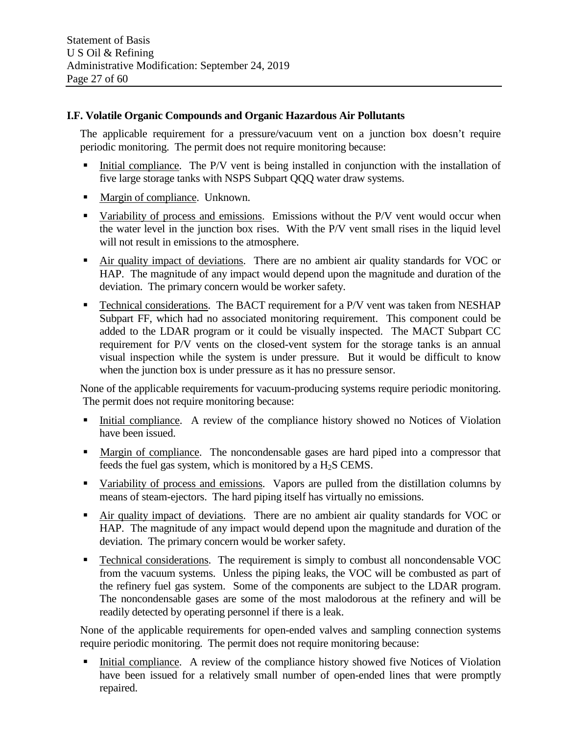### **I.F. Volatile Organic Compounds and Organic Hazardous Air Pollutants**

The applicable requirement for a pressure/vacuum vent on a junction box doesn't require periodic monitoring. The permit does not require monitoring because:

- Initial compliance. The P/V vent is being installed in conjunction with the installation of five large storage tanks with NSPS Subpart QQQ water draw systems.
- Margin of compliance. Unknown.
- Variability of process and emissions. Emissions without the P/V vent would occur when the water level in the junction box rises. With the P/V vent small rises in the liquid level will not result in emissions to the atmosphere.
- Air quality impact of deviations. There are no ambient air quality standards for VOC or HAP. The magnitude of any impact would depend upon the magnitude and duration of the deviation. The primary concern would be worker safety.
- Technical considerations. The BACT requirement for a P/V vent was taken from NESHAP Subpart FF, which had no associated monitoring requirement. This component could be added to the LDAR program or it could be visually inspected. The MACT Subpart CC requirement for P/V vents on the closed-vent system for the storage tanks is an annual visual inspection while the system is under pressure. But it would be difficult to know when the junction box is under pressure as it has no pressure sensor.

None of the applicable requirements for vacuum-producing systems require periodic monitoring. The permit does not require monitoring because:

- Initial compliance. A review of the compliance history showed no Notices of Violation have been issued.
- Margin of compliance. The noncondensable gases are hard piped into a compressor that feeds the fuel gas system, which is monitored by a  $H<sub>2</sub>S$  CEMS.
- Variability of process and emissions. Vapors are pulled from the distillation columns by means of steam-ejectors. The hard piping itself has virtually no emissions.
- Air quality impact of deviations. There are no ambient air quality standards for VOC or HAP. The magnitude of any impact would depend upon the magnitude and duration of the deviation. The primary concern would be worker safety.
- Technical considerations. The requirement is simply to combust all noncondensable VOC from the vacuum systems. Unless the piping leaks, the VOC will be combusted as part of the refinery fuel gas system. Some of the components are subject to the LDAR program. The noncondensable gases are some of the most malodorous at the refinery and will be readily detected by operating personnel if there is a leak.

None of the applicable requirements for open-ended valves and sampling connection systems require periodic monitoring. The permit does not require monitoring because:

 Initial compliance. A review of the compliance history showed five Notices of Violation have been issued for a relatively small number of open-ended lines that were promptly repaired.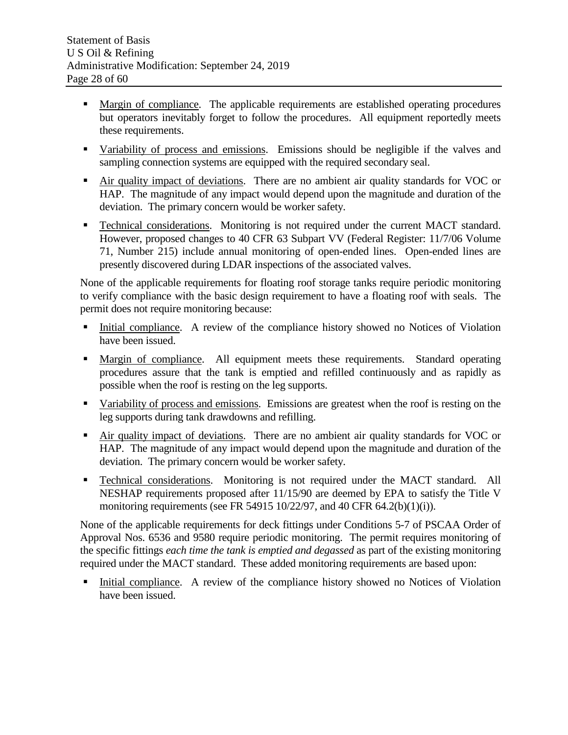- **Margin of compliance.** The applicable requirements are established operating procedures but operators inevitably forget to follow the procedures. All equipment reportedly meets these requirements.
- Variability of process and emissions. Emissions should be negligible if the valves and sampling connection systems are equipped with the required secondary seal.
- Air quality impact of deviations. There are no ambient air quality standards for VOC or HAP. The magnitude of any impact would depend upon the magnitude and duration of the deviation. The primary concern would be worker safety.
- Technical considerations. Monitoring is not required under the current MACT standard. However, proposed changes to 40 CFR 63 Subpart VV (Federal Register: 11/7/06 Volume 71, Number 215) include annual monitoring of open-ended lines. Open-ended lines are presently discovered during LDAR inspections of the associated valves.

None of the applicable requirements for floating roof storage tanks require periodic monitoring to verify compliance with the basic design requirement to have a floating roof with seals. The permit does not require monitoring because:

- Initial compliance. A review of the compliance history showed no Notices of Violation have been issued.
- Margin of compliance. All equipment meets these requirements. Standard operating procedures assure that the tank is emptied and refilled continuously and as rapidly as possible when the roof is resting on the leg supports.
- Variability of process and emissions. Emissions are greatest when the roof is resting on the leg supports during tank drawdowns and refilling.
- Air quality impact of deviations. There are no ambient air quality standards for VOC or HAP. The magnitude of any impact would depend upon the magnitude and duration of the deviation. The primary concern would be worker safety.
- Technical considerations. Monitoring is not required under the MACT standard. All NESHAP requirements proposed after 11/15/90 are deemed by EPA to satisfy the Title V monitoring requirements (see FR 54915 10/22/97, and 40 CFR  $64.2(b)(1)(i)$ ).

None of the applicable requirements for deck fittings under Conditions 5-7 of PSCAA Order of Approval Nos. 6536 and 9580 require periodic monitoring. The permit requires monitoring of the specific fittings *each time the tank is emptied and degassed* as part of the existing monitoring required under the MACT standard. These added monitoring requirements are based upon:

 Initial compliance. A review of the compliance history showed no Notices of Violation have been issued.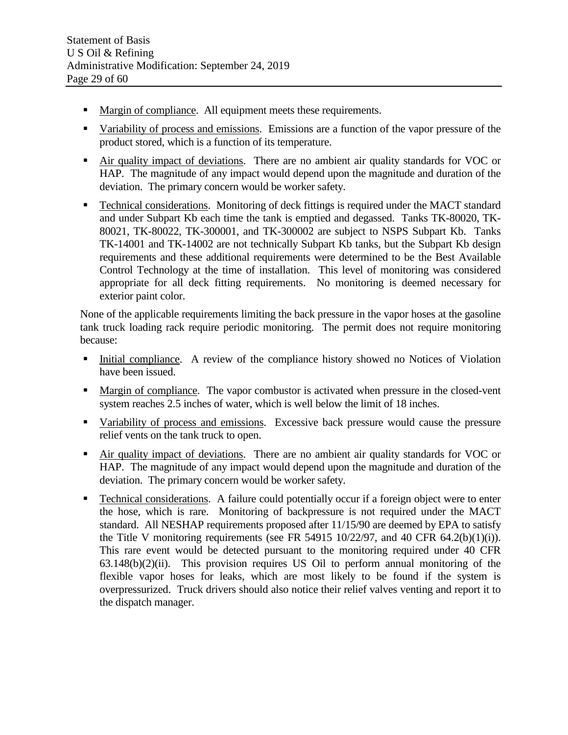- Margin of compliance. All equipment meets these requirements.
- Variability of process and emissions. Emissions are a function of the vapor pressure of the product stored, which is a function of its temperature.
- Air quality impact of deviations. There are no ambient air quality standards for VOC or HAP. The magnitude of any impact would depend upon the magnitude and duration of the deviation. The primary concern would be worker safety.
- Technical considerations. Monitoring of deck fittings is required under the MACT standard and under Subpart Kb each time the tank is emptied and degassed. Tanks TK-80020, TK-80021, TK-80022, TK-300001, and TK-300002 are subject to NSPS Subpart Kb. Tanks TK-14001 and TK-14002 are not technically Subpart Kb tanks, but the Subpart Kb design requirements and these additional requirements were determined to be the Best Available Control Technology at the time of installation. This level of monitoring was considered appropriate for all deck fitting requirements. No monitoring is deemed necessary for exterior paint color.

None of the applicable requirements limiting the back pressure in the vapor hoses at the gasoline tank truck loading rack require periodic monitoring. The permit does not require monitoring because:

- Initial compliance. A review of the compliance history showed no Notices of Violation have been issued.
- **Margin of compliance.** The vapor combustor is activated when pressure in the closed-vent system reaches 2.5 inches of water, which is well below the limit of 18 inches.
- Variability of process and emissions. Excessive back pressure would cause the pressure relief vents on the tank truck to open.
- Air quality impact of deviations. There are no ambient air quality standards for VOC or HAP. The magnitude of any impact would depend upon the magnitude and duration of the deviation. The primary concern would be worker safety.
- Technical considerations. A failure could potentially occur if a foreign object were to enter the hose, which is rare. Monitoring of backpressure is not required under the MACT standard. All NESHAP requirements proposed after 11/15/90 are deemed by EPA to satisfy the Title V monitoring requirements (see FR 54915 10/22/97, and 40 CFR  $64.2(b)(1)(i)$ ). This rare event would be detected pursuant to the monitoring required under 40 CFR  $63.148(b)(2)(ii)$ . This provision requires US Oil to perform annual monitoring of the flexible vapor hoses for leaks, which are most likely to be found if the system is overpressurized. Truck drivers should also notice their relief valves venting and report it to the dispatch manager.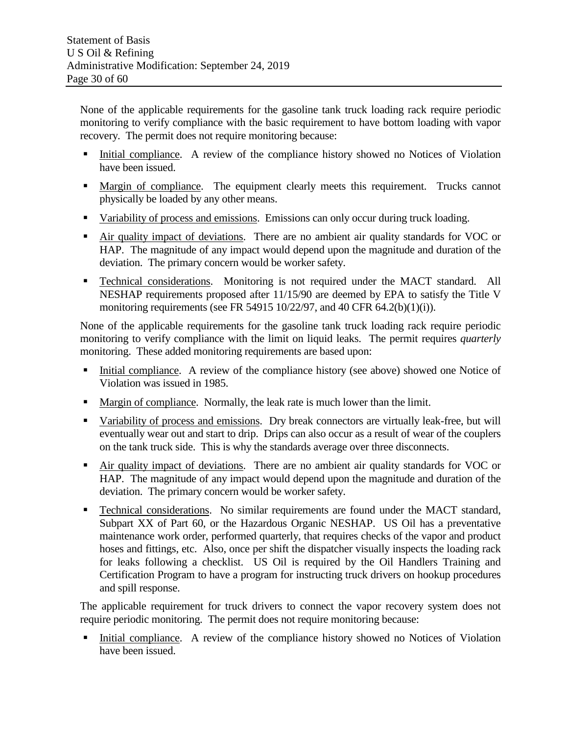None of the applicable requirements for the gasoline tank truck loading rack require periodic monitoring to verify compliance with the basic requirement to have bottom loading with vapor recovery. The permit does not require monitoring because:

- Initial compliance. A review of the compliance history showed no Notices of Violation have been issued.
- Margin of compliance. The equipment clearly meets this requirement. Trucks cannot physically be loaded by any other means.
- Variability of process and emissions. Emissions can only occur during truck loading.
- Air quality impact of deviations. There are no ambient air quality standards for VOC or HAP. The magnitude of any impact would depend upon the magnitude and duration of the deviation. The primary concern would be worker safety.
- **Technical considerations.** Monitoring is not required under the MACT standard. All NESHAP requirements proposed after 11/15/90 are deemed by EPA to satisfy the Title V monitoring requirements (see FR 54915 10/22/97, and 40 CFR 64.2(b)(1)(i)).

None of the applicable requirements for the gasoline tank truck loading rack require periodic monitoring to verify compliance with the limit on liquid leaks. The permit requires *quarterly* monitoring. These added monitoring requirements are based upon:

- Initial compliance. A review of the compliance history (see above) showed one Notice of Violation was issued in 1985.
- **Margin of compliance.** Normally, the leak rate is much lower than the limit.
- Variability of process and emissions. Dry break connectors are virtually leak-free, but will eventually wear out and start to drip. Drips can also occur as a result of wear of the couplers on the tank truck side. This is why the standards average over three disconnects.
- Air quality impact of deviations. There are no ambient air quality standards for VOC or HAP. The magnitude of any impact would depend upon the magnitude and duration of the deviation. The primary concern would be worker safety.
- **Technical considerations.** No similar requirements are found under the MACT standard, Subpart XX of Part 60, or the Hazardous Organic NESHAP. US Oil has a preventative maintenance work order, performed quarterly, that requires checks of the vapor and product hoses and fittings, etc. Also, once per shift the dispatcher visually inspects the loading rack for leaks following a checklist. US Oil is required by the Oil Handlers Training and Certification Program to have a program for instructing truck drivers on hookup procedures and spill response.

The applicable requirement for truck drivers to connect the vapor recovery system does not require periodic monitoring. The permit does not require monitoring because:

 Initial compliance. A review of the compliance history showed no Notices of Violation have been issued.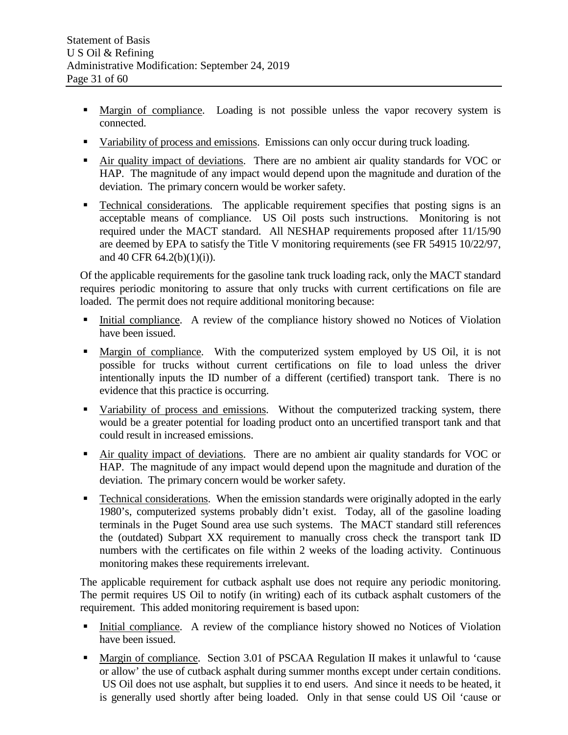- Margin of compliance. Loading is not possible unless the vapor recovery system is connected.
- Variability of process and emissions. Emissions can only occur during truck loading.
- Air quality impact of deviations. There are no ambient air quality standards for VOC or HAP. The magnitude of any impact would depend upon the magnitude and duration of the deviation. The primary concern would be worker safety.
- Technical considerations. The applicable requirement specifies that posting signs is an acceptable means of compliance. US Oil posts such instructions. Monitoring is not required under the MACT standard. All NESHAP requirements proposed after 11/15/90 are deemed by EPA to satisfy the Title V monitoring requirements (see FR 54915 10/22/97, and 40 CFR 64.2(b)(1)(i)).

Of the applicable requirements for the gasoline tank truck loading rack, only the MACT standard requires periodic monitoring to assure that only trucks with current certifications on file are loaded. The permit does not require additional monitoring because:

- Initial compliance. A review of the compliance history showed no Notices of Violation have been issued.
- Margin of compliance. With the computerized system employed by US Oil, it is not possible for trucks without current certifications on file to load unless the driver intentionally inputs the ID number of a different (certified) transport tank. There is no evidence that this practice is occurring.
- Variability of process and emissions. Without the computerized tracking system, there would be a greater potential for loading product onto an uncertified transport tank and that could result in increased emissions.
- Air quality impact of deviations. There are no ambient air quality standards for VOC or HAP. The magnitude of any impact would depend upon the magnitude and duration of the deviation. The primary concern would be worker safety.
- Technical considerations. When the emission standards were originally adopted in the early 1980's, computerized systems probably didn't exist. Today, all of the gasoline loading terminals in the Puget Sound area use such systems. The MACT standard still references the (outdated) Subpart XX requirement to manually cross check the transport tank ID numbers with the certificates on file within 2 weeks of the loading activity. Continuous monitoring makes these requirements irrelevant.

The applicable requirement for cutback asphalt use does not require any periodic monitoring. The permit requires US Oil to notify (in writing) each of its cutback asphalt customers of the requirement. This added monitoring requirement is based upon:

- Initial compliance. A review of the compliance history showed no Notices of Violation have been issued.
- Margin of compliance. Section 3.01 of PSCAA Regulation II makes it unlawful to 'cause or allow' the use of cutback asphalt during summer months except under certain conditions. US Oil does not use asphalt, but supplies it to end users. And since it needs to be heated, it is generally used shortly after being loaded. Only in that sense could US Oil 'cause or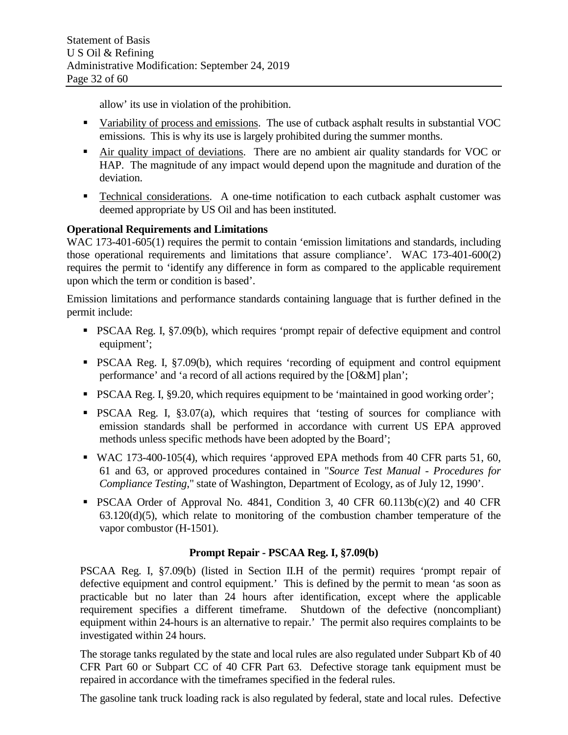allow' its use in violation of the prohibition.

- Variability of process and emissions. The use of cutback asphalt results in substantial VOC emissions. This is why its use is largely prohibited during the summer months.
- Air quality impact of deviations. There are no ambient air quality standards for VOC or HAP. The magnitude of any impact would depend upon the magnitude and duration of the deviation.
- Technical considerations. A one-time notification to each cutback asphalt customer was deemed appropriate by US Oil and has been instituted.

## **Operational Requirements and Limitations**

WAC 173-401-605(1) requires the permit to contain 'emission limitations and standards, including those operational requirements and limitations that assure compliance'. WAC 173-401-600(2) requires the permit to 'identify any difference in form as compared to the applicable requirement upon which the term or condition is based'.

Emission limitations and performance standards containing language that is further defined in the permit include:

- PSCAA Reg. I, §7.09(b), which requires 'prompt repair of defective equipment and control equipment';
- PSCAA Reg. I, §7.09(b), which requires 'recording of equipment and control equipment performance' and 'a record of all actions required by the [O&M] plan';
- PSCAA Reg. I, §9.20, which requires equipment to be 'maintained in good working order';
- **PSCAA Reg. I, §3.07(a), which requires that 'testing of sources for compliance with** emission standards shall be performed in accordance with current US EPA approved methods unless specific methods have been adopted by the Board';
- WAC 173-400-105(4), which requires 'approved EPA methods from 40 CFR parts 51, 60, 61 and 63, or approved procedures contained in "*Source Test Manual - Procedures for Compliance Testing*," state of Washington, Department of Ecology, as of July 12, 1990'.
- **PSCAA Order of Approval No. 4841, Condition 3, 40 CFR 60.113b(c)(2) and 40 CFR** 63.120(d)(5), which relate to monitoring of the combustion chamber temperature of the vapor combustor (H-1501).

## **Prompt Repair - PSCAA Reg. I, §7.09(b)**

PSCAA Reg. I, §7.09(b) (listed in Section II.H of the permit) requires 'prompt repair of defective equipment and control equipment.' This is defined by the permit to mean 'as soon as practicable but no later than 24 hours after identification, except where the applicable requirement specifies a different timeframe. Shutdown of the defective (noncompliant) equipment within 24-hours is an alternative to repair.' The permit also requires complaints to be investigated within 24 hours.

The storage tanks regulated by the state and local rules are also regulated under Subpart Kb of 40 CFR Part 60 or Subpart CC of 40 CFR Part 63. Defective storage tank equipment must be repaired in accordance with the timeframes specified in the federal rules.

The gasoline tank truck loading rack is also regulated by federal, state and local rules. Defective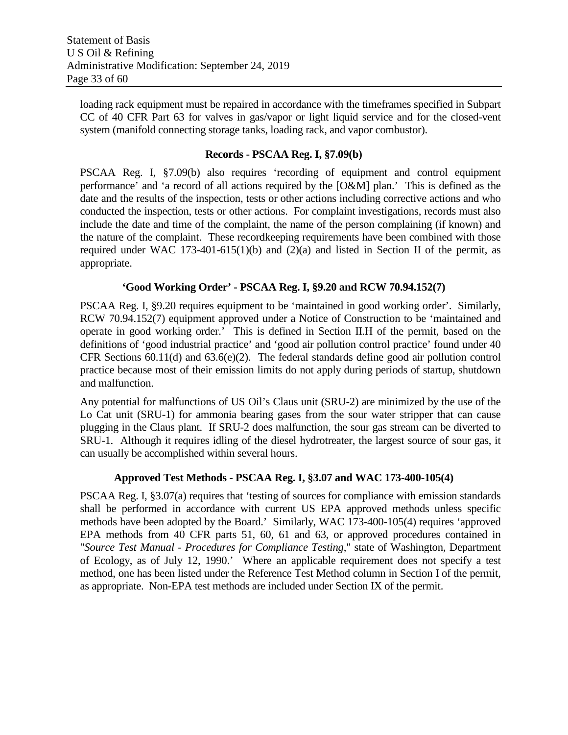loading rack equipment must be repaired in accordance with the timeframes specified in Subpart CC of 40 CFR Part 63 for valves in gas/vapor or light liquid service and for the closed-vent system (manifold connecting storage tanks, loading rack, and vapor combustor).

#### **Records - PSCAA Reg. I, §7.09(b)**

PSCAA Reg. I, §7.09(b) also requires 'recording of equipment and control equipment performance' and 'a record of all actions required by the [O&M] plan.' This is defined as the date and the results of the inspection, tests or other actions including corrective actions and who conducted the inspection, tests or other actions. For complaint investigations, records must also include the date and time of the complaint, the name of the person complaining (if known) and the nature of the complaint. These recordkeeping requirements have been combined with those required under WAC 173-401-615(1)(b) and (2)(a) and listed in Section II of the permit, as appropriate.

#### **'Good Working Order' - PSCAA Reg. I, §9.20 and RCW 70.94.152(7)**

PSCAA Reg. I, §9.20 requires equipment to be 'maintained in good working order'. Similarly, RCW 70.94.152(7) equipment approved under a Notice of Construction to be 'maintained and operate in good working order.' This is defined in Section II.H of the permit, based on the definitions of 'good industrial practice' and 'good air pollution control practice' found under 40 CFR Sections 60.11(d) and 63.6(e)(2). The federal standards define good air pollution control practice because most of their emission limits do not apply during periods of startup, shutdown and malfunction.

Any potential for malfunctions of US Oil's Claus unit (SRU-2) are minimized by the use of the Lo Cat unit (SRU-1) for ammonia bearing gases from the sour water stripper that can cause plugging in the Claus plant. If SRU-2 does malfunction, the sour gas stream can be diverted to SRU-1. Although it requires idling of the diesel hydrotreater, the largest source of sour gas, it can usually be accomplished within several hours.

#### **Approved Test Methods - PSCAA Reg. I, §3.07 and WAC 173-400-105(4)**

PSCAA Reg. I, §3.07(a) requires that 'testing of sources for compliance with emission standards shall be performed in accordance with current US EPA approved methods unless specific methods have been adopted by the Board.' Similarly, WAC 173-400-105(4) requires 'approved EPA methods from 40 CFR parts 51, 60, 61 and 63, or approved procedures contained in "*Source Test Manual - Procedures for Compliance Testing*," state of Washington, Department of Ecology, as of July 12, 1990.' Where an applicable requirement does not specify a test method, one has been listed under the Reference Test Method column in Section I of the permit, as appropriate. Non-EPA test methods are included under Section IX of the permit.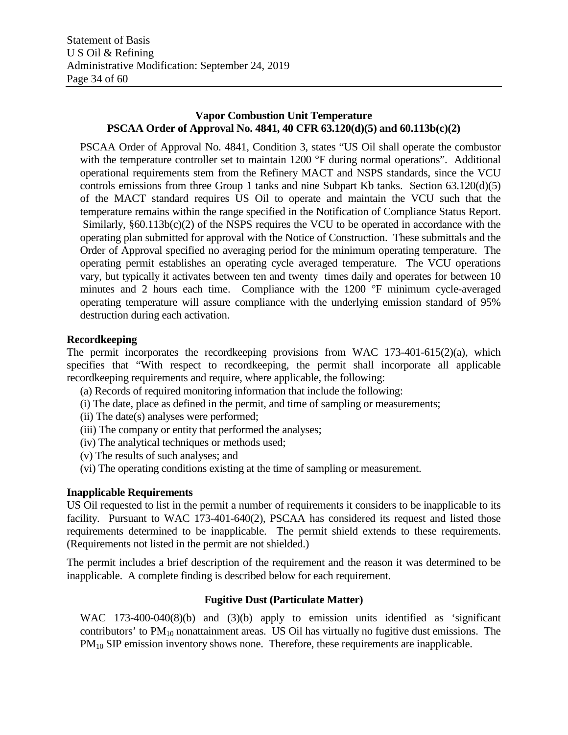## **Vapor Combustion Unit Temperature PSCAA Order of Approval No. 4841, 40 CFR 63.120(d)(5) and 60.113b(c)(2)**

PSCAA Order of Approval No. 4841, Condition 3, states "US Oil shall operate the combustor with the temperature controller set to maintain 1200 °F during normal operations". Additional operational requirements stem from the Refinery MACT and NSPS standards, since the VCU controls emissions from three Group 1 tanks and nine Subpart Kb tanks. Section 63.120(d)(5) of the MACT standard requires US Oil to operate and maintain the VCU such that the temperature remains within the range specified in the Notification of Compliance Status Report. Similarly,  $§60.113b(c)(2)$  of the NSPS requires the VCU to be operated in accordance with the operating plan submitted for approval with the Notice of Construction. These submittals and the Order of Approval specified no averaging period for the minimum operating temperature. The operating permit establishes an operating cycle averaged temperature. The VCU operations vary, but typically it activates between ten and twenty times daily and operates for between 10 minutes and 2 hours each time. Compliance with the 1200 °F minimum cycle-averaged operating temperature will assure compliance with the underlying emission standard of 95% destruction during each activation.

#### **Recordkeeping**

The permit incorporates the recordkeeping provisions from WAC 173-401-615(2)(a), which specifies that "With respect to recordkeeping, the permit shall incorporate all applicable recordkeeping requirements and require, where applicable, the following:

- (a) Records of required monitoring information that include the following:
- (i) The date, place as defined in the permit, and time of sampling or measurements;
- (ii) The date(s) analyses were performed;
- (iii) The company or entity that performed the analyses;
- (iv) The analytical techniques or methods used;
- (v) The results of such analyses; and
- (vi) The operating conditions existing at the time of sampling or measurement.

#### **Inapplicable Requirements**

US Oil requested to list in the permit a number of requirements it considers to be inapplicable to its facility. Pursuant to WAC 173-401-640(2), PSCAA has considered its request and listed those requirements determined to be inapplicable. The permit shield extends to these requirements. (Requirements not listed in the permit are not shielded.)

The permit includes a brief description of the requirement and the reason it was determined to be inapplicable. A complete finding is described below for each requirement.

#### **Fugitive Dust (Particulate Matter)**

WAC 173-400-040(8)(b) and (3)(b) apply to emission units identified as 'significant contributors' to  $PM_{10}$  nonattainment areas. US Oil has virtually no fugitive dust emissions. The PM10 SIP emission inventory shows none. Therefore, these requirements are inapplicable.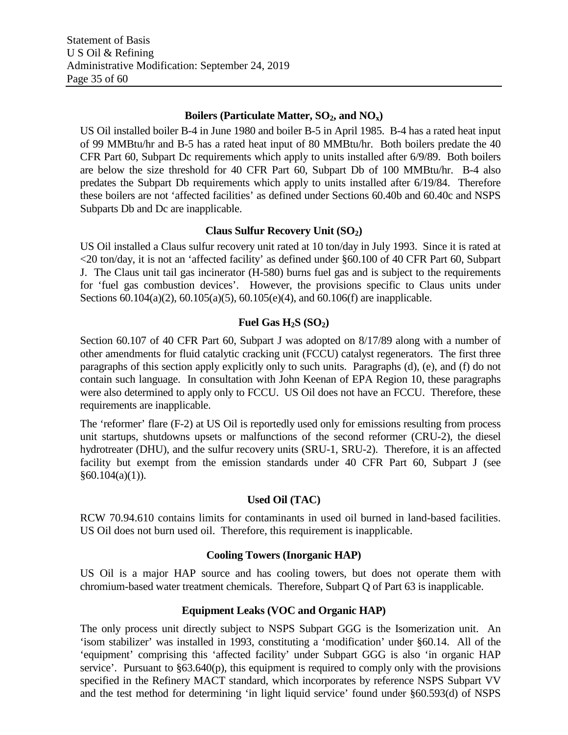### Boilers (Particulate Matter, SO<sub>2</sub>, and NO<sub>x</sub>)

US Oil installed boiler B-4 in June 1980 and boiler B-5 in April 1985. B-4 has a rated heat input of 99 MMBtu/hr and B-5 has a rated heat input of 80 MMBtu/hr. Both boilers predate the 40 CFR Part 60, Subpart Dc requirements which apply to units installed after 6/9/89. Both boilers are below the size threshold for 40 CFR Part 60, Subpart Db of 100 MMBtu/hr. B-4 also predates the Subpart Db requirements which apply to units installed after 6/19/84. Therefore these boilers are not 'affected facilities' as defined under Sections 60.40b and 60.40c and NSPS Subparts Db and Dc are inapplicable.

#### **Claus Sulfur Recovery Unit (SO<sub>2</sub>)**

US Oil installed a Claus sulfur recovery unit rated at 10 ton/day in July 1993. Since it is rated at <20 ton/day, it is not an 'affected facility' as defined under §60.100 of 40 CFR Part 60, Subpart J. The Claus unit tail gas incinerator (H-580) burns fuel gas and is subject to the requirements for 'fuel gas combustion devices'. However, the provisions specific to Claus units under Sections 60.104(a)(2), 60.105(a)(5), 60.105(e)(4), and 60.106(f) are inapplicable.

## **Fuel Gas**  $H_2S(SO_2)$

Section 60.107 of 40 CFR Part 60, Subpart J was adopted on 8/17/89 along with a number of other amendments for fluid catalytic cracking unit (FCCU) catalyst regenerators. The first three paragraphs of this section apply explicitly only to such units. Paragraphs (d), (e), and (f) do not contain such language. In consultation with John Keenan of EPA Region 10, these paragraphs were also determined to apply only to FCCU. US Oil does not have an FCCU. Therefore, these requirements are inapplicable.

The 'reformer' flare (F-2) at US Oil is reportedly used only for emissions resulting from process unit startups, shutdowns upsets or malfunctions of the second reformer (CRU-2), the diesel hydrotreater (DHU), and the sulfur recovery units (SRU-1, SRU-2). Therefore, it is an affected facility but exempt from the emission standards under 40 CFR Part 60, Subpart J (see  $§60.104(a)(1)).$ 

## **Used Oil (TAC)**

RCW 70.94.610 contains limits for contaminants in used oil burned in land-based facilities. US Oil does not burn used oil. Therefore, this requirement is inapplicable.

#### **Cooling Towers (Inorganic HAP)**

US Oil is a major HAP source and has cooling towers, but does not operate them with chromium-based water treatment chemicals. Therefore, Subpart Q of Part 63 is inapplicable.

## **Equipment Leaks (VOC and Organic HAP)**

The only process unit directly subject to NSPS Subpart GGG is the Isomerization unit. An 'isom stabilizer' was installed in 1993, constituting a 'modification' under §60.14. All of the 'equipment' comprising this 'affected facility' under Subpart GGG is also 'in organic HAP service'. Pursuant to  $\S 63.640(p)$ , this equipment is required to comply only with the provisions specified in the Refinery MACT standard, which incorporates by reference NSPS Subpart VV and the test method for determining 'in light liquid service' found under §60.593(d) of NSPS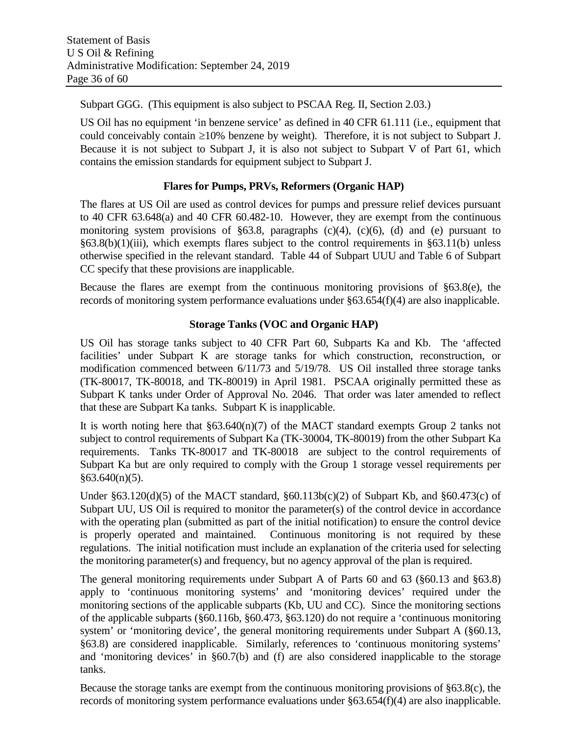Subpart GGG. (This equipment is also subject to PSCAA Reg. II, Section 2.03.)

US Oil has no equipment 'in benzene service' as defined in 40 CFR 61.111 (i.e., equipment that could conceivably contain ≥10% benzene by weight). Therefore, it is not subject to Subpart J. Because it is not subject to Subpart J, it is also not subject to Subpart V of Part 61, which contains the emission standards for equipment subject to Subpart J.

## **Flares for Pumps, PRVs, Reformers (Organic HAP)**

The flares at US Oil are used as control devices for pumps and pressure relief devices pursuant to 40 CFR 63.648(a) and 40 CFR 60.482-10. However, they are exempt from the continuous monitoring system provisions of  $§63.8$ , paragraphs (c)(4), (c)(6), (d) and (e) pursuant to §63.8(b)(1)(iii), which exempts flares subject to the control requirements in §63.11(b) unless otherwise specified in the relevant standard. Table 44 of Subpart UUU and Table 6 of Subpart CC specify that these provisions are inapplicable.

Because the flares are exempt from the continuous monitoring provisions of §63.8(e), the records of monitoring system performance evaluations under §63.654(f)(4) are also inapplicable.

## **Storage Tanks (VOC and Organic HAP)**

US Oil has storage tanks subject to 40 CFR Part 60, Subparts Ka and Kb. The 'affected facilities' under Subpart K are storage tanks for which construction, reconstruction, or modification commenced between 6/11/73 and 5/19/78. US Oil installed three storage tanks (TK-80017, TK-80018, and TK-80019) in April 1981. PSCAA originally permitted these as Subpart K tanks under Order of Approval No. 2046. That order was later amended to reflect that these are Subpart Ka tanks. Subpart K is inapplicable.

It is worth noting here that  $\S 63.640(n)(7)$  of the MACT standard exempts Group 2 tanks not subject to control requirements of Subpart Ka (TK-30004, TK-80019) from the other Subpart Ka requirements. Tanks TK-80017 and TK-80018 are subject to the control requirements of Subpart Ka but are only required to comply with the Group 1 storage vessel requirements per  $§63.640(n)(5)$ .

Under §63.120(d)(5) of the MACT standard, §60.113b(c)(2) of Subpart Kb, and §60.473(c) of Subpart UU, US Oil is required to monitor the parameter(s) of the control device in accordance with the operating plan (submitted as part of the initial notification) to ensure the control device is properly operated and maintained. Continuous monitoring is not required by these regulations. The initial notification must include an explanation of the criteria used for selecting the monitoring parameter(s) and frequency, but no agency approval of the plan is required.

The general monitoring requirements under Subpart A of Parts 60 and 63 (§60.13 and §63.8) apply to 'continuous monitoring systems' and 'monitoring devices' required under the monitoring sections of the applicable subparts (Kb, UU and CC). Since the monitoring sections of the applicable subparts (§60.116b, §60.473, §63.120) do not require a 'continuous monitoring system' or 'monitoring device', the general monitoring requirements under Subpart A (§60.13, §63.8) are considered inapplicable. Similarly, references to 'continuous monitoring systems' and 'monitoring devices' in §60.7(b) and (f) are also considered inapplicable to the storage tanks.

Because the storage tanks are exempt from the continuous monitoring provisions of §63.8(c), the records of monitoring system performance evaluations under §63.654(f)(4) are also inapplicable.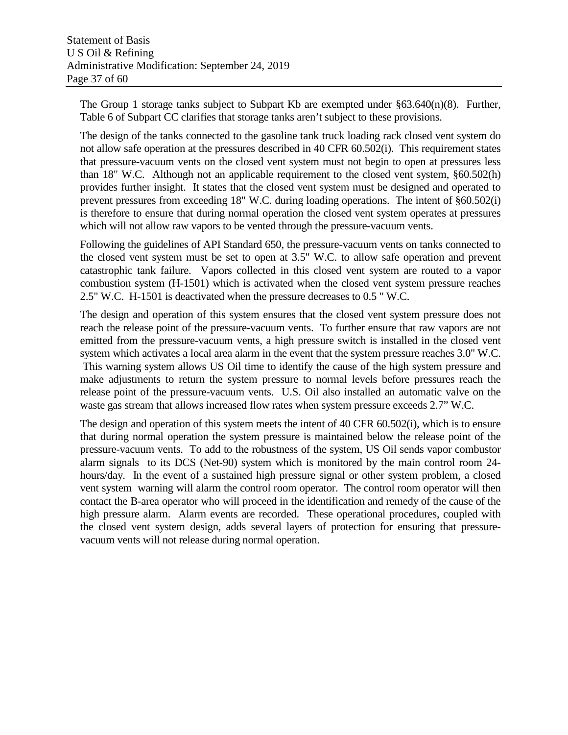The Group 1 storage tanks subject to Subpart Kb are exempted under §63.640(n)(8). Further, Table 6 of Subpart CC clarifies that storage tanks aren't subject to these provisions.

The design of the tanks connected to the gasoline tank truck loading rack closed vent system do not allow safe operation at the pressures described in 40 CFR 60.502(i). This requirement states that pressure-vacuum vents on the closed vent system must not begin to open at pressures less than 18" W.C. Although not an applicable requirement to the closed vent system, §60.502(h) provides further insight. It states that the closed vent system must be designed and operated to prevent pressures from exceeding 18" W.C. during loading operations. The intent of §60.502(i) is therefore to ensure that during normal operation the closed vent system operates at pressures which will not allow raw vapors to be vented through the pressure-vacuum vents.

Following the guidelines of API Standard 650, the pressure-vacuum vents on tanks connected to the closed vent system must be set to open at 3.5" W.C. to allow safe operation and prevent catastrophic tank failure. Vapors collected in this closed vent system are routed to a vapor combustion system (H-1501) which is activated when the closed vent system pressure reaches 2.5" W.C. H-1501 is deactivated when the pressure decreases to 0.5 " W.C.

The design and operation of this system ensures that the closed vent system pressure does not reach the release point of the pressure-vacuum vents. To further ensure that raw vapors are not emitted from the pressure-vacuum vents, a high pressure switch is installed in the closed vent system which activates a local area alarm in the event that the system pressure reaches 3.0" W.C. This warning system allows US Oil time to identify the cause of the high system pressure and make adjustments to return the system pressure to normal levels before pressures reach the release point of the pressure-vacuum vents. U.S. Oil also installed an automatic valve on the waste gas stream that allows increased flow rates when system pressure exceeds 2.7" W.C.

The design and operation of this system meets the intent of 40 CFR 60.502(i), which is to ensure that during normal operation the system pressure is maintained below the release point of the pressure-vacuum vents. To add to the robustness of the system, US Oil sends vapor combustor alarm signals to its DCS (Net-90) system which is monitored by the main control room 24 hours/day. In the event of a sustained high pressure signal or other system problem, a closed vent system warning will alarm the control room operator. The control room operator will then contact the B-area operator who will proceed in the identification and remedy of the cause of the high pressure alarm. Alarm events are recorded. These operational procedures, coupled with the closed vent system design, adds several layers of protection for ensuring that pressurevacuum vents will not release during normal operation.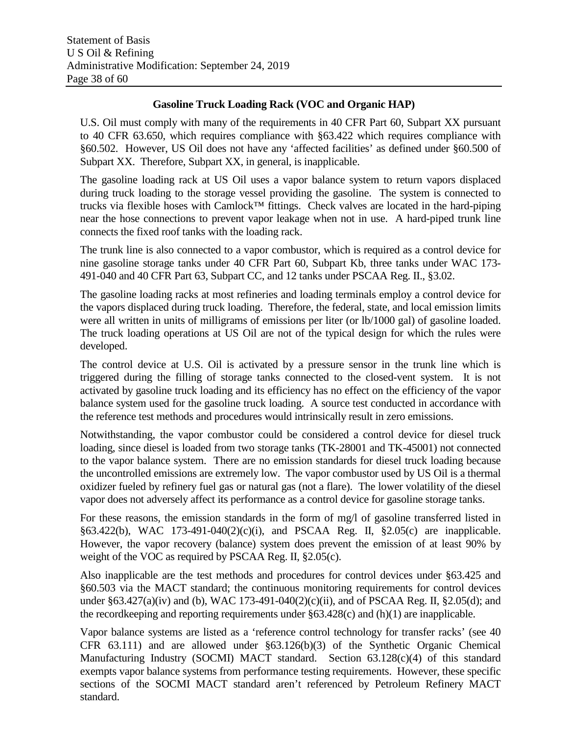#### **Gasoline Truck Loading Rack (VOC and Organic HAP)**

U.S. Oil must comply with many of the requirements in 40 CFR Part 60, Subpart XX pursuant to 40 CFR 63.650, which requires compliance with §63.422 which requires compliance with §60.502. However, US Oil does not have any 'affected facilities' as defined under §60.500 of Subpart XX. Therefore, Subpart XX, in general, is inapplicable.

The gasoline loading rack at US Oil uses a vapor balance system to return vapors displaced during truck loading to the storage vessel providing the gasoline. The system is connected to trucks via flexible hoses with Camlock™ fittings. Check valves are located in the hard-piping near the hose connections to prevent vapor leakage when not in use. A hard-piped trunk line connects the fixed roof tanks with the loading rack.

The trunk line is also connected to a vapor combustor, which is required as a control device for nine gasoline storage tanks under 40 CFR Part 60, Subpart Kb, three tanks under WAC 173- 491-040 and 40 CFR Part 63, Subpart CC, and 12 tanks under PSCAA Reg. II., §3.02.

The gasoline loading racks at most refineries and loading terminals employ a control device for the vapors displaced during truck loading. Therefore, the federal, state, and local emission limits were all written in units of milligrams of emissions per liter (or lb/1000 gal) of gasoline loaded. The truck loading operations at US Oil are not of the typical design for which the rules were developed.

The control device at U.S. Oil is activated by a pressure sensor in the trunk line which is triggered during the filling of storage tanks connected to the closed-vent system.It is not activated by gasoline truck loading and its efficiency has no effect on the efficiency of the vapor balance system used for the gasoline truck loading. A source test conducted in accordance with the reference test methods and procedures would intrinsically result in zero emissions.

Notwithstanding, the vapor combustor could be considered a control device for diesel truck loading, since diesel is loaded from two storage tanks (TK-28001 and TK-45001) not connected to the vapor balance system. There are no emission standards for diesel truck loading because the uncontrolled emissions are extremely low. The vapor combustor used by US Oil is a thermal oxidizer fueled by refinery fuel gas or natural gas (not a flare). The lower volatility of the diesel vapor does not adversely affect its performance as a control device for gasoline storage tanks.

For these reasons, the emission standards in the form of mg/l of gasoline transferred listed in §63.422(b), WAC 173-491-040(2)(c)(i), and PSCAA Reg. II, §2.05(c) are inapplicable. However, the vapor recovery (balance) system does prevent the emission of at least 90% by weight of the VOC as required by PSCAA Reg. II, §2.05(c).

Also inapplicable are the test methods and procedures for control devices under §63.425 and §60.503 via the MACT standard; the continuous monitoring requirements for control devices under §63.427(a)(iv) and (b), WAC 173-491-040(2)(c)(ii), and of PSCAA Reg. II, §2.05(d); and the record keeping and reporting requirements under  $\S 63.428(c)$  and  $(h)(1)$  are inapplicable.

Vapor balance systems are listed as a 'reference control technology for transfer racks' (see 40 CFR 63.111) and are allowed under §63.126(b)(3) of the Synthetic Organic Chemical Manufacturing Industry (SOCMI) MACT standard. Section 63.128(c)(4) of this standard exempts vapor balance systems from performance testing requirements. However, these specific sections of the SOCMI MACT standard aren't referenced by Petroleum Refinery MACT standard.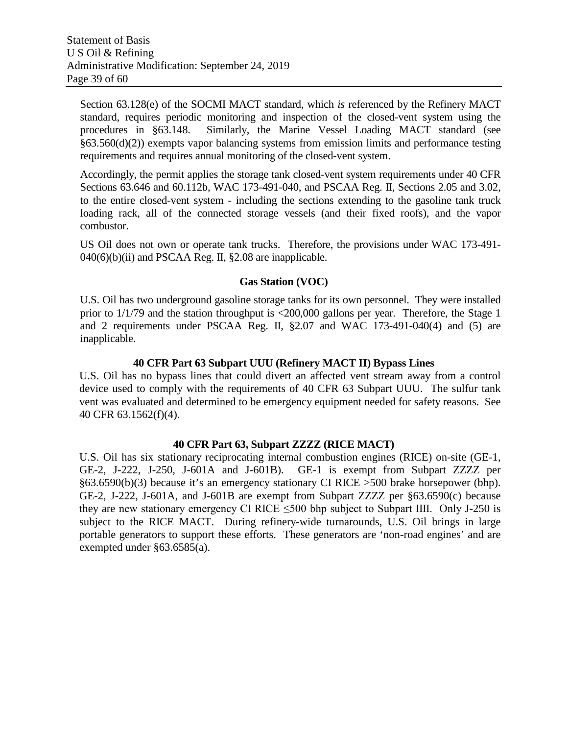Section 63.128(e) of the SOCMI MACT standard, which *is* referenced by the Refinery MACT standard, requires periodic monitoring and inspection of the closed-vent system using the procedures in §63.148. Similarly, the Marine Vessel Loading MACT standard (see §63.560(d)(2)) exempts vapor balancing systems from emission limits and performance testing requirements and requires annual monitoring of the closed-vent system.

Accordingly, the permit applies the storage tank closed-vent system requirements under 40 CFR Sections 63.646 and 60.112b, WAC 173-491-040, and PSCAA Reg. II, Sections 2.05 and 3.02, to the entire closed-vent system - including the sections extending to the gasoline tank truck loading rack, all of the connected storage vessels (and their fixed roofs), and the vapor combustor.

US Oil does not own or operate tank trucks. Therefore, the provisions under WAC 173-491-  $040(6)(b)(ii)$  and PSCAA Reg. II, §2.08 are inapplicable.

#### **Gas Station (VOC)**

U.S. Oil has two underground gasoline storage tanks for its own personnel. They were installed prior to 1/1/79 and the station throughput is <200,000 gallons per year. Therefore, the Stage 1 and 2 requirements under PSCAA Reg. II, §2.07 and WAC 173-491-040(4) and (5) are inapplicable.

#### **40 CFR Part 63 Subpart UUU (Refinery MACT II) Bypass Lines**

U.S. Oil has no bypass lines that could divert an affected vent stream away from a control device used to comply with the requirements of 40 CFR 63 Subpart UUU. The sulfur tank vent was evaluated and determined to be emergency equipment needed for safety reasons. See 40 CFR 63.1562(f)(4).

#### **40 CFR Part 63, Subpart ZZZZ (RICE MACT)**

U.S. Oil has six stationary reciprocating internal combustion engines (RICE) on-site (GE-1, GE-2, J-222, J-250, J-601A and J-601B). GE-1 is exempt from Subpart ZZZZ per §63.6590(b)(3) because it's an emergency stationary CI RICE >500 brake horsepower (bhp). GE-2, J-222, J-601A, and J-601B are exempt from Subpart ZZZZ per §63.6590(c) because they are new stationary emergency CI RICE  $\leq$ 500 bhp subject to Subpart IIII. Only J-250 is subject to the RICE MACT. During refinery-wide turnarounds, U.S. Oil brings in large portable generators to support these efforts. These generators are 'non-road engines' and are exempted under §63.6585(a).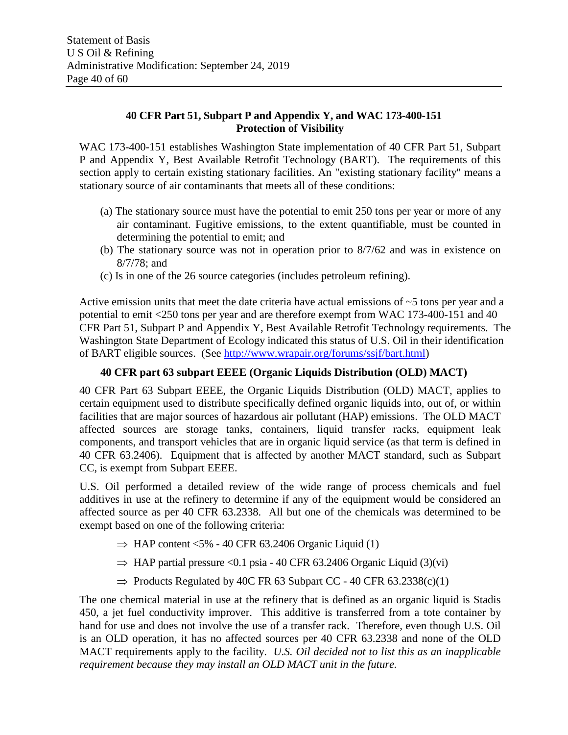## **40 CFR Part 51, Subpart P and Appendix Y, and WAC 173-400-151 Protection of Visibility**

WAC 173-400-151 establishes Washington State implementation of 40 CFR Part 51, Subpart P and Appendix Y, Best Available Retrofit Technology (BART). The requirements of this section apply to certain existing stationary facilities. An "existing stationary facility" means a stationary source of air contaminants that meets all of these conditions:

- (a) The stationary source must have the potential to emit 250 tons per year or more of any air contaminant. Fugitive emissions, to the extent quantifiable, must be counted in determining the potential to emit; and
- (b) The stationary source was not in operation prior to 8/7/62 and was in existence on 8/7/78; and
- (c) Is in one of the 26 source categories (includes petroleum refining).

Active emission units that meet the date criteria have actual emissions of  $\sim$ 5 tons per year and a potential to emit <250 tons per year and are therefore exempt from WAC 173-400-151 and 40 CFR Part 51, Subpart P and Appendix Y, Best Available Retrofit Technology requirements. The Washington State Department of Ecology indicated this status of U.S. Oil in their identification of BART eligible sources. (See [http://www.wrapair.org/forums/ssjf/bart.html\)](http://www.wrapair.org/forums/ssjf/bart.html)

## **40 CFR part 63 subpart EEEE (Organic Liquids Distribution (OLD) MACT)**

40 CFR Part 63 Subpart EEEE, the Organic Liquids Distribution (OLD) MACT, applies to certain equipment used to distribute specifically defined organic liquids into, out of, or within facilities that are major sources of hazardous air pollutant (HAP) emissions. The OLD MACT affected sources are storage tanks, containers, liquid transfer racks, equipment leak components, and transport vehicles that are in organic liquid service (as that term is defined in 40 CFR 63.2406). Equipment that is affected by another MACT standard, such as Subpart CC, is exempt from Subpart EEEE.

U.S. Oil performed a detailed review of the wide range of process chemicals and fuel additives in use at the refinery to determine if any of the equipment would be considered an affected source as per 40 CFR 63.2338. All but one of the chemicals was determined to be exempt based on one of the following criteria:

- $\Rightarrow$  HAP content <5% 40 CFR 63.2406 Organic Liquid (1)
- $\Rightarrow$  HAP partial pressure <0.1 psia 40 CFR 63.2406 Organic Liquid (3)(vi)
- $\Rightarrow$  Products Regulated by 40C FR 63 Subpart CC 40 CFR 63.2338(c)(1)

The one chemical material in use at the refinery that is defined as an organic liquid is Stadis 450, a jet fuel conductivity improver. This additive is transferred from a tote container by hand for use and does not involve the use of a transfer rack. Therefore, even though U.S. Oil is an OLD operation, it has no affected sources per 40 CFR 63.2338 and none of the OLD MACT requirements apply to the facility. *U.S. Oil decided not to list this as an inapplicable requirement because they may install an OLD MACT unit in the future.*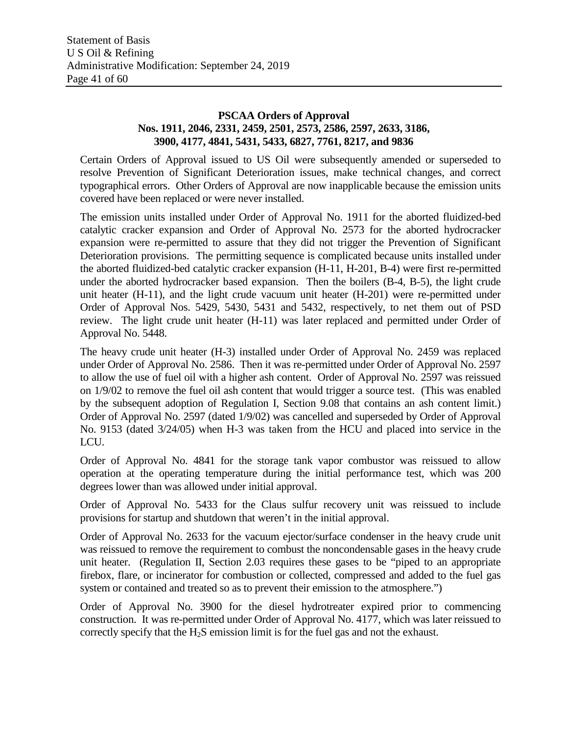### **PSCAA Orders of Approval Nos. 1911, 2046, 2331, 2459, 2501, 2573, 2586, 2597, 2633, 3186, 3900, 4177, 4841, 5431, 5433, 6827, 7761, 8217, and 9836**

Certain Orders of Approval issued to US Oil were subsequently amended or superseded to resolve Prevention of Significant Deterioration issues, make technical changes, and correct typographical errors. Other Orders of Approval are now inapplicable because the emission units covered have been replaced or were never installed.

The emission units installed under Order of Approval No. 1911 for the aborted fluidized-bed catalytic cracker expansion and Order of Approval No. 2573 for the aborted hydrocracker expansion were re-permitted to assure that they did not trigger the Prevention of Significant Deterioration provisions. The permitting sequence is complicated because units installed under the aborted fluidized-bed catalytic cracker expansion (H-11, H-201, B-4) were first re-permitted under the aborted hydrocracker based expansion. Then the boilers (B-4, B-5), the light crude unit heater (H-11), and the light crude vacuum unit heater (H-201) were re-permitted under Order of Approval Nos. 5429, 5430, 5431 and 5432, respectively, to net them out of PSD review. The light crude unit heater (H-11) was later replaced and permitted under Order of Approval No. 5448.

The heavy crude unit heater (H-3) installed under Order of Approval No. 2459 was replaced under Order of Approval No. 2586. Then it was re-permitted under Order of Approval No. 2597 to allow the use of fuel oil with a higher ash content. Order of Approval No. 2597 was reissued on 1/9/02 to remove the fuel oil ash content that would trigger a source test. (This was enabled by the subsequent adoption of Regulation I, Section 9.08 that contains an ash content limit.) Order of Approval No. 2597 (dated 1/9/02) was cancelled and superseded by Order of Approval No. 9153 (dated 3/24/05) when H-3 was taken from the HCU and placed into service in the LCU.

Order of Approval No. 4841 for the storage tank vapor combustor was reissued to allow operation at the operating temperature during the initial performance test, which was 200 degrees lower than was allowed under initial approval.

Order of Approval No. 5433 for the Claus sulfur recovery unit was reissued to include provisions for startup and shutdown that weren't in the initial approval.

Order of Approval No. 2633 for the vacuum ejector/surface condenser in the heavy crude unit was reissued to remove the requirement to combust the noncondensable gases in the heavy crude unit heater. (Regulation II, Section 2.03 requires these gases to be "piped to an appropriate firebox, flare, or incinerator for combustion or collected, compressed and added to the fuel gas system or contained and treated so as to prevent their emission to the atmosphere.")

Order of Approval No. 3900 for the diesel hydrotreater expired prior to commencing construction. It was re-permitted under Order of Approval No. 4177, which was later reissued to correctly specify that the H2S emission limit is for the fuel gas and not the exhaust.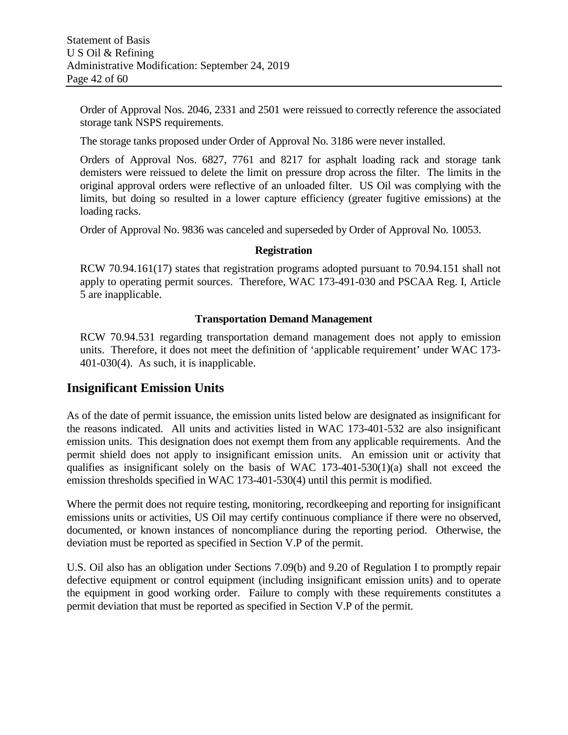Order of Approval Nos. 2046, 2331 and 2501 were reissued to correctly reference the associated storage tank NSPS requirements.

The storage tanks proposed under Order of Approval No. 3186 were never installed.

Orders of Approval Nos. 6827, 7761 and 8217 for asphalt loading rack and storage tank demisters were reissued to delete the limit on pressure drop across the filter. The limits in the original approval orders were reflective of an unloaded filter. US Oil was complying with the limits, but doing so resulted in a lower capture efficiency (greater fugitive emissions) at the loading racks.

Order of Approval No. 9836 was canceled and superseded by Order of Approval No. 10053.

#### **Registration**

RCW 70.94.161(17) states that registration programs adopted pursuant to 70.94.151 shall not apply to operating permit sources. Therefore, WAC 173-491-030 and PSCAA Reg. I, Article 5 are inapplicable.

#### **Transportation Demand Management**

RCW 70.94.531 regarding transportation demand management does not apply to emission units. Therefore, it does not meet the definition of 'applicable requirement' under WAC 173- 401-030(4). As such, it is inapplicable.

## **Insignificant Emission Units**

As of the date of permit issuance, the emission units listed below are designated as insignificant for the reasons indicated. All units and activities listed in WAC 173-401-532 are also insignificant emission units. This designation does not exempt them from any applicable requirements. And the permit shield does not apply to insignificant emission units. An emission unit or activity that qualifies as insignificant solely on the basis of WAC 173-401-530(1)(a) shall not exceed the emission thresholds specified in WAC 173-401-530(4) until this permit is modified.

Where the permit does not require testing, monitoring, record keeping and reporting for insignificant emissions units or activities, US Oil may certify continuous compliance if there were no observed, documented, or known instances of noncompliance during the reporting period. Otherwise, the deviation must be reported as specified in Section V.P of the permit.

U.S. Oil also has an obligation under Sections 7.09(b) and 9.20 of Regulation I to promptly repair defective equipment or control equipment (including insignificant emission units) and to operate the equipment in good working order. Failure to comply with these requirements constitutes a permit deviation that must be reported as specified in Section V.P of the permit.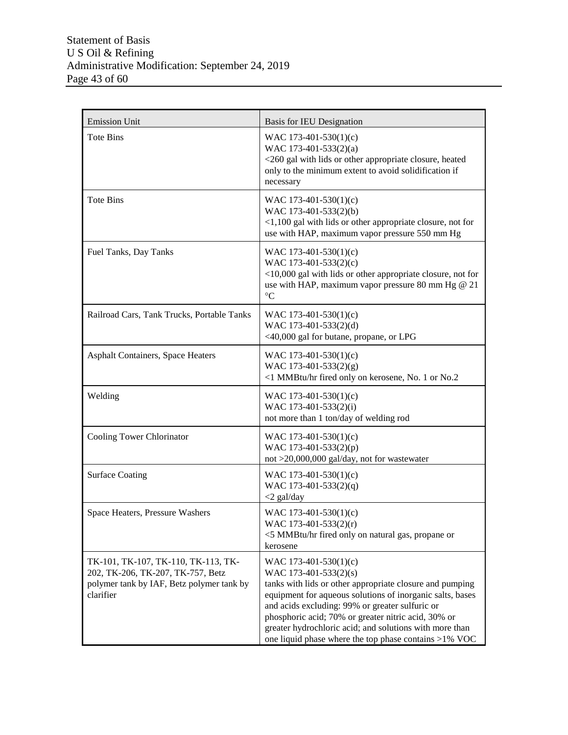| <b>Emission Unit</b>                                                                                                               | <b>Basis for IEU Designation</b>                                                                                                                                                                                                                                                                                                                                                                         |
|------------------------------------------------------------------------------------------------------------------------------------|----------------------------------------------------------------------------------------------------------------------------------------------------------------------------------------------------------------------------------------------------------------------------------------------------------------------------------------------------------------------------------------------------------|
| <b>Tote Bins</b>                                                                                                                   | WAC 173-401-530(1)(c)<br>WAC 173-401-533(2)(a)<br><260 gal with lids or other appropriate closure, heated<br>only to the minimum extent to avoid solidification if<br>necessary                                                                                                                                                                                                                          |
| <b>Tote Bins</b>                                                                                                                   | WAC 173-401-530(1)(c)<br>WAC 173-401-533(2)(b)<br><1,100 gal with lids or other appropriate closure, not for<br>use with HAP, maximum vapor pressure 550 mm Hg                                                                                                                                                                                                                                           |
| Fuel Tanks, Day Tanks                                                                                                              | WAC 173-401-530(1)(c)<br>WAC 173-401-533(2)(c)<br><10,000 gal with lids or other appropriate closure, not for<br>use with HAP, maximum vapor pressure 80 mm Hg @ 21<br>$\rm ^{\circ}C$                                                                                                                                                                                                                   |
| Railroad Cars, Tank Trucks, Portable Tanks                                                                                         | WAC 173-401-530(1)(c)<br>WAC 173-401-533(2)(d)<br><40,000 gal for butane, propane, or LPG                                                                                                                                                                                                                                                                                                                |
| <b>Asphalt Containers, Space Heaters</b>                                                                                           | WAC 173-401-530(1)(c)<br>WAC 173-401-533(2)(g)<br><1 MMBtu/hr fired only on kerosene, No. 1 or No.2                                                                                                                                                                                                                                                                                                      |
| Welding                                                                                                                            | WAC 173-401-530(1)(c)<br>WAC 173-401-533(2)(i)<br>not more than 1 ton/day of welding rod                                                                                                                                                                                                                                                                                                                 |
| Cooling Tower Chlorinator                                                                                                          | WAC 173-401-530(1)(c)<br>WAC 173-401-533(2)(p)<br>not >20,000,000 gal/day, not for wastewater                                                                                                                                                                                                                                                                                                            |
| <b>Surface Coating</b>                                                                                                             | WAC 173-401-530(1)(c)<br>WAC 173-401-533(2)(q)<br>$<$ 2 gal/day                                                                                                                                                                                                                                                                                                                                          |
| Space Heaters, Pressure Washers                                                                                                    | WAC 173-401-530(1)(c)<br>WAC 173-401-533(2)(r)<br><5 MMBtu/hr fired only on natural gas, propane or<br>kerosene                                                                                                                                                                                                                                                                                          |
| TK-101, TK-107, TK-110, TK-113, TK-<br>202, TK-206, TK-207, TK-757, Betz<br>polymer tank by IAF, Betz polymer tank by<br>clarifier | WAC 173-401-530(1)(c)<br>WAC 173-401-533(2)(s)<br>tanks with lids or other appropriate closure and pumping<br>equipment for aqueous solutions of inorganic salts, bases<br>and acids excluding: 99% or greater sulfuric or<br>phosphoric acid; 70% or greater nitric acid, 30% or<br>greater hydrochloric acid; and solutions with more than<br>one liquid phase where the top phase contains $>1\%$ VOC |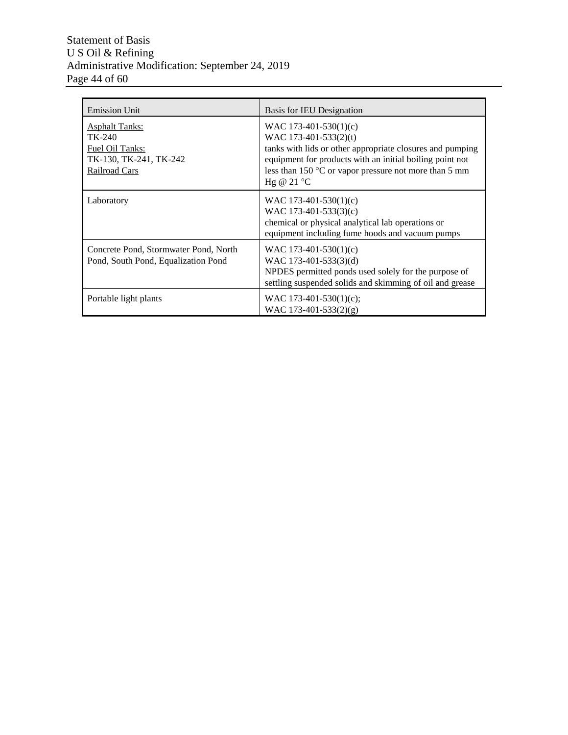### Statement of Basis U S Oil & Refining Administrative Modification: September 24, 2019 Page 44 of 60

| <b>Emission Unit</b>                                                                                 | Basis for IEU Designation                                                                                                                                                                                                                                 |
|------------------------------------------------------------------------------------------------------|-----------------------------------------------------------------------------------------------------------------------------------------------------------------------------------------------------------------------------------------------------------|
| <b>Asphalt Tanks:</b><br>TK-240<br>Fuel Oil Tanks:<br>TK-130, TK-241, TK-242<br><b>Railroad Cars</b> | WAC 173-401-530(1)(c)<br>WAC 173-401-533(2)(t)<br>tanks with lids or other appropriate closures and pumping<br>equipment for products with an initial boiling point not<br>less than $150^{\circ}$ C or vapor pressure not more than 5 mm<br>Hg @ $21 °C$ |
| Laboratory                                                                                           | WAC 173-401-530(1)(c)<br>WAC 173-401-533(3)(c)<br>chemical or physical analytical lab operations or<br>equipment including fume hoods and vacuum pumps                                                                                                    |
| Concrete Pond, Stormwater Pond, North<br>Pond, South Pond, Equalization Pond                         | WAC 173-401-530(1)(c)<br>WAC 173-401-533(3)(d)<br>NPDES permitted ponds used solely for the purpose of<br>settling suspended solids and skimming of oil and grease                                                                                        |
| Portable light plants                                                                                | WAC 173-401-530(1)(c);<br>WAC 173-401-533(2)(g)                                                                                                                                                                                                           |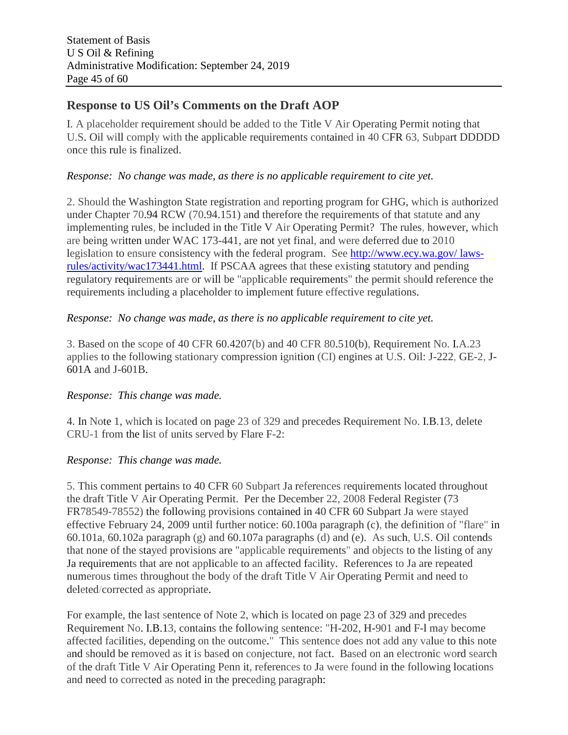## **Response to US Oil's Comments on the Draft AOP**

I. A placeholder requirement should be added to the Title V Air Operating Permit noting that U.S. Oil will comply with the applicable requirements contained in 40 CFR 63, Subpart DDDDD once this rule is finalized.

### *Response: No change was made, as there is no applicable requirement to cite yet.*

2. Should the Washington State registration and reporting program for GHG, which is authorized under Chapter 70.94 RCW (70.94.151) and therefore the requirements of that statute and any implementing rules, be included in the Title V Air Operating Permit? The rules, however, which are being written under WAC 173-441, are not yet final, and were deferred due to 2010 legislation to ensure consistency with the federal program. See http://www.ecy.wa.gov/ lawsrules/activity/wac173441.html. If PSCAA agrees that these existing statutory and pending regulatory requirements are or will be "applicable requirements" the permit should reference the requirements including a placeholder to implement future effective regulations.

#### *Response: No change was made, as there is no applicable requirement to cite yet.*

3. Based on the scope of 40 CFR 60.4207(b) and 40 CFR 80.510(b), Requirement No. I.A.23 applies to the following stationary compression ignition (CI) engines at U.S. Oil: J-222, GE-2, J-601A and J-601B.

## *Response: This change was made.*

4. In Note 1, which is located on page 23 of 329 and precedes Requirement No. I.B.13, delete CRU-1 from the list of units served by Flare F-2:

## *Response: This change was made.*

5. This comment pertains to 40 CFR 60 Subpart Ja references requirements located throughout the draft Title V Air Operating Permit. Per the December 22, 2008 Federal Register (73 FR78549-78552) the following provisions contained in 40 CFR 60 Subpart Ja were stayed effective February 24, 2009 until further notice: 60.100a paragraph (c), the definition of "flare" in 60.101a, 60.102a paragraph (g) and 60.107a paragraphs (d) and (e). As such, U.S. Oil contends that none of the stayed provisions are "applicable requirements" and objects to the listing of any Ja requirements that are not applicable to an affected facility. References to Ja are repeated numerous times throughout the body of the draft Title V Air Operating Permit and need to deleted/corrected as appropriate.

For example, the last sentence of Note 2, which is located on page 23 of 329 and precedes Requirement No. I.B.13, contains the following sentence: "H-202, H-901 and F-l may become affected facilities, depending on the outcome." This sentence does not add any value to this note and should be removed as it is based on conjecture, not fact. Based on an electronic word search of the draft Title V Air Operating Penn it, references to Ja were found in the following locations and need to corrected as noted in the preceding paragraph: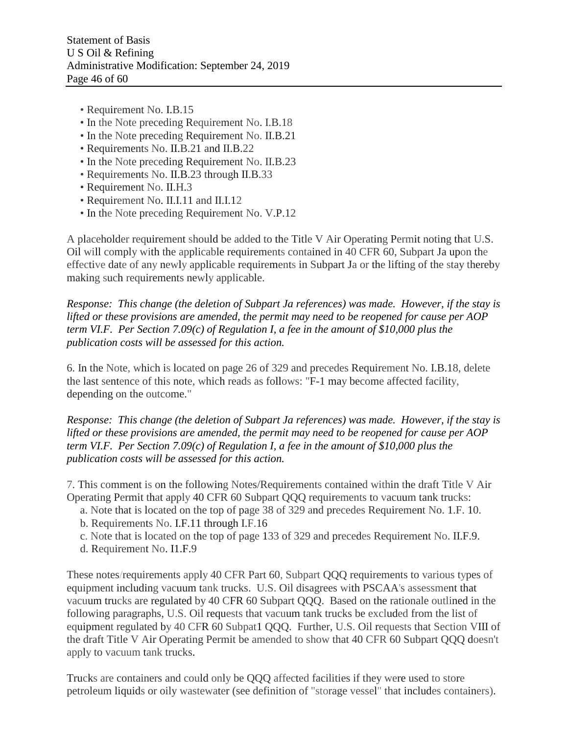- Requirement No. I.B.15
- In the Note preceding Requirement No. I.B.18
- In the Note preceding Requirement No. II.B.21
- Requirements No. II.B.21 and II.B.22
- In the Note preceding Requirement No. II.B.23
- Requirements No. II.B.23 through II.B.33
- Requirement No. II.H.3
- Requirement No. II.I.11 and II.I.12
- In the Note preceding Requirement No. V.P.12

A placeholder requirement should be added to the Title V Air Operating Permit noting that U.S. Oil will comply with the applicable requirements contained in 40 CFR 60, Subpart Ja upon the effective date of any newly applicable requirements in Subpart Ja or the lifting of the stay thereby making such requirements newly applicable.

*Response: This change (the deletion of Subpart Ja references) was made. However, if the stay is lifted or these provisions are amended, the permit may need to be reopened for cause per AOP term VI.F. Per Section 7.09(c) of Regulation I, a fee in the amount of \$10,000 plus the publication costs will be assessed for this action.*

6. In the Note, which is located on page 26 of 329 and precedes Requirement No. I.B.18, delete the last sentence of this note, which reads as follows: "F-1 may become affected facility, depending on the outcome."

*Response: This change (the deletion of Subpart Ja references) was made. However, if the stay is lifted or these provisions are amended, the permit may need to be reopened for cause per AOP term VI.F. Per Section 7.09(c) of Regulation I, a fee in the amount of \$10,000 plus the publication costs will be assessed for this action.*

7. This comment is on the following Notes/Requirements contained within the draft Title V Air Operating Permit that apply 40 CFR 60 Subpart QQQ requirements to vacuum tank trucks:

- a. Note that is located on the top of page 38 of 329 and precedes Requirement No. 1.F. 10.
- b. Requirements No. I.F.11 through I.F.16
- c. Note that is located on the top of page 133 of 329 and precedes Requirement No. II.F.9.
- d. Requirement No. I1.F.9

These notes/requirements apply 40 CFR Part 60, Subpart QQQ requirements to various types of equipment including vacuum tank trucks. U.S. Oil disagrees with PSCAA's assessment that vacuum trucks are regulated by 40 CFR 60 Subpart QQQ. Based on the rationale outlined in the following paragraphs, U.S. Oil requests that vacuum tank trucks be excluded from the list of equipment regulated by 40 CFR 60 Subpat1 QQQ. Further, U.S. Oil requests that Section VIII of the draft Title V Air Operating Permit be amended to show that 40 CFR 60 Subpart QQQ doesn't apply to vacuum tank trucks.

Trucks are containers and could only be QQQ affected facilities if they were used to store petroleum liquids or oily wastewater (see definition of "storage vessel" that includes containers).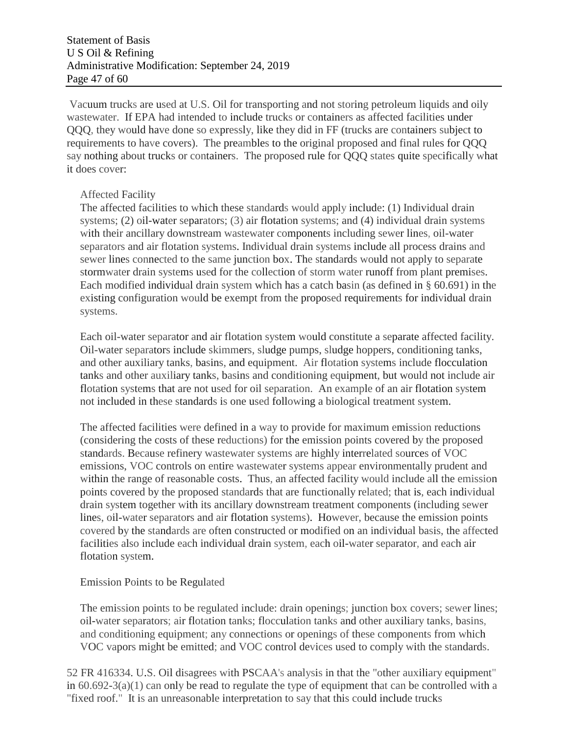Vacuum trucks are used at U.S. Oil for transporting and not storing petroleum liquids and oily wastewater. If EPA had intended to include trucks or containers as affected facilities under QQQ, they would have done so expressly, like they did in FF (trucks are containers subject to requirements to have covers). The preambles to the original proposed and final rules for QQQ say nothing about trucks or containers. The proposed rule for QQQ states quite specifically what it does cover:

#### Affected Facility

The affected facilities to which these standards would apply include: (1) Individual drain systems; (2) oil-water separators; (3) air flotation systems; and (4) individual drain systems with their ancillary downstream wastewater components including sewer lines, oil-water separators and air flotation systems. Individual drain systems include all process drains and sewer lines connected to the same junction box. The standards would not apply to separate stormwater drain systems used for the collection of storm water runoff from plant premises. Each modified individual drain system which has a catch basin (as defined in § 60.691) in the existing configuration would be exempt from the proposed requirements for individual drain systems.

Each oil-water separator and air flotation system would constitute a separate affected facility. Oil-water separators include skimmers, sludge pumps, sludge hoppers, conditioning tanks, and other auxiliary tanks, basins, and equipment. Air flotation systems include flocculation tanks and other auxiliary tanks, basins and conditioning equipment, but would not include air flotation systems that are not used for oil separation. An example of an air flotation system not included in these standards is one used following a biological treatment system.

The affected facilities were defined in a way to provide for maximum emission reductions (considering the costs of these reductions) for the emission points covered by the proposed standards. Because refinery wastewater systems are highly interrelated sources of VOC emissions, VOC controls on entire wastewater systems appear environmentally prudent and within the range of reasonable costs. Thus, an affected facility would include all the emission points covered by the proposed standards that are functionally related; that is, each individual drain system together with its ancillary downstream treatment components (including sewer lines, oil-water separators and air flotation systems). However, because the emission points covered by the standards are often constructed or modified on an individual basis, the affected facilities also include each individual drain system, each oil-water separator, and each air flotation system.

#### Emission Points to be Regulated

The emission points to be regulated include: drain openings; junction box covers; sewer lines; oil-water separators; air flotation tanks; flocculation tanks and other auxiliary tanks, basins, and conditioning equipment; any connections or openings of these components from which VOC vapors might be emitted; and VOC control devices used to comply with the standards.

52 FR 416334. U.S. Oil disagrees with PSCAA's analysis in that the "other auxiliary equipment" in  $60.692-3(a)(1)$  can only be read to regulate the type of equipment that can be controlled with a "fixed roof." It is an unreasonable interpretation to say that this could include trucks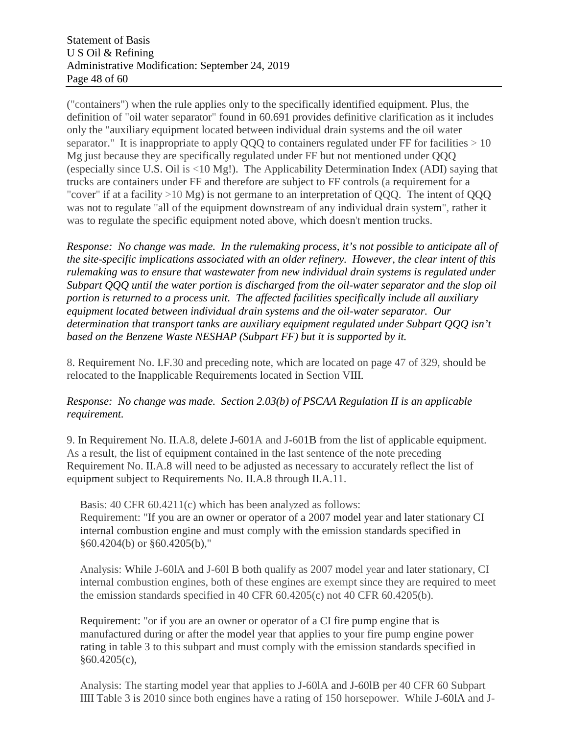("containers") when the rule applies only to the specifically identified equipment. Plus, the definition of "oil water separator" found in 60.691 provides definitive clarification as it includes only the "auxiliary equipment located between individual drain systems and the oil water separator." It is inappropriate to apply QQQ to containers regulated under FF for facilities  $> 10$ Mg just because they are specifically regulated under FF but not mentioned under QQQ (especially since U.S. Oil is <10 Mg!). The Applicability Determination Index (ADI) saying that trucks are containers under FF and therefore are subject to FF controls (a requirement for a "cover" if at a facility >10 Mg) is not germane to an interpretation of QQQ. The intent of QQQ was not to regulate "all of the equipment downstream of any individual drain system", rather it was to regulate the specific equipment noted above, which doesn't mention trucks.

*Response: No change was made. In the rulemaking process, it's not possible to anticipate all of the site-specific implications associated with an older refinery. However, the clear intent of this rulemaking was to ensure that wastewater from new individual drain systems is regulated under Subpart QQQ until the water portion is discharged from the oil-water separator and the slop oil portion is returned to a process unit. The affected facilities specifically include all auxiliary equipment located between individual drain systems and the oil-water separator. Our determination that transport tanks are auxiliary equipment regulated under Subpart QQQ isn't based on the Benzene Waste NESHAP (Subpart FF) but it is supported by it.*

8. Requirement No. I.F.30 and preceding note, which are located on page 47 of 329, should be relocated to the Inapplicable Requirements located in Section VIII.

## *Response: No change was made. Section 2.03(b) of PSCAA Regulation II is an applicable requirement.*

9. In Requirement No. II.A.8, delete J-601A and J-601B from the list of applicable equipment. As a result, the list of equipment contained in the last sentence of the note preceding Requirement No. II.A.8 will need to be adjusted as necessary to accurately reflect the list of equipment subject to Requirements No. II.A.8 through II.A.11.

Basis: 40 CFR 60.4211(c) which has been analyzed as follows: Requirement: "If you are an owner or operator of a 2007 model year and later stationary CI internal combustion engine and must comply with the emission standards specified in §60.4204(b) or §60.4205(b),"

Analysis: While J-60lA and J-60l B both qualify as 2007 model year and later stationary, CI internal combustion engines, both of these engines are exempt since they are required to meet the emission standards specified in 40 CFR 60.4205(c) not 40 CFR 60.4205(b).

Requirement: "or if you are an owner or operator of a CI fire pump engine that is manufactured during or after the model year that applies to your fire pump engine power rating in table 3 to this subpart and must comply with the emission standards specified in §60.4205(c),

Analysis: The starting model year that applies to J-60lA and J-60lB per 40 CFR 60 Subpart IIII Table 3 is 2010 since both engines have a rating of 150 horsepower. While J-60lA and J-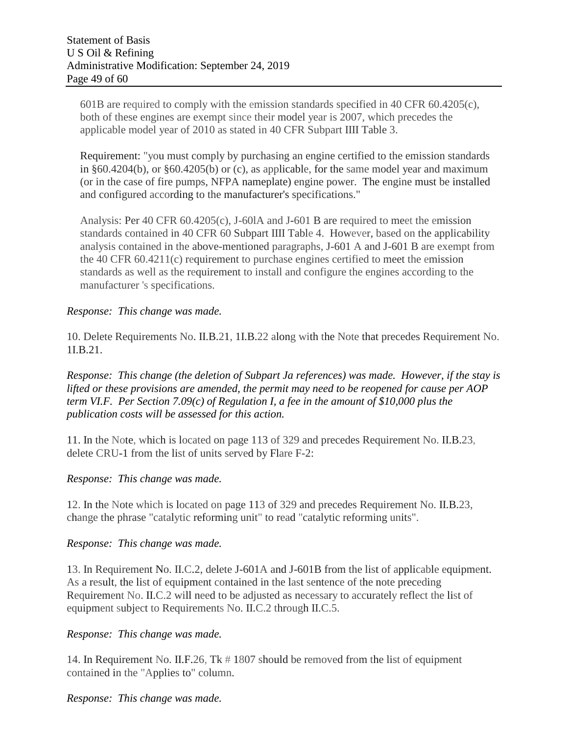601B are required to comply with the emission standards specified in 40 CFR 60.4205(c), both of these engines are exempt since their model year is 2007, which precedes the applicable model year of 2010 as stated in 40 CFR Subpart IIII Table 3.

Requirement: "you must comply by purchasing an engine certified to the emission standards in §60.4204(b), or §60.4205(b) or (c), as applicable, for the same model year and maximum (or in the case of fire pumps, NFPA nameplate) engine power. The engine must be installed and configured according to the manufacturer's specifications."

Analysis: Per 40 CFR 60.4205(c), J-60lA and J-601 B are required to meet the emission standards contained in 40 CFR 60 Subpart IIII Table 4. However, based on the applicability analysis contained in the above-mentioned paragraphs, J-601 A and J-601 B are exempt from the 40 CFR 60.4211(c) requirement to purchase engines certified to meet the emission standards as well as the requirement to install and configure the engines according to the manufacturer 's specifications.

#### *Response: This change was made.*

10. Delete Requirements No. II.B.21, 1I.B.22 along with the Note that precedes Requirement No. 1I.B.21.

*Response: This change (the deletion of Subpart Ja references) was made. However, if the stay is lifted or these provisions are amended, the permit may need to be reopened for cause per AOP term VI.F. Per Section 7.09(c) of Regulation I, a fee in the amount of \$10,000 plus the publication costs will be assessed for this action.*

11. In the Note, which is located on page 113 of 329 and precedes Requirement No. II.B.23, delete CRU-1 from the list of units served by Flare F-2:

#### *Response: This change was made.*

12. In the Note which is located on page 113 of 329 and precedes Requirement No. II.B.23, change the phrase "catalytic reforming unit" to read "catalytic reforming units".

#### *Response: This change was made.*

13. In Requirement No. II.C.2, delete J-601A and J-601B from the list of applicable equipment. As a result, the list of equipment contained in the last sentence of the note preceding Requirement No. II.C.2 will need to be adjusted as necessary to accurately reflect the list of equipment subject to Requirements No. II.C.2 through II.C.5.

#### *Response: This change was made.*

14. In Requirement No. II.F.26, Tk # 1807 should be removed from the list of equipment contained in the "Applies to" column.

## *Response: This change was made.*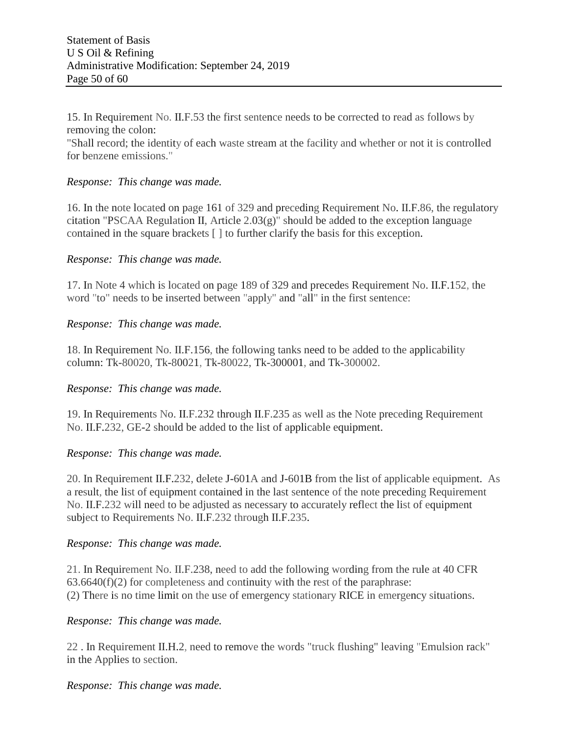15. In Requirement No. II.F.53 the first sentence needs to be corrected to read as follows by removing the colon:

"Shall record; the identity of each waste stream at the facility and whether or not it is controlled for benzene emissions."

#### *Response: This change was made.*

16. In the note located on page 161 of 329 and preceding Requirement No. II.F.86, the regulatory citation "PSCAA Regulation II, Article  $2.03(g)$ " should be added to the exception language contained in the square brackets [ ] to further clarify the basis for this exception.

#### *Response: This change was made.*

17. In Note 4 which is located on page 189 of 329 and precedes Requirement No. II.F.152, the word "to" needs to be inserted between "apply" and "all" in the first sentence:

#### *Response: This change was made.*

18. In Requirement No. II.F.156, the following tanks need to be added to the applicability column: Tk-80020, Tk-80021, Tk-80022, Tk-300001, and Tk-300002.

#### *Response: This change was made.*

19. In Requirements No. II.F.232 through II.F.235 as well as the Note preceding Requirement No. II.F.232, GE-2 should be added to the list of applicable equipment.

#### *Response: This change was made.*

20. In Requirement II.F.232, delete J-601A and J-601B from the list of applicable equipment. As a result, the list of equipment contained in the last sentence of the note preceding Requirement No. II.F.232 will need to be adjusted as necessary to accurately reflect the list of equipment subject to Requirements No. II.F.232 through II.F.235.

#### *Response: This change was made.*

21. In Requirement No. II.F.238, need to add the following wording from the rule at 40 CFR  $63.6640(f)(2)$  for completeness and continuity with the rest of the paraphrase: (2) There is no time limit on the use of emergency stationary RICE in emergency situations.

#### *Response: This change was made.*

22 . In Requirement II.H.2, need to remove the words "truck flushing" leaving "Emulsion rack" in the Applies to section.

#### *Response: This change was made.*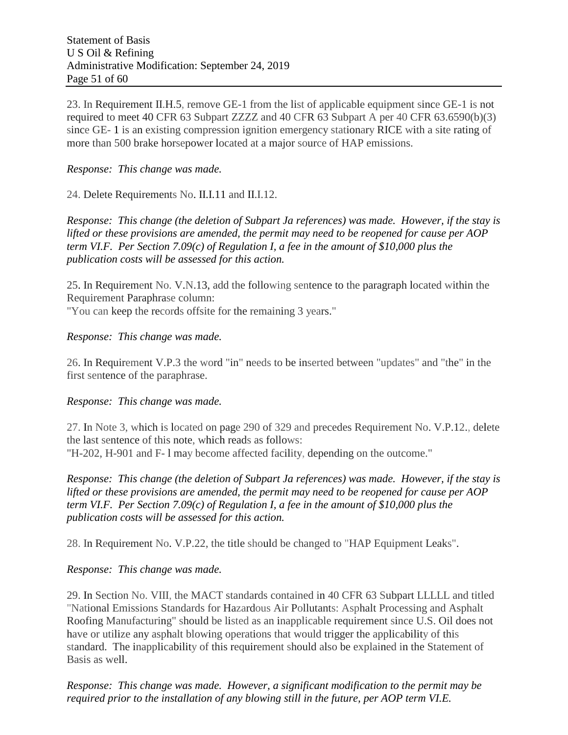23. In Requirement II.H.5, remove GE-1 from the list of applicable equipment since GE-1 is not required to meet 40 CFR 63 Subpart ZZZZ and 40 CFR 63 Subpart A per 40 CFR 63.6590(b)(3) since GE- 1 is an existing compression ignition emergency stationary RICE with a site rating of more than 500 brake horsepower located at a major source of HAP emissions.

#### *Response: This change was made.*

24. Delete Requirements No. II.I.11 and II.I.12.

*Response: This change (the deletion of Subpart Ja references) was made. However, if the stay is lifted or these provisions are amended, the permit may need to be reopened for cause per AOP term VI.F. Per Section 7.09(c) of Regulation I, a fee in the amount of \$10,000 plus the publication costs will be assessed for this action.*

25. In Requirement No. V.N.13, add the following sentence to the paragraph located within the Requirement Paraphrase column:

"You can keep the records offsite for the remaining 3 years."

*Response: This change was made.*

26. In Requirement V.P.3 the word "in" needs to be inserted between "updates" and "the" in the first sentence of the paraphrase.

#### *Response: This change was made.*

27. In Note 3, which is located on page 290 of 329 and precedes Requirement No. V.P.12., delete the last sentence of this note, which reads as follows: "H-202, H-901 and F- l may become affected facility, depending on the outcome."

*Response: This change (the deletion of Subpart Ja references) was made. However, if the stay is lifted or these provisions are amended, the permit may need to be reopened for cause per AOP term VI.F. Per Section 7.09(c) of Regulation I, a fee in the amount of \$10,000 plus the publication costs will be assessed for this action.*

28. In Requirement No. V.P.22, the title should be changed to "HAP Equipment Leaks".

## *Response: This change was made.*

29. In Section No. VIII, the MACT standards contained in 40 CFR 63 Subpart LLLLL and titled "National Emissions Standards for Hazardous Air Pollutants: Asphalt Processing and Asphalt Roofing Manufacturing" should be listed as an inapplicable requirement since U.S. Oil does not have or utilize any asphalt blowing operations that would trigger the applicability of this standard. The inapplicability of this requirement should also be explained in the Statement of Basis as well.

*Response: This change was made. However, a significant modification to the permit may be required prior to the installation of any blowing still in the future, per AOP term VI.E.*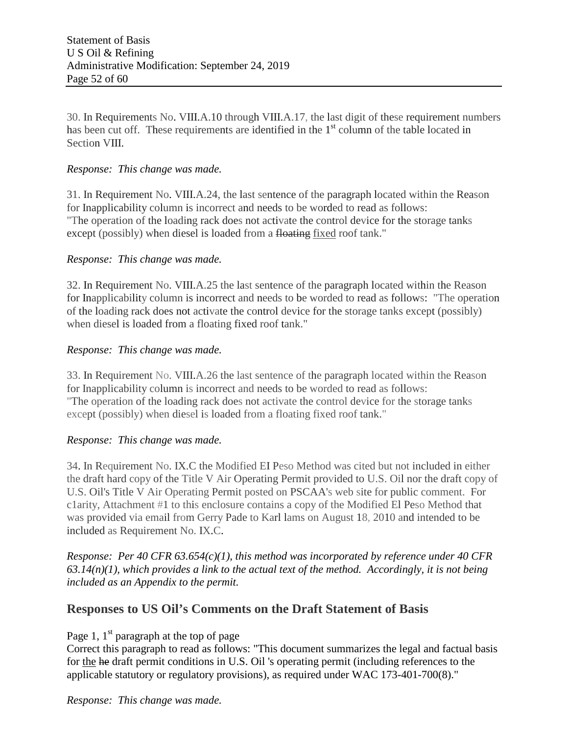30. In Requirements No. VIII.A.10 through VIII.A.17, the last digit of these requirement numbers has been cut off. These requirements are identified in the 1<sup>st</sup> column of the table located in Section VIII.

### *Response: This change was made.*

31. In Requirement No. VIII.A.24, the last sentence of the paragraph located within the Reason for Inapplicability column is incorrect and needs to be worded to read as follows: "The operation of the loading rack does not activate the control device for the storage tanks except (possibly) when diesel is loaded from a floating fixed roof tank."

#### *Response: This change was made.*

32. In Requirement No. VIII.A.25 the last sentence of the paragraph located within the Reason for Inapplicability column is incorrect and needs to be worded to read as follows: "The operation of the loading rack does not activate the control device for the storage tanks except (possibly) when diesel is loaded from a floating fixed roof tank."

#### *Response: This change was made.*

33. In Requirement No. VIII.A.26 the last sentence of the paragraph located within the Reason for Inapplicability column is incorrect and needs to be worded to read as follows: "The operation of the loading rack does not activate the control device for the storage tanks except (possibly) when diesel is loaded from a floating fixed roof tank."

#### *Response: This change was made.*

34. In Requirement No. IX.C the Modified EI Peso Method was cited but not included in either the draft hard copy of the Title V Air Operating Permit provided to U.S. Oil nor the draft copy of U.S. Oil's Title V Air Operating Permit posted on PSCAA's web site for public comment. For c1arity, Attachment #1 to this enclosure contains a copy of the Modified El Peso Method that was provided via email from Gerry Pade to Karl lams on August 18, 2010 and intended to be included as Requirement No. IX.C.

*Response: Per 40 CFR 63.654(c)(1), this method was incorporated by reference under 40 CFR 63.14(n)(1), which provides a link to the actual text of the method. Accordingly, it is not being included as an Appendix to the permit.*

## **Responses to US Oil's Comments on the Draft Statement of Basis**

Page 1,  $1^{st}$  paragraph at the top of page

Correct this paragraph to read as follows: "This document summarizes the legal and factual basis for the he draft permit conditions in U.S. Oil 's operating permit (including references to the applicable statutory or regulatory provisions), as required under WAC 173-401-700(8)."

*Response: This change was made.*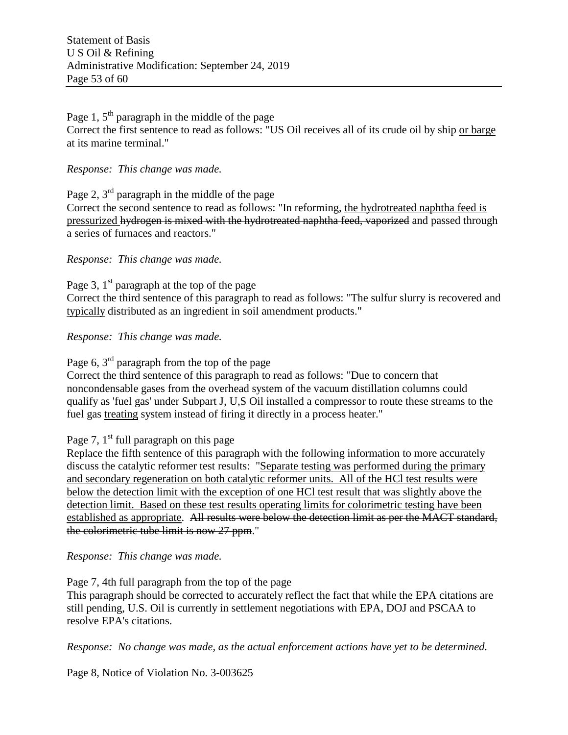Page 1,  $5<sup>th</sup>$  paragraph in the middle of the page Correct the first sentence to read as follows: "US Oil receives all of its crude oil by ship or barge at its marine terminal."

#### *Response: This change was made.*

Page 2,  $3<sup>rd</sup>$  paragraph in the middle of the page Correct the second sentence to read as follows: "In reforming, the hydrotreated naphtha feed is pressurized hydrogen is mixed with the hydrotreated naphtha feed, vaporized and passed through a series of furnaces and reactors."

*Response: This change was made.*

Page 3,  $1<sup>st</sup>$  paragraph at the top of the page Correct the third sentence of this paragraph to read as follows: "The sulfur slurry is recovered and typically distributed as an ingredient in soil amendment products."

*Response: This change was made.*

Page 6, 3<sup>rd</sup> paragraph from the top of the page

Correct the third sentence of this paragraph to read as follows: "Due to concern that noncondensable gases from the overhead system of the vacuum distillation columns could qualify as 'fuel gas' under Subpart J, U,S Oil installed a compressor to route these streams to the fuel gas treating system instead of firing it directly in a process heater."

Page 7,  $1<sup>st</sup>$  full paragraph on this page

Replace the fifth sentence of this paragraph with the following information to more accurately discuss the catalytic reformer test results: "Separate testing was performed during the primary and secondary regeneration on both catalytic reformer units. All of the HCl test results were below the detection limit with the exception of one HCl test result that was slightly above the detection limit. Based on these test results operating limits for colorimetric testing have been established as appropriate. All results were below the detection limit as per the MACT standard, the colorimetric tube limit is now 27 ppm."

*Response: This change was made.*

Page 7, 4th full paragraph from the top of the page This paragraph should be corrected to accurately reflect the fact that while the EPA citations are still pending, U.S. Oil is currently in settlement negotiations with EPA, DOJ and PSCAA to resolve EPA's citations.

*Response: No change was made, as the actual enforcement actions have yet to be determined.*

Page 8, Notice of Violation No. 3-003625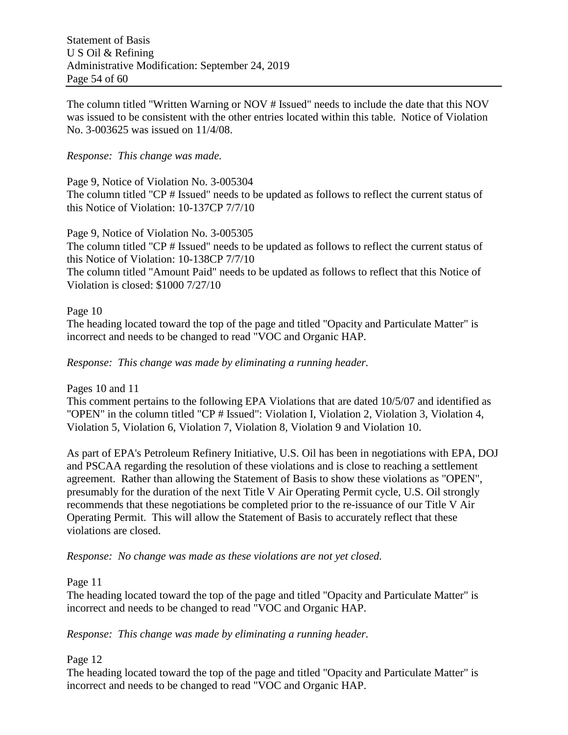The column titled "Written Warning or NOV # Issued" needs to include the date that this NOV was issued to be consistent with the other entries located within this table. Notice of Violation No. 3-003625 was issued on 11/4/08.

### *Response: This change was made.*

Page 9, Notice of Violation No. 3-005304 The column titled "CP # Issued" needs to be updated as follows to reflect the current status of this Notice of Violation: 10-137CP 7/7/10

Page 9, Notice of Violation No. 3-005305 The column titled "CP # Issued" needs to be updated as follows to reflect the current status of this Notice of Violation: 10-138CP 7/7/10 The column titled "Amount Paid" needs to be updated as follows to reflect that this Notice of Violation is closed: \$1000 7/27/10

#### Page 10

The heading located toward the top of the page and titled "Opacity and Particulate Matter" is incorrect and needs to be changed to read "VOC and Organic HAP.

#### *Response: This change was made by eliminating a running header.*

Pages 10 and 11

This comment pertains to the following EPA Violations that are dated 10/5/07 and identified as "OPEN" in the column titled "CP # Issued": Violation I, Violation 2, Violation 3, Violation 4, Violation 5, Violation 6, Violation 7, Violation 8, Violation 9 and Violation 10.

As part of EPA's Petroleum Refinery Initiative, U.S. Oil has been in negotiations with EPA, DOJ and PSCAA regarding the resolution of these violations and is close to reaching a settlement agreement. Rather than allowing the Statement of Basis to show these violations as "OPEN", presumably for the duration of the next Title V Air Operating Permit cycle, U.S. Oil strongly recommends that these negotiations be completed prior to the re-issuance of our Title V Air Operating Permit. This will allow the Statement of Basis to accurately reflect that these violations are closed.

*Response: No change was made as these violations are not yet closed.*

Page 11

The heading located toward the top of the page and titled "Opacity and Particulate Matter" is incorrect and needs to be changed to read "VOC and Organic HAP.

*Response: This change was made by eliminating a running header.*

Page 12

The heading located toward the top of the page and titled "Opacity and Particulate Matter" is incorrect and needs to be changed to read "VOC and Organic HAP.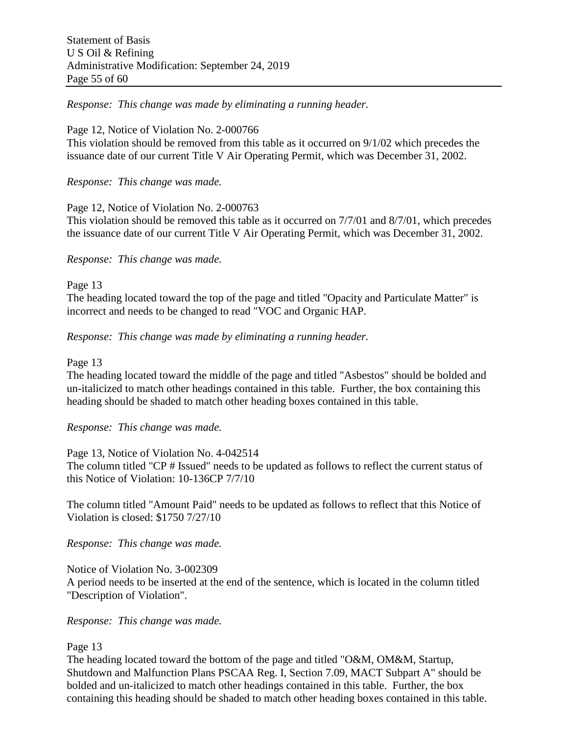*Response: This change was made by eliminating a running header.*

#### Page 12, Notice of Violation No. 2-000766

This violation should be removed from this table as it occurred on 9/1/02 which precedes the issuance date of our current Title V Air Operating Permit, which was December 31, 2002.

*Response: This change was made.*

Page 12, Notice of Violation No. 2-000763

This violation should be removed this table as it occurred on 7/7/01 and 8/7/01*,* which precedes the issuance date of our current Title V Air Operating Permit, which was December 31, 2002.

#### *Response: This change was made.*

Page 13

The heading located toward the top of the page and titled "Opacity and Particulate Matter" is incorrect and needs to be changed to read "VOC and Organic HAP.

*Response: This change was made by eliminating a running header.*

#### Page 13

The heading located toward the middle of the page and titled "Asbestos" should be bolded and un-italicized to match other headings contained in this table. Further, the box containing this heading should be shaded to match other heading boxes contained in this table.

## *Response: This change was made.*

Page 13, Notice of Violation No. 4-042514 The column titled "CP # Issued" needs to be updated as follows to reflect the current status of this Notice of Violation: 10-136CP 7/7/10

The column titled "Amount Paid" needs to be updated as follows to reflect that this Notice of Violation is closed: \$1750 7/27/10

*Response: This change was made.*

Notice of Violation No. 3-002309

A period needs to be inserted at the end of the sentence, which is located in the column titled "Description of Violation".

*Response: This change was made.*

Page 13

The heading located toward the bottom of the page and titled "O&M, OM&M, Startup, Shutdown and Malfunction Plans PSCAA Reg. I, Section 7.09, MACT Subpart A" should be bolded and un-italicized to match other headings contained in this table. Further, the box containing this heading should be shaded to match other heading boxes contained in this table.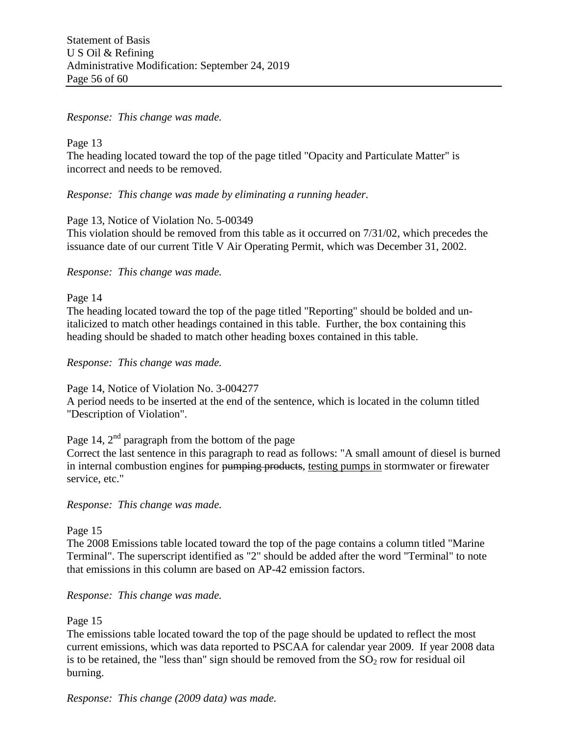#### *Response: This change was made.*

Page 13 The heading located toward the top of the page titled "Opacity and Particulate Matter" is incorrect and needs to be removed.

*Response: This change was made by eliminating a running header.*

#### Page 13, Notice of Violation No. 5-00349

This violation should be removed from this table as it occurred on 7/31/02, which precedes the issuance date of our current Title V Air Operating Permit, which was December 31, 2002.

#### *Response: This change was made.*

Page 14

The heading located toward the top of the page titled "Reporting" should be bolded and unitalicized to match other headings contained in this table. Further, the box containing this heading should be shaded to match other heading boxes contained in this table.

#### *Response: This change was made.*

Page 14, Notice of Violation No. 3-004277

A period needs to be inserted at the end of the sentence, which is located in the column titled "Description of Violation".

Page 14,  $2<sup>nd</sup>$  paragraph from the bottom of the page

Correct the last sentence in this paragraph to read as follows: "A small amount of diesel is burned in internal combustion engines for pumping products, testing pumps in stormwater or firewater service, etc."

*Response: This change was made.*

Page 15

The 2008 Emissions table located toward the top of the page contains a column titled "Marine Terminal". The superscript identified as "2" should be added after the word "Terminal" to note that emissions in this column are based on AP-42 emission factors.

*Response: This change was made.*

#### Page 15

The emissions table located toward the top of the page should be updated to reflect the most current emissions, which was data reported to PSCAA for calendar year 2009. If year 2008 data is to be retained, the "less than" sign should be removed from the  $SO<sub>2</sub>$  row for residual oil burning.

*Response: This change (2009 data) was made.*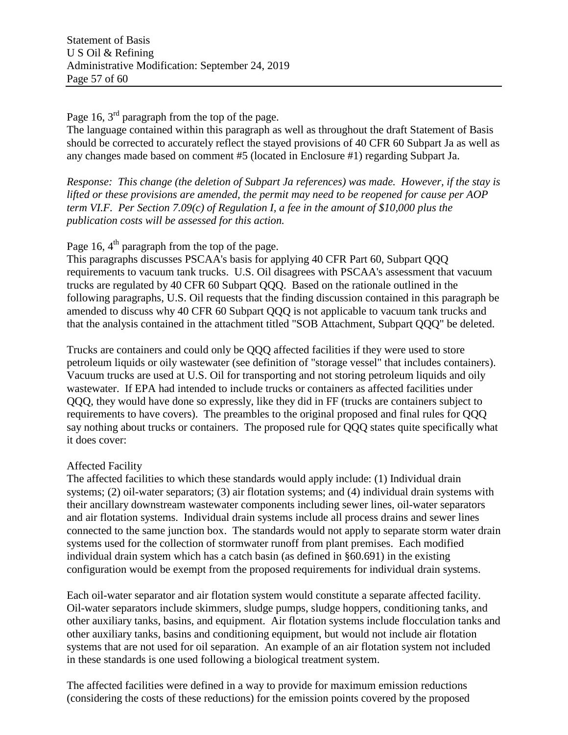Page 16,  $3<sup>rd</sup>$  paragraph from the top of the page.

The language contained within this paragraph as well as throughout the draft Statement of Basis should be corrected to accurately reflect the stayed provisions of 40 CFR 60 Subpart Ja as well as any changes made based on comment #5 (located in Enclosure #1) regarding Subpart Ja.

*Response: This change (the deletion of Subpart Ja references) was made. However, if the stay is lifted or these provisions are amended, the permit may need to be reopened for cause per AOP term VI.F. Per Section 7.09(c) of Regulation I, a fee in the amount of \$10,000 plus the publication costs will be assessed for this action.*

Page 16,  $4<sup>th</sup>$  paragraph from the top of the page.

This paragraphs discusses PSCAA's basis for applying 40 CFR Part 60, Subpart QQQ requirements to vacuum tank trucks. U.S. Oil disagrees with PSCAA's assessment that vacuum trucks are regulated by 40 CFR 60 Subpart QQQ. Based on the rationale outlined in the following paragraphs, U.S. Oil requests that the finding discussion contained in this paragraph be amended to discuss why 40 CFR 60 Subpart QQQ is not applicable to vacuum tank trucks and that the analysis contained in the attachment titled "SOB Attachment, Subpart QQQ" be deleted.

Trucks are containers and could only be QQQ affected facilities if they were used to store petroleum liquids or oily wastewater (see definition of "storage vessel" that includes containers). Vacuum trucks are used at U.S. Oil for transporting and not storing petroleum liquids and oily wastewater. If EPA had intended to include trucks or containers as affected facilities under QQQ, they would have done so expressly, like they did in FF (trucks are containers subject to requirements to have covers). The preambles to the original proposed and final rules for QQQ say nothing about trucks or containers. The proposed rule for QQQ states quite specifically what it does cover:

## Affected Facility

The affected facilities to which these standards would apply include: (1) Individual drain systems; (2) oil-water separators; (3) air flotation systems; and (4) individual drain systems with their ancillary downstream wastewater components including sewer lines, oil-water separators and air flotation systems. Individual drain systems include all process drains and sewer lines connected to the same junction box. The standards would not apply to separate storm water drain systems used for the collection of stormwater runoff from plant premises. Each modified individual drain system which has a catch basin (as defined in §60.691) in the existing configuration would be exempt from the proposed requirements for individual drain systems.

Each oil-water separator and air flotation system would constitute a separate affected facility. Oil-water separators include skimmers, sludge pumps, sludge hoppers, conditioning tanks, and other auxiliary tanks, basins, and equipment. Air flotation systems include flocculation tanks and other auxiliary tanks, basins and conditioning equipment, but would not include air flotation systems that are not used for oil separation. An example of an air flotation system not included in these standards is one used following a biological treatment system.

The affected facilities were defined in a way to provide for maximum emission reductions (considering the costs of these reductions) for the emission points covered by the proposed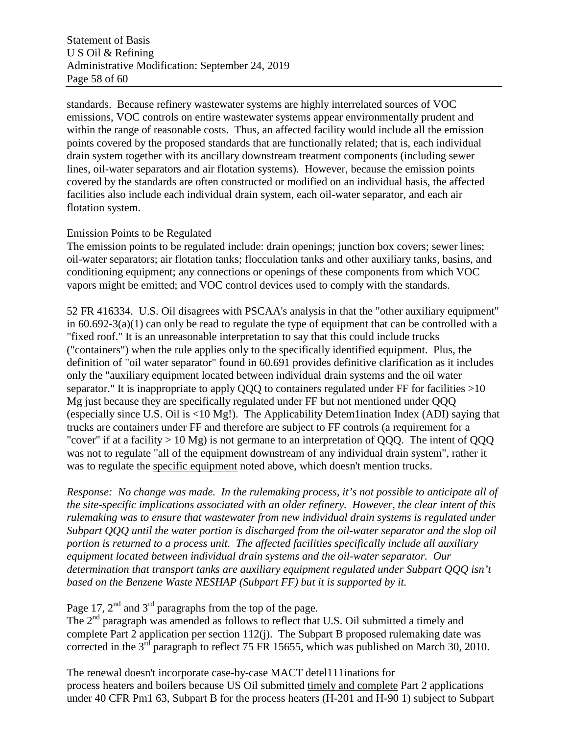standards. Because refinery wastewater systems are highly interrelated sources of VOC emissions, VOC controls on entire wastewater systems appear environmentally prudent and within the range of reasonable costs. Thus, an affected facility would include all the emission points covered by the proposed standards that are functionally related; that is, each individual drain system together with its ancillary downstream treatment components (including sewer lines, oil-water separators and air flotation systems). However, because the emission points covered by the standards are often constructed or modified on an individual basis, the affected facilities also include each individual drain system, each oil-water separator, and each air flotation system.

#### Emission Points to be Regulated

The emission points to be regulated include: drain openings; junction box covers; sewer lines; oil-water separators; air flotation tanks; flocculation tanks and other auxiliary tanks, basins, and conditioning equipment; any connections or openings of these components from which VOC vapors might be emitted; and VOC control devices used to comply with the standards.

52 FR 416334. U.S. Oil disagrees with PSCAA's analysis in that the "other auxiliary equipment" in 60.692-3(a)(1) can only be read to regulate the type of equipment that can be controlled with a "fixed roof." It is an unreasonable interpretation to say that this could include trucks ("containers") when the rule applies only to the specifically identified equipment. Plus, the definition of "oil water separator" found in 60.691 provides definitive clarification as it includes only the "auxiliary equipment located between individual drain systems and the oil water separator." It is inappropriate to apply OOO to containers regulated under FF for facilities >10 Mg just because they are specifically regulated under FF but not mentioned under QQQ (especially since U.S. Oil is <10 Mg!). The Applicability Detem1ination Index (ADI) saying that trucks are containers under FF and therefore are subject to FF controls (a requirement for a "cover" if at a facility  $> 10$  Mg) is not germane to an interpretation of OOO. The intent of OOO was not to regulate "all of the equipment downstream of any individual drain system", rather it was to regulate the specific equipment noted above, which doesn't mention trucks.

*Response: No change was made. In the rulemaking process, it's not possible to anticipate all of the site-specific implications associated with an older refinery. However, the clear intent of this rulemaking was to ensure that wastewater from new individual drain systems is regulated under Subpart QQQ until the water portion is discharged from the oil-water separator and the slop oil portion is returned to a process unit. The affected facilities specifically include all auxiliary equipment located between individual drain systems and the oil-water separator. Our determination that transport tanks are auxiliary equipment regulated under Subpart QQQ isn't based on the Benzene Waste NESHAP (Subpart FF) but it is supported by it.*

Page 17,  $2<sup>nd</sup>$  and  $3<sup>rd</sup>$  paragraphs from the top of the page.

The 2<sup>nd</sup> paragraph was amended as follows to reflect that U.S. Oil submitted a timely and complete Part 2 application per section 112(j). The Subpart B proposed rulemaking date was corrected in the 3<sup>rd</sup> paragraph to reflect 75 FR 15655, which was published on March 30, 2010.

The renewal doesn't incorporate case-by-case MACT detel111inations for process heaters and boilers because US Oil submitted timely and complete Part 2 applications under 40 CFR Pm1 63, Subpart B for the process heaters (H-201 and H-90 1) subject to Subpart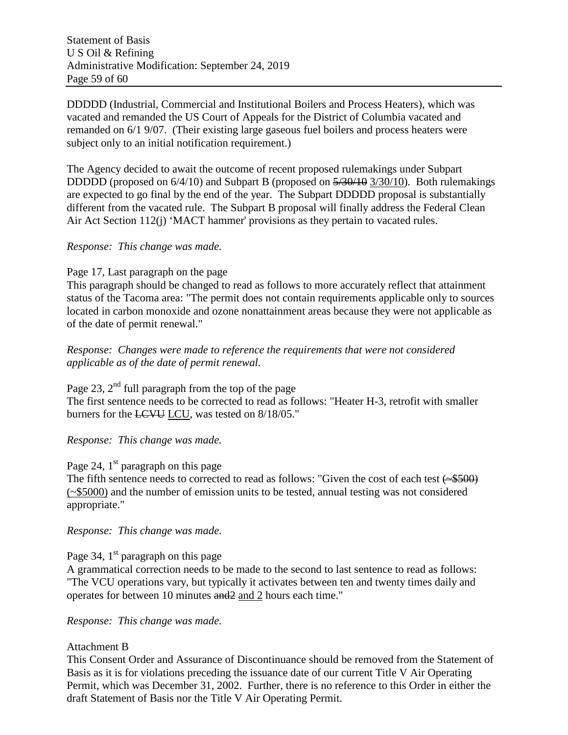DDDDD (Industrial, Commercial and Institutional Boilers and Process Heaters), which was vacated and remanded the US Court of Appeals for the District of Columbia vacated and remanded on 6/1 9/07. (Their existing large gaseous fuel boilers and process heaters were subject only to an initial notification requirement.)

The Agency decided to await the outcome of recent proposed rulemakings under Subpart DDDDD (proposed on  $6/4/10$ ) and Subpart B (proposed on  $\frac{5}{30/10}$  3/30/10). Both rulemakings are expected to go final by the end of the year. The Subpart DDDDD proposal is substantially different from the vacated rule. The Subpart B proposal will finally address the Federal Clean Air Act Section 112(j) 'MACT hammer' provisions as they pertain to vacated rules.

#### *Response: This change was made.*

#### Page 17, Last paragraph on the page

This paragraph should be changed to read as follows to more accurately reflect that attainment status of the Tacoma area: "The permit does not contain requirements applicable only to sources located in carbon monoxide and ozone nonattainment areas because they were not applicable as of the date of permit renewal."

*Response: Changes were made to reference the requirements that were not considered applicable as of the date of permit renewal.*

Page 23,  $2<sup>nd</sup>$  full paragraph from the top of the page The first sentence needs to be corrected to read as follows: "Heater H-3, retrofit with smaller burners for the LCVU LCU, was tested on 8/18/05."

*Response: This change was made.*

## Page 24,  $1<sup>st</sup>$  paragraph on this page

The fifth sentence needs to corrected to read as follows: "Given the cost of each test  $(\rightarrow 500)$ (~\$5000) and the number of emission units to be tested, annual testing was not considered appropriate."

#### *Response: This change was made.*

Page 34,  $1<sup>st</sup>$  paragraph on this page

A grammatical correction needs to be made to the second to last sentence to read as follows: "The VCU operations vary, but typically it activates between ten and twenty times daily and operates for between 10 minutes and2 and 2 hours each time."

*Response: This change was made.*

#### Attachment B

This Consent Order and Assurance of Discontinuance should be removed from the Statement of Basis as it is for violations preceding the issuance date of our current Title V Air Operating Permit, which was December 31, 2002. Further, there is no reference to this Order in either the draft Statement of Basis nor the Title V Air Operating Permit.